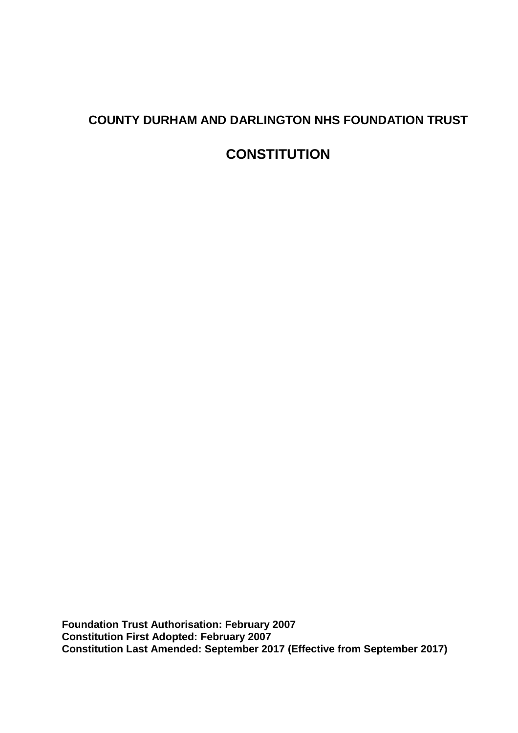# **COUNTY DURHAM AND DARLINGTON NHS FOUNDATION TRUST**

# **CONSTITUTION**

**Foundation Trust Authorisation: February 2007 Constitution First Adopted: February 2007 Constitution Last Amended: September 2017 (Effective from September 2017)**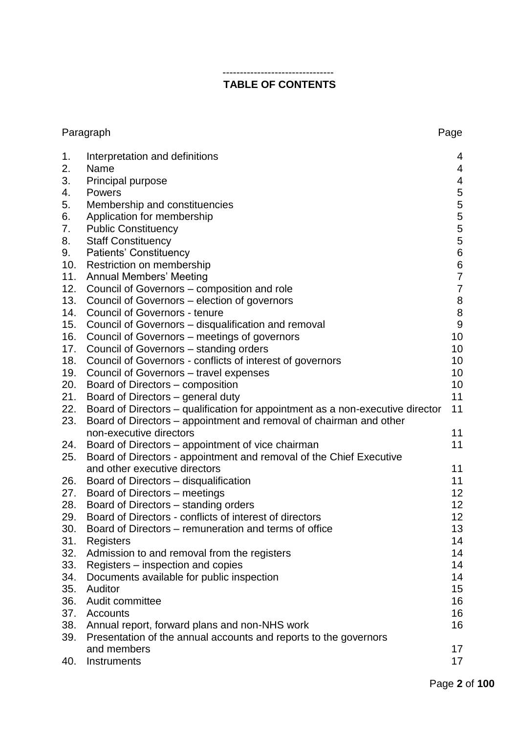# **TABLE OF CONTENTS**

--------------------------------

| Paragraph<br>Page |                                                                                |                                       |
|-------------------|--------------------------------------------------------------------------------|---------------------------------------|
| 1.                | Interpretation and definitions                                                 | 4                                     |
| 2.                | Name                                                                           | 4                                     |
| 3.                | Principal purpose                                                              | $\overline{4}$                        |
| 4.                | Powers                                                                         | 5                                     |
| 5.                | Membership and constituencies                                                  | $\mathbf 5$                           |
| 6.                | Application for membership                                                     | 5                                     |
| 7.                | <b>Public Constituency</b>                                                     | 5                                     |
| 8.                | <b>Staff Constituency</b>                                                      | $\bf 5$                               |
| 9.                | Patients' Constituency                                                         | $\,6$                                 |
| 10.               | Restriction on membership                                                      |                                       |
| 11.               | <b>Annual Members' Meeting</b>                                                 | $\begin{array}{c} 6 \\ 7 \end{array}$ |
| 12.               | Council of Governors - composition and role                                    | $\overline{7}$                        |
| 13.               | Council of Governors – election of governors                                   |                                       |
| 14.               | <b>Council of Governors - tenure</b>                                           | $\begin{array}{c} 8 \\ 8 \end{array}$ |
| 15.               | Council of Governors - disqualification and removal                            | $\boldsymbol{9}$                      |
| 16.               | Council of Governors – meetings of governors                                   | 10                                    |
| 17.               | Council of Governors – standing orders                                         | 10                                    |
| 18.               | Council of Governors - conflicts of interest of governors                      | 10                                    |
| 19.               | Council of Governors – travel expenses                                         | 10                                    |
| 20.               | Board of Directors – composition                                               | 10                                    |
| 21.               | Board of Directors – general duty                                              | 11                                    |
| 22.               | Board of Directors - qualification for appointment as a non-executive director | 11                                    |
| 23.               | Board of Directors – appointment and removal of chairman and other             |                                       |
|                   | non-executive directors                                                        | 11                                    |
| 24.               | Board of Directors - appointment of vice chairman                              | 11                                    |
| 25.               | Board of Directors - appointment and removal of the Chief Executive            |                                       |
|                   | and other executive directors                                                  | 11                                    |
| 26.               | Board of Directors - disqualification                                          | 11                                    |
| 27.               | Board of Directors – meetings                                                  | 12                                    |
| 28.               | Board of Directors – standing orders                                           | 12                                    |
| 29.               | Board of Directors - conflicts of interest of directors                        | 12                                    |
| 30.               | Board of Directors – remuneration and terms of office                          | 13                                    |
| 31.               | Registers                                                                      | 14                                    |
| 32.               | Admission to and removal from the registers                                    | 14                                    |
| 33.               | Registers - inspection and copies                                              | 14                                    |
| 34.               | Documents available for public inspection                                      | 14                                    |
| 35.               | Auditor                                                                        | 15                                    |
| 36.               | Audit committee                                                                | 16                                    |
|                   |                                                                                |                                       |
| 37.               | Accounts                                                                       | 16                                    |
| 38.               | Annual report, forward plans and non-NHS work                                  | 16                                    |
| 39.               | Presentation of the annual accounts and reports to the governors               |                                       |
|                   | and members                                                                    | 17                                    |
| 40.               | Instruments                                                                    | 17                                    |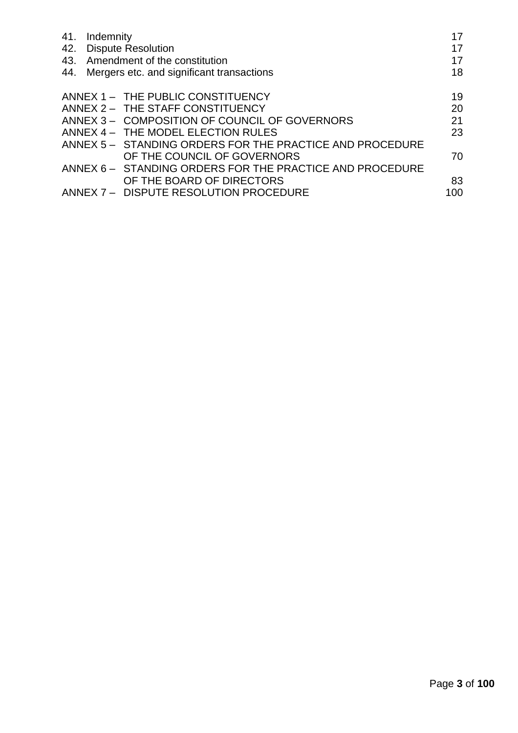| 41. | Indemnity                                                | 17  |
|-----|----------------------------------------------------------|-----|
| 42. | <b>Dispute Resolution</b>                                | 17  |
|     | 43. Amendment of the constitution                        | 17  |
|     | 44. Mergers etc. and significant transactions            | 18  |
|     | ANNEX 1 - THE PUBLIC CONSTITUENCY                        | 19  |
|     | ANNEX 2 - THE STAFF CONSTITUENCY                         | 20  |
|     | ANNEX 3 - COMPOSITION OF COUNCIL OF GOVERNORS            | 21  |
|     | ANNEX 4 - THE MODEL ELECTION RULES                       | 23  |
|     | ANNEX 5 - STANDING ORDERS FOR THE PRACTICE AND PROCEDURE |     |
|     | OF THE COUNCIL OF GOVERNORS                              | 70  |
|     | ANNEX 6 - STANDING ORDERS FOR THE PRACTICE AND PROCEDURE |     |
|     | OF THE BOARD OF DIRECTORS                                | 83  |
|     | ANNEX 7 - DISPUTE RESOLUTION PROCEDURE                   | 100 |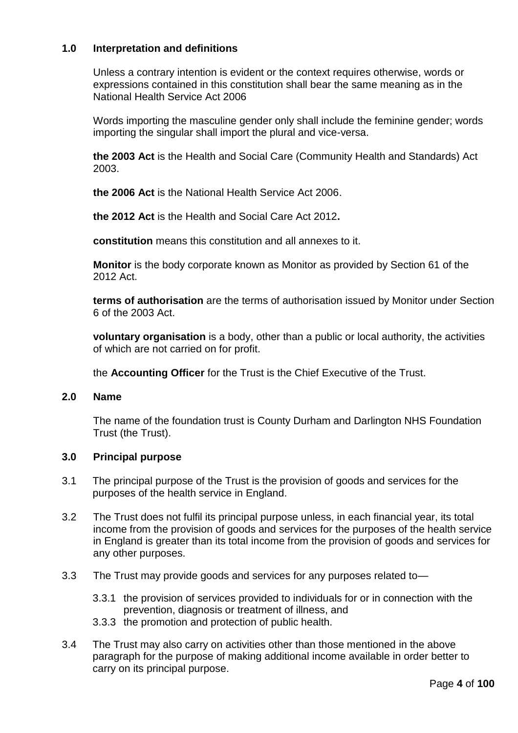# **1.0 Interpretation and definitions**

Unless a contrary intention is evident or the context requires otherwise, words or expressions contained in this constitution shall bear the same meaning as in the National Health Service Act 2006

Words importing the masculine gender only shall include the feminine gender; words importing the singular shall import the plural and vice-versa.

**the 2003 Act** is the Health and Social Care (Community Health and Standards) Act 2003.

**the 2006 Act** is the National Health Service Act 2006.

**the 2012 Act** is the Health and Social Care Act 2012**.**

**constitution** means this constitution and all annexes to it.

**Monitor** is the body corporate known as Monitor as provided by Section 61 of the 2012 Act.

**terms of authorisation** are the terms of authorisation issued by Monitor under Section 6 of the 2003 Act.

**voluntary organisation** is a body, other than a public or local authority, the activities of which are not carried on for profit.

the **Accounting Officer** for the Trust is the Chief Executive of the Trust.

# **2.0 Name**

The name of the foundation trust is County Durham and Darlington NHS Foundation Trust (the Trust).

# **3.0 Principal purpose**

- 3.1 The principal purpose of the Trust is the provision of goods and services for the purposes of the health service in England.
- 3.2 The Trust does not fulfil its principal purpose unless, in each financial year, its total income from the provision of goods and services for the purposes of the health service in England is greater than its total income from the provision of goods and services for any other purposes.
- 3.3 The Trust may provide goods and services for any purposes related to—
	- 3.3.1 the provision of services provided to individuals for or in connection with the prevention, diagnosis or treatment of illness, and
	- 3.3.3 the promotion and protection of public health.
- 3.4 The Trust may also carry on activities other than those mentioned in the above paragraph for the purpose of making additional income available in order better to carry on its principal purpose.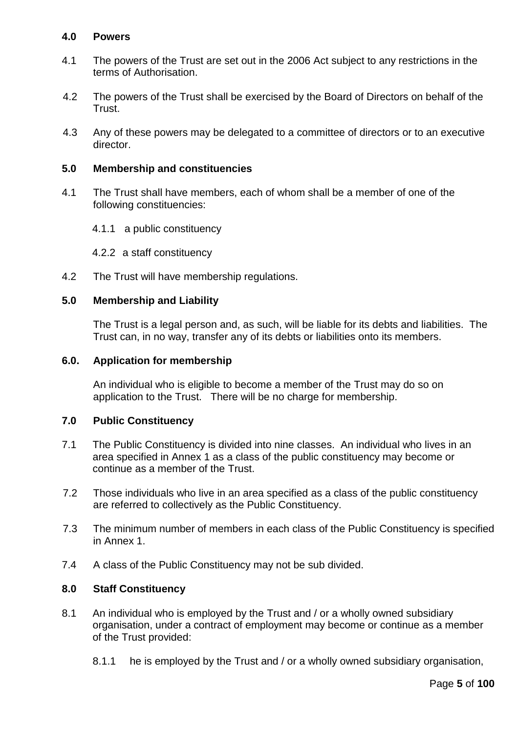# **4.0 Powers**

- 4.1 The powers of the Trust are set out in the 2006 Act subject to any restrictions in the terms of Authorisation.
- 4.2 The powers of the Trust shall be exercised by the Board of Directors on behalf of the Trust.
- 4.3 Any of these powers may be delegated to a committee of directors or to an executive director.

### **5.0 Membership and constituencies**

- 4.1 The Trust shall have members, each of whom shall be a member of one of the following constituencies:
	- 4.1.1 a public constituency
	- 4.2.2 a staff constituency
- 4.2 The Trust will have membership regulations.

# **5.0 Membership and Liability**

The Trust is a legal person and, as such, will be liable for its debts and liabilities. The Trust can, in no way, transfer any of its debts or liabilities onto its members.

### **6.0. Application for membership**

An individual who is eligible to become a member of the Trust may do so on application to the Trust. There will be no charge for membership.

### **7.0 Public Constituency**

- 7.1 The Public Constituency is divided into nine classes. An individual who lives in an area specified in Annex 1 as a class of the public constituency may become or continue as a member of the Trust.
- 7.2 Those individuals who live in an area specified as a class of the public constituency are referred to collectively as the Public Constituency.
- 7.3 The minimum number of members in each class of the Public Constituency is specified in Annex 1.
- 7.4 A class of the Public Constituency may not be sub divided.

# **8.0 Staff Constituency**

- 8.1 An individual who is employed by the Trust and / or a wholly owned subsidiary organisation, under a contract of employment may become or continue as a member of the Trust provided:
	- 8.1.1 he is employed by the Trust and / or a wholly owned subsidiary organisation,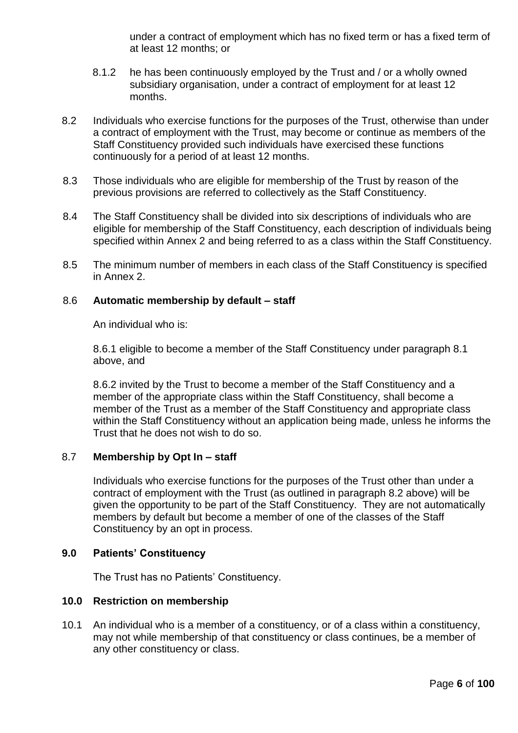under a contract of employment which has no fixed term or has a fixed term of at least 12 months; or

- 8.1.2 he has been continuously employed by the Trust and / or a wholly owned subsidiary organisation, under a contract of employment for at least 12 months.
- 8.2 Individuals who exercise functions for the purposes of the Trust, otherwise than under a contract of employment with the Trust, may become or continue as members of the Staff Constituency provided such individuals have exercised these functions continuously for a period of at least 12 months.
- 8.3 Those individuals who are eligible for membership of the Trust by reason of the previous provisions are referred to collectively as the Staff Constituency.
- 8.4 The Staff Constituency shall be divided into six descriptions of individuals who are eligible for membership of the Staff Constituency, each description of individuals being specified within Annex 2 and being referred to as a class within the Staff Constituency.
- 8.5 The minimum number of members in each class of the Staff Constituency is specified in Annex 2.

# 8.6 **Automatic membership by default – staff**

An individual who is:

8.6.1 eligible to become a member of the Staff Constituency under paragraph 8.1 above, and

8.6.2 invited by the Trust to become a member of the Staff Constituency and a member of the appropriate class within the Staff Constituency, shall become a member of the Trust as a member of the Staff Constituency and appropriate class within the Staff Constituency without an application being made, unless he informs the Trust that he does not wish to do so.

# 8.7 **Membership by Opt In – staff**

Individuals who exercise functions for the purposes of the Trust other than under a contract of employment with the Trust (as outlined in paragraph 8.2 above) will be given the opportunity to be part of the Staff Constituency. They are not automatically members by default but become a member of one of the classes of the Staff Constituency by an opt in process.

# **9.0 Patients' Constituency**

The Trust has no Patients' Constituency.

### **10.0 Restriction on membership**

10.1 An individual who is a member of a constituency, or of a class within a constituency, may not while membership of that constituency or class continues, be a member of any other constituency or class.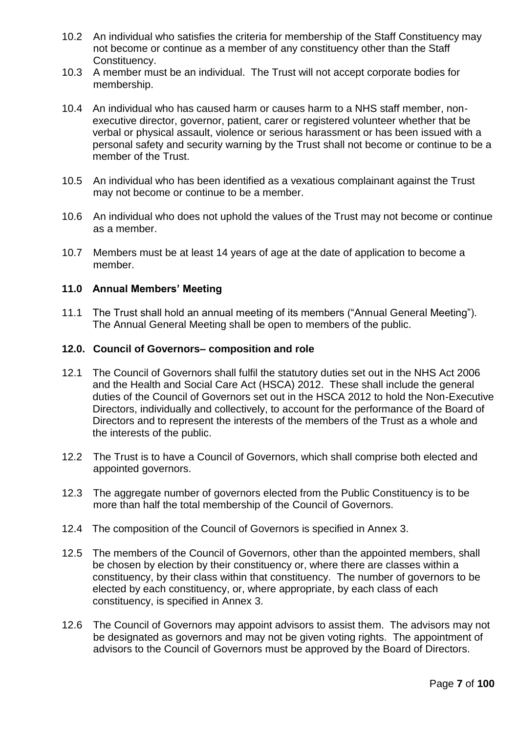- 10.2 An individual who satisfies the criteria for membership of the Staff Constituency may not become or continue as a member of any constituency other than the Staff Constituency.
- 10.3 A member must be an individual. The Trust will not accept corporate bodies for membership.
- 10.4 An individual who has caused harm or causes harm to a NHS staff member, nonexecutive director, governor, patient, carer or registered volunteer whether that be verbal or physical assault, violence or serious harassment or has been issued with a personal safety and security warning by the Trust shall not become or continue to be a member of the Trust.
- 10.5 An individual who has been identified as a vexatious complainant against the Trust may not become or continue to be a member.
- 10.6 An individual who does not uphold the values of the Trust may not become or continue as a member.
- 10.7 Members must be at least 14 years of age at the date of application to become a member.

### **11.0 Annual Members' Meeting**

11.1 The Trust shall hold an annual meeting of its members ("Annual General Meeting"). The Annual General Meeting shall be open to members of the public.

### **12.0. Council of Governors– composition and role**

- 12.1 The Council of Governors shall fulfil the statutory duties set out in the NHS Act 2006 and the Health and Social Care Act (HSCA) 2012. These shall include the general duties of the Council of Governors set out in the HSCA 2012 to hold the Non-Executive Directors, individually and collectively, to account for the performance of the Board of Directors and to represent the interests of the members of the Trust as a whole and the interests of the public.
- 12.2 The Trust is to have a Council of Governors, which shall comprise both elected and appointed governors.
- 12.3 The aggregate number of governors elected from the Public Constituency is to be more than half the total membership of the Council of Governors.
- 12.4 The composition of the Council of Governors is specified in Annex 3.
- 12.5 The members of the Council of Governors, other than the appointed members, shall be chosen by election by their constituency or, where there are classes within a constituency, by their class within that constituency. The number of governors to be elected by each constituency, or, where appropriate, by each class of each constituency, is specified in Annex 3.
- 12.6 The Council of Governors may appoint advisors to assist them. The advisors may not be designated as governors and may not be given voting rights. The appointment of advisors to the Council of Governors must be approved by the Board of Directors.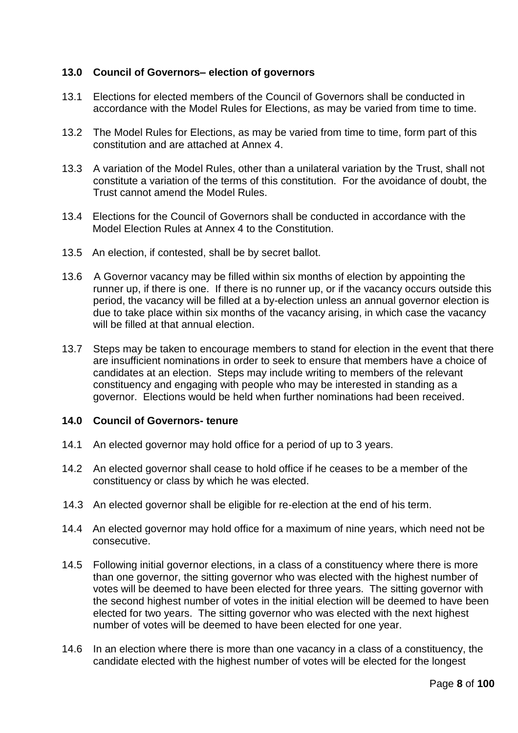# **13.0 Council of Governors– election of governors**

- 13.1 Elections for elected members of the Council of Governors shall be conducted in accordance with the Model Rules for Elections, as may be varied from time to time.
- 13.2 The Model Rules for Elections, as may be varied from time to time, form part of this constitution and are attached at Annex 4.
- 13.3 A variation of the Model Rules, other than a unilateral variation by the Trust, shall not constitute a variation of the terms of this constitution. For the avoidance of doubt, the Trust cannot amend the Model Rules.
- 13.4 Elections for the Council of Governors shall be conducted in accordance with the Model Election Rules at Annex 4 to the Constitution.
- 13.5 An election, if contested, shall be by secret ballot.
- 13.6 A Governor vacancy may be filled within six months of election by appointing the runner up, if there is one. If there is no runner up, or if the vacancy occurs outside this period, the vacancy will be filled at a by-election unless an annual governor election is due to take place within six months of the vacancy arising, in which case the vacancy will be filled at that annual election.
- 13.7 Steps may be taken to encourage members to stand for election in the event that there are insufficient nominations in order to seek to ensure that members have a choice of candidates at an election. Steps may include writing to members of the relevant constituency and engaging with people who may be interested in standing as a governor. Elections would be held when further nominations had been received.

# **14.0 Council of Governors- tenure**

- 14.1 An elected governor may hold office for a period of up to 3 years.
- 14.2 An elected governor shall cease to hold office if he ceases to be a member of the constituency or class by which he was elected.
- 14.3 An elected governor shall be eligible for re-election at the end of his term.
- 14.4 An elected governor may hold office for a maximum of nine years, which need not be consecutive.
- 14.5 Following initial governor elections, in a class of a constituency where there is more than one governor, the sitting governor who was elected with the highest number of votes will be deemed to have been elected for three years. The sitting governor with the second highest number of votes in the initial election will be deemed to have been elected for two years. The sitting governor who was elected with the next highest number of votes will be deemed to have been elected for one year.
- 14.6 In an election where there is more than one vacancy in a class of a constituency, the candidate elected with the highest number of votes will be elected for the longest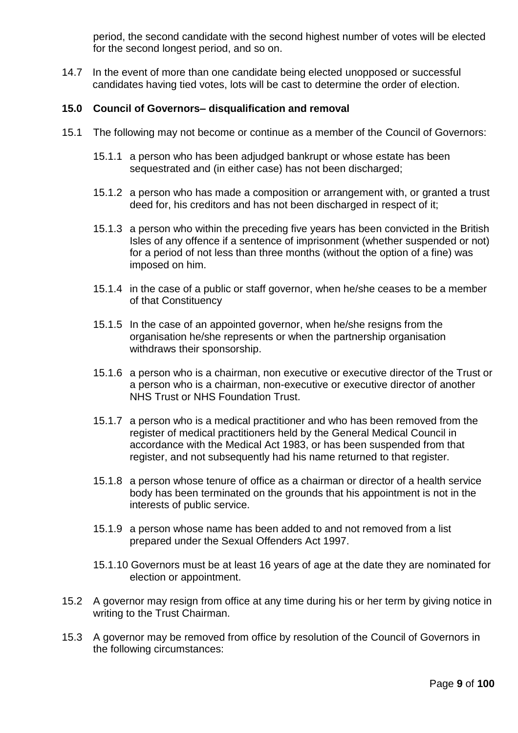period, the second candidate with the second highest number of votes will be elected for the second longest period, and so on.

14.7 In the event of more than one candidate being elected unopposed or successful candidates having tied votes, lots will be cast to determine the order of election.

### **15.0 Council of Governors– disqualification and removal**

- 15.1 The following may not become or continue as a member of the Council of Governors:
	- 15.1.1 a person who has been adjudged bankrupt or whose estate has been sequestrated and (in either case) has not been discharged;
	- 15.1.2 a person who has made a composition or arrangement with, or granted a trust deed for, his creditors and has not been discharged in respect of it;
	- 15.1.3 a person who within the preceding five years has been convicted in the British Isles of any offence if a sentence of imprisonment (whether suspended or not) for a period of not less than three months (without the option of a fine) was imposed on him.
	- 15.1.4 in the case of a public or staff governor, when he/she ceases to be a member of that Constituency
	- 15.1.5 In the case of an appointed governor, when he/she resigns from the organisation he/she represents or when the partnership organisation withdraws their sponsorship.
	- 15.1.6 a person who is a chairman, non executive or executive director of the Trust or a person who is a chairman, non-executive or executive director of another NHS Trust or NHS Foundation Trust.
	- 15.1.7 a person who is a medical practitioner and who has been removed from the register of medical practitioners held by the General Medical Council in accordance with the Medical Act 1983, or has been suspended from that register, and not subsequently had his name returned to that register.
	- 15.1.8 a person whose tenure of office as a chairman or director of a health service body has been terminated on the grounds that his appointment is not in the interests of public service.
	- 15.1.9 a person whose name has been added to and not removed from a list prepared under the Sexual Offenders Act 1997.
	- 15.1.10 Governors must be at least 16 years of age at the date they are nominated for election or appointment.
- 15.2 A governor may resign from office at any time during his or her term by giving notice in writing to the Trust Chairman.
- 15.3 A governor may be removed from office by resolution of the Council of Governors in the following circumstances: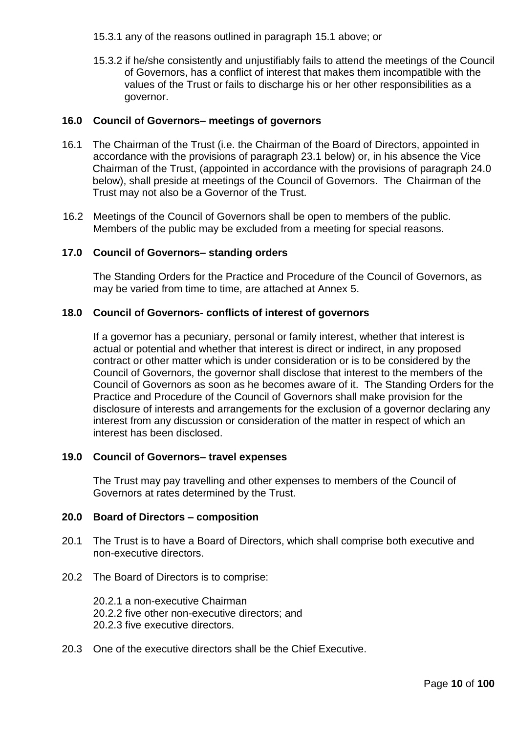15.3.1 any of the reasons outlined in paragraph 15.1 above; or

15.3.2 if he/she consistently and unjustifiably fails to attend the meetings of the Council of Governors, has a conflict of interest that makes them incompatible with the values of the Trust or fails to discharge his or her other responsibilities as a governor.

## **16.0 Council of Governors– meetings of governors**

- 16.1 The Chairman of the Trust (i.e. the Chairman of the Board of Directors, appointed in accordance with the provisions of paragraph 23.1 below) or, in his absence the Vice Chairman of the Trust, (appointed in accordance with the provisions of paragraph 24.0 below), shall preside at meetings of the Council of Governors. The Chairman of the Trust may not also be a Governor of the Trust.
- 16.2 Meetings of the Council of Governors shall be open to members of the public. Members of the public may be excluded from a meeting for special reasons.

### **17.0 Council of Governors– standing orders**

The Standing Orders for the Practice and Procedure of the Council of Governors, as may be varied from time to time, are attached at Annex 5.

### **18.0 Council of Governors- conflicts of interest of governors**

If a governor has a pecuniary, personal or family interest, whether that interest is actual or potential and whether that interest is direct or indirect, in any proposed contract or other matter which is under consideration or is to be considered by the Council of Governors, the governor shall disclose that interest to the members of the Council of Governors as soon as he becomes aware of it. The Standing Orders for the Practice and Procedure of the Council of Governors shall make provision for the disclosure of interests and arrangements for the exclusion of a governor declaring any interest from any discussion or consideration of the matter in respect of which an interest has been disclosed.

### **19.0 Council of Governors– travel expenses**

The Trust may pay travelling and other expenses to members of the Council of Governors at rates determined by the Trust.

# **20.0 Board of Directors – composition**

- 20.1 The Trust is to have a Board of Directors, which shall comprise both executive and non-executive directors.
- 20.2 The Board of Directors is to comprise:

20.2.1 a non-executive Chairman 20.2.2 five other non-executive directors; and 20.2.3 five executive directors.

20.3 One of the executive directors shall be the Chief Executive.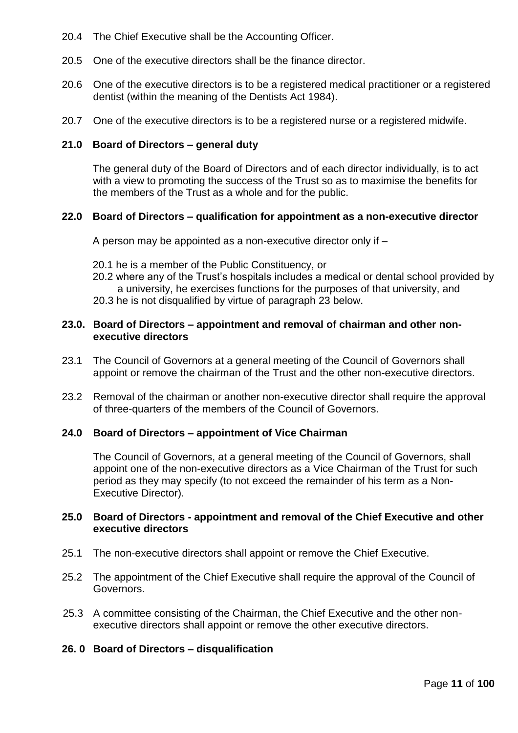- 20.4 The Chief Executive shall be the Accounting Officer.
- 20.5 One of the executive directors shall be the finance director.
- 20.6 One of the executive directors is to be a registered medical practitioner or a registered dentist (within the meaning of the Dentists Act 1984).
- 20.7 One of the executive directors is to be a registered nurse or a registered midwife.

#### **21.0 Board of Directors – general duty**

The general duty of the Board of Directors and of each director individually, is to act with a view to promoting the success of the Trust so as to maximise the benefits for the members of the Trust as a whole and for the public.

#### **22.0 Board of Directors – qualification for appointment as a non-executive director**

A person may be appointed as a non-executive director only if –

- 20.1 he is a member of the Public Constituency, or
- 20.2 where any of the Trust's hospitals includes a medical or dental school provided by a university, he exercises functions for the purposes of that university, and
- 20.3 he is not disqualified by virtue of paragraph 23 below.

### **23.0. Board of Directors – appointment and removal of chairman and other nonexecutive directors**

- 23.1 The Council of Governors at a general meeting of the Council of Governors shall appoint or remove the chairman of the Trust and the other non-executive directors.
- 23.2 Removal of the chairman or another non-executive director shall require the approval of three-quarters of the members of the Council of Governors.

#### **24.0 Board of Directors – appointment of Vice Chairman**

The Council of Governors, at a general meeting of the Council of Governors, shall appoint one of the non-executive directors as a Vice Chairman of the Trust for such period as they may specify (to not exceed the remainder of his term as a Non-Executive Director).

### **25.0 Board of Directors - appointment and removal of the Chief Executive and other executive directors**

- 25.1 The non-executive directors shall appoint or remove the Chief Executive.
- 25.2 The appointment of the Chief Executive shall require the approval of the Council of Governors.
- 25.3 A committee consisting of the Chairman, the Chief Executive and the other nonexecutive directors shall appoint or remove the other executive directors.

### **26. 0 Board of Directors – disqualification**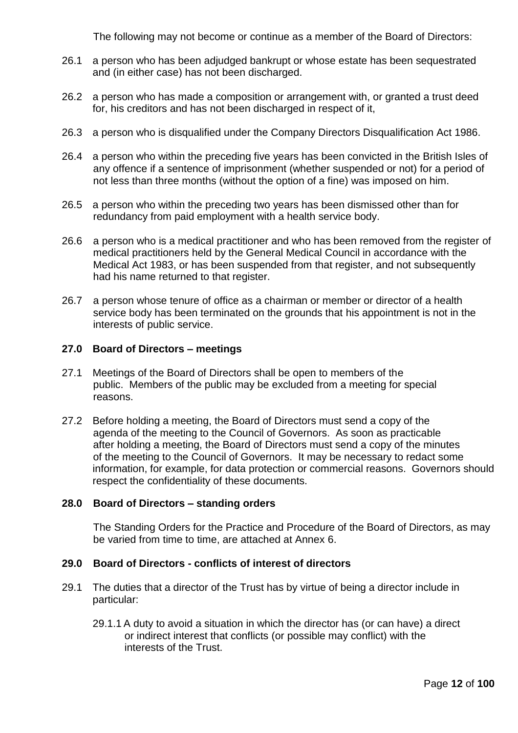The following may not become or continue as a member of the Board of Directors:

- 26.1 a person who has been adjudged bankrupt or whose estate has been sequestrated and (in either case) has not been discharged.
- 26.2 a person who has made a composition or arrangement with, or granted a trust deed for, his creditors and has not been discharged in respect of it,
- 26.3 a person who is disqualified under the Company Directors Disqualification Act 1986.
- 26.4 a person who within the preceding five years has been convicted in the British Isles of any offence if a sentence of imprisonment (whether suspended or not) for a period of not less than three months (without the option of a fine) was imposed on him.
- 26.5 a person who within the preceding two years has been dismissed other than for redundancy from paid employment with a health service body.
- 26.6 a person who is a medical practitioner and who has been removed from the register of medical practitioners held by the General Medical Council in accordance with the Medical Act 1983, or has been suspended from that register, and not subsequently had his name returned to that register.
- 26.7 a person whose tenure of office as a chairman or member or director of a health service body has been terminated on the grounds that his appointment is not in the interests of public service.

# **27.0 Board of Directors – meetings**

- 27.1 Meetings of the Board of Directors shall be open to members of the public. Members of the public may be excluded from a meeting for special reasons.
- 27.2 Before holding a meeting, the Board of Directors must send a copy of the agenda of the meeting to the Council of Governors. As soon as practicable after holding a meeting, the Board of Directors must send a copy of the minutes of the meeting to the Council of Governors. It may be necessary to redact some information, for example, for data protection or commercial reasons. Governors should respect the confidentiality of these documents.

### **28.0 Board of Directors – standing orders**

The Standing Orders for the Practice and Procedure of the Board of Directors, as may be varied from time to time, are attached at Annex 6.

### **29.0 Board of Directors - conflicts of interest of directors**

- 29.1 The duties that a director of the Trust has by virtue of being a director include in particular:
	- 29.1.1 A duty to avoid a situation in which the director has (or can have) a direct or indirect interest that conflicts (or possible may conflict) with the interests of the Trust.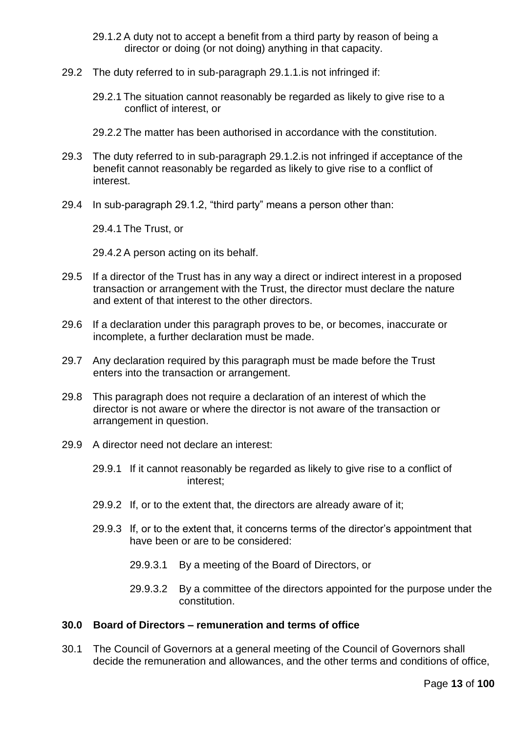- 29.1.2 A duty not to accept a benefit from a third party by reason of being a director or doing (or not doing) anything in that capacity.
- 29.2 The duty referred to in sub-paragraph 29.1.1.is not infringed if:
	- 29.2.1 The situation cannot reasonably be regarded as likely to give rise to a conflict of interest, or
	- 29.2.2 The matter has been authorised in accordance with the constitution.
- 29.3 The duty referred to in sub-paragraph 29.1.2.is not infringed if acceptance of the benefit cannot reasonably be regarded as likely to give rise to a conflict of interest.
- 29.4 In sub-paragraph 29.1.2, "third party" means a person other than:

29.4.1 The Trust, or

29.4.2 A person acting on its behalf.

- 29.5 If a director of the Trust has in any way a direct or indirect interest in a proposed transaction or arrangement with the Trust, the director must declare the nature and extent of that interest to the other directors.
- 29.6 If a declaration under this paragraph proves to be, or becomes, inaccurate or incomplete, a further declaration must be made.
- 29.7 Any declaration required by this paragraph must be made before the Trust enters into the transaction or arrangement.
- 29.8 This paragraph does not require a declaration of an interest of which the director is not aware or where the director is not aware of the transaction or arrangement in question.
- 29.9 A director need not declare an interest:
	- 29.9.1 If it cannot reasonably be regarded as likely to give rise to a conflict of interest;
	- 29.9.2 If, or to the extent that, the directors are already aware of it;
	- 29.9.3 If, or to the extent that, it concerns terms of the director's appointment that have been or are to be considered:
		- 29.9.3.1 By a meeting of the Board of Directors, or
		- 29.9.3.2 By a committee of the directors appointed for the purpose under the constitution.

# **30.0 Board of Directors – remuneration and terms of office**

30.1 The Council of Governors at a general meeting of the Council of Governors shall decide the remuneration and allowances, and the other terms and conditions of office,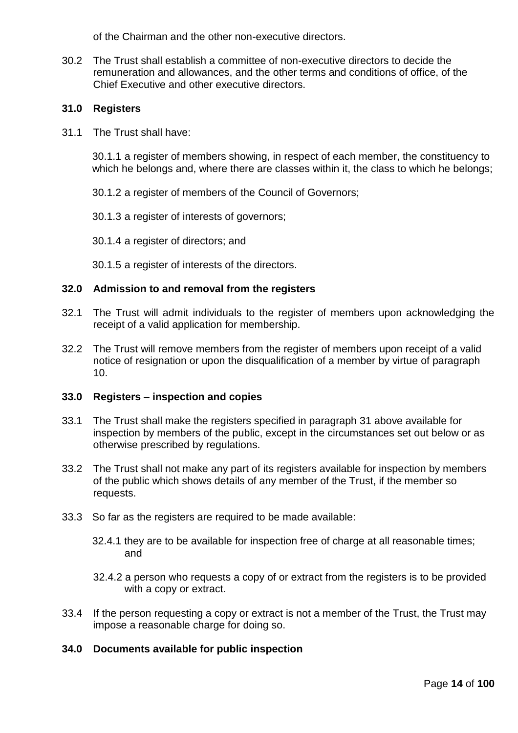of the Chairman and the other non-executive directors.

30.2 The Trust shall establish a committee of non-executive directors to decide the remuneration and allowances, and the other terms and conditions of office, of the Chief Executive and other executive directors.

# **31.0 Registers**

31.1 The Trust shall have:

30.1.1 a register of members showing, in respect of each member, the constituency to which he belongs and, where there are classes within it, the class to which he belongs;

30.1.2 a register of members of the Council of Governors;

- 30.1.3 a register of interests of governors;
- 30.1.4 a register of directors; and

30.1.5 a register of interests of the directors.

### **32.0 Admission to and removal from the registers**

- 32.1 The Trust will admit individuals to the register of members upon acknowledging the receipt of a valid application for membership.
- 32.2 The Trust will remove members from the register of members upon receipt of a valid notice of resignation or upon the disqualification of a member by virtue of paragraph 10.

### **33.0 Registers – inspection and copies**

- 33.1 The Trust shall make the registers specified in paragraph 31 above available for inspection by members of the public, except in the circumstances set out below or as otherwise prescribed by regulations.
- 33.2 The Trust shall not make any part of its registers available for inspection by members of the public which shows details of any member of the Trust, if the member so requests.
- 33.3 So far as the registers are required to be made available:
	- 32.4.1 they are to be available for inspection free of charge at all reasonable times; and
	- 32.4.2 a person who requests a copy of or extract from the registers is to be provided with a copy or extract.
- 33.4 If the person requesting a copy or extract is not a member of the Trust, the Trust may impose a reasonable charge for doing so.

# **34.0 Documents available for public inspection**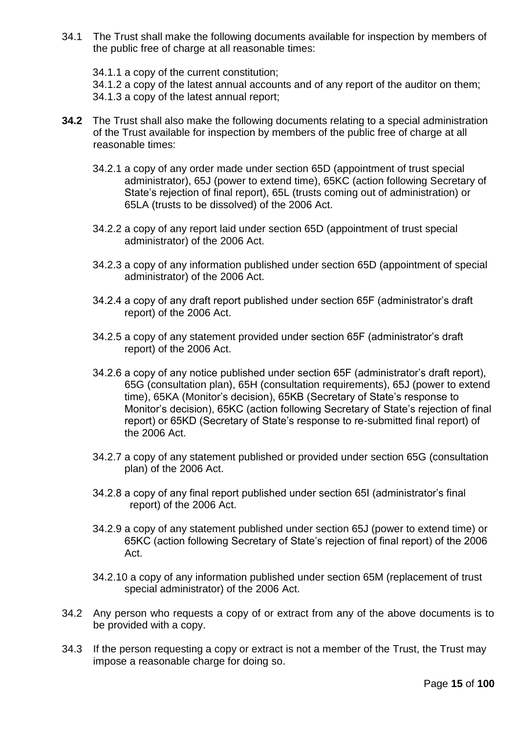34.1 The Trust shall make the following documents available for inspection by members of the public free of charge at all reasonable times:

34.1.1 a copy of the current constitution; 34.1.2 a copy of the latest annual accounts and of any report of the auditor on them; 34.1.3 a copy of the latest annual report;

- **34.2** The Trust shall also make the following documents relating to a special administration of the Trust available for inspection by members of the public free of charge at all reasonable times:
	- 34.2.1 a copy of any order made under section 65D (appointment of trust special administrator), 65J (power to extend time), 65KC (action following Secretary of State's rejection of final report), 65L (trusts coming out of administration) or 65LA (trusts to be dissolved) of the 2006 Act.
	- 34.2.2 a copy of any report laid under section 65D (appointment of trust special administrator) of the 2006 Act.
	- 34.2.3 a copy of any information published under section 65D (appointment of special administrator) of the 2006 Act.
	- 34.2.4 a copy of any draft report published under section 65F (administrator's draft report) of the 2006 Act.
	- 34.2.5 a copy of any statement provided under section 65F (administrator's draft report) of the 2006 Act.
	- 34.2.6 a copy of any notice published under section 65F (administrator's draft report), 65G (consultation plan), 65H (consultation requirements), 65J (power to extend time), 65KA (Monitor's decision), 65KB (Secretary of State's response to Monitor's decision), 65KC (action following Secretary of State's rejection of final report) or 65KD (Secretary of State's response to re-submitted final report) of the 2006 Act.
	- 34.2.7 a copy of any statement published or provided under section 65G (consultation plan) of the 2006 Act.
	- 34.2.8 a copy of any final report published under section 65I (administrator's final report) of the 2006 Act.
	- 34.2.9 a copy of any statement published under section 65J (power to extend time) or 65KC (action following Secretary of State's rejection of final report) of the 2006 Act.
	- 34.2.10 a copy of any information published under section 65M (replacement of trust special administrator) of the 2006 Act.
- 34.2 Any person who requests a copy of or extract from any of the above documents is to be provided with a copy.
- 34.3 If the person requesting a copy or extract is not a member of the Trust, the Trust may impose a reasonable charge for doing so.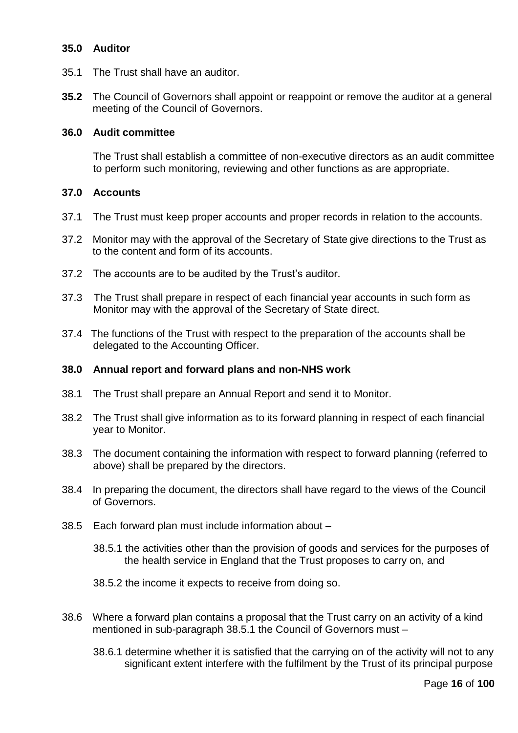# **35.0 Auditor**

- 35.1 The Trust shall have an auditor.
- **35.2** The Council of Governors shall appoint or reappoint or remove the auditor at a general meeting of the Council of Governors.

### **36.0 Audit committee**

The Trust shall establish a committee of non-executive directors as an audit committee to perform such monitoring, reviewing and other functions as are appropriate.

# **37.0 Accounts**

- 37.1 The Trust must keep proper accounts and proper records in relation to the accounts.
- 37.2 Monitor may with the approval of the Secretary of State give directions to the Trust as to the content and form of its accounts.
- 37.2 The accounts are to be audited by the Trust's auditor.
- 37.3 The Trust shall prepare in respect of each financial year accounts in such form as Monitor may with the approval of the Secretary of State direct.
- 37.4 The functions of the Trust with respect to the preparation of the accounts shall be delegated to the Accounting Officer.

### **38.0 Annual report and forward plans and non-NHS work**

- 38.1 The Trust shall prepare an Annual Report and send it to Monitor.
- 38.2 The Trust shall give information as to its forward planning in respect of each financial year to Monitor.
- 38.3 The document containing the information with respect to forward planning (referred to above) shall be prepared by the directors.
- 38.4 In preparing the document, the directors shall have regard to the views of the Council of Governors.
- 38.5 Each forward plan must include information about
	- 38.5.1 the activities other than the provision of goods and services for the purposes of the health service in England that the Trust proposes to carry on, and
	- 38.5.2 the income it expects to receive from doing so.
- 38.6 Where a forward plan contains a proposal that the Trust carry on an activity of a kind mentioned in sub-paragraph 38.5.1 the Council of Governors must –
	- 38.6.1 determine whether it is satisfied that the carrying on of the activity will not to any significant extent interfere with the fulfilment by the Trust of its principal purpose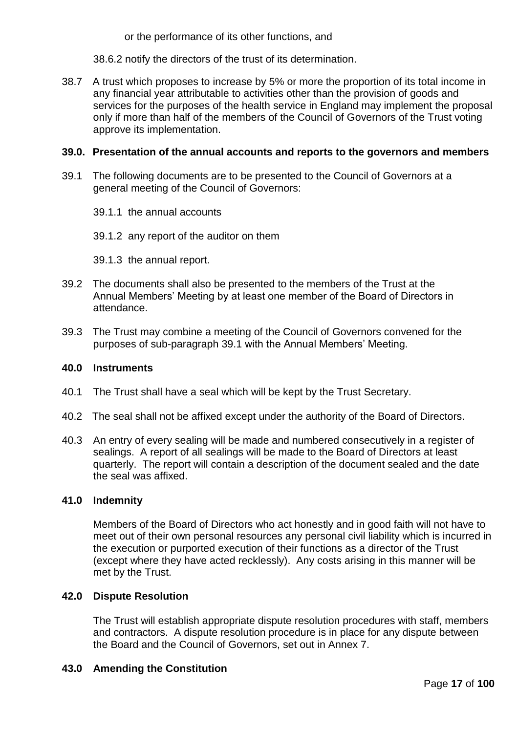or the performance of its other functions, and

38.6.2 notify the directors of the trust of its determination.

38.7 A trust which proposes to increase by 5% or more the proportion of its total income in any financial year attributable to activities other than the provision of goods and services for the purposes of the health service in England may implement the proposal only if more than half of the members of the Council of Governors of the Trust voting approve its implementation.

## **39.0. Presentation of the annual accounts and reports to the governors and members**

- 39.1 The following documents are to be presented to the Council of Governors at a general meeting of the Council of Governors:
	- 39.1.1 the annual accounts
	- 39.1.2 any report of the auditor on them
	- 39.1.3 the annual report.
- 39.2 The documents shall also be presented to the members of the Trust at the Annual Members' Meeting by at least one member of the Board of Directors in attendance.
- 39.3 The Trust may combine a meeting of the Council of Governors convened for the purposes of sub-paragraph 39.1 with the Annual Members' Meeting.

### **40.0 Instruments**

- 40.1 The Trust shall have a seal which will be kept by the Trust Secretary.
- 40.2 The seal shall not be affixed except under the authority of the Board of Directors.
- 40.3 An entry of every sealing will be made and numbered consecutively in a register of sealings. A report of all sealings will be made to the Board of Directors at least quarterly. The report will contain a description of the document sealed and the date the seal was affixed.

### **41.0 Indemnity**

Members of the Board of Directors who act honestly and in good faith will not have to meet out of their own personal resources any personal civil liability which is incurred in the execution or purported execution of their functions as a director of the Trust (except where they have acted recklessly). Any costs arising in this manner will be met by the Trust.

# **42.0 Dispute Resolution**

The Trust will establish appropriate dispute resolution procedures with staff, members and contractors. A dispute resolution procedure is in place for any dispute between the Board and the Council of Governors, set out in Annex 7.

### **43.0 Amending the Constitution**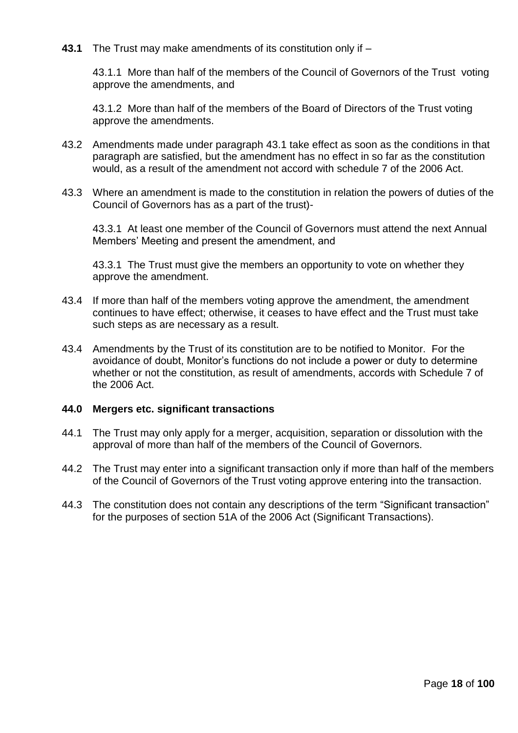**43.1** The Trust may make amendments of its constitution only if –

43.1.1More than half of the members of the Council of Governors of the Trust voting approve the amendments, and

43.1.2More than half of the members of the Board of Directors of the Trust voting approve the amendments.

- 43.2 Amendments made under paragraph 43.1 take effect as soon as the conditions in that paragraph are satisfied, but the amendment has no effect in so far as the constitution would, as a result of the amendment not accord with schedule 7 of the 2006 Act.
- 43.3 Where an amendment is made to the constitution in relation the powers of duties of the Council of Governors has as a part of the trust)-

43.3.1 At least one member of the Council of Governors must attend the next Annual Members' Meeting and present the amendment, and

43.3.1 The Trust must give the members an opportunity to vote on whether they approve the amendment.

- 43.4 If more than half of the members voting approve the amendment, the amendment continues to have effect; otherwise, it ceases to have effect and the Trust must take such steps as are necessary as a result.
- 43.4 Amendments by the Trust of its constitution are to be notified to Monitor. For the avoidance of doubt, Monitor's functions do not include a power or duty to determine whether or not the constitution, as result of amendments, accords with Schedule 7 of the 2006 Act.

### **44.0 Mergers etc. significant transactions**

- 44.1 The Trust may only apply for a merger, acquisition, separation or dissolution with the approval of more than half of the members of the Council of Governors.
- 44.2 The Trust may enter into a significant transaction only if more than half of the members of the Council of Governors of the Trust voting approve entering into the transaction.
- 44.3 The constitution does not contain any descriptions of the term "Significant transaction" for the purposes of section 51A of the 2006 Act (Significant Transactions).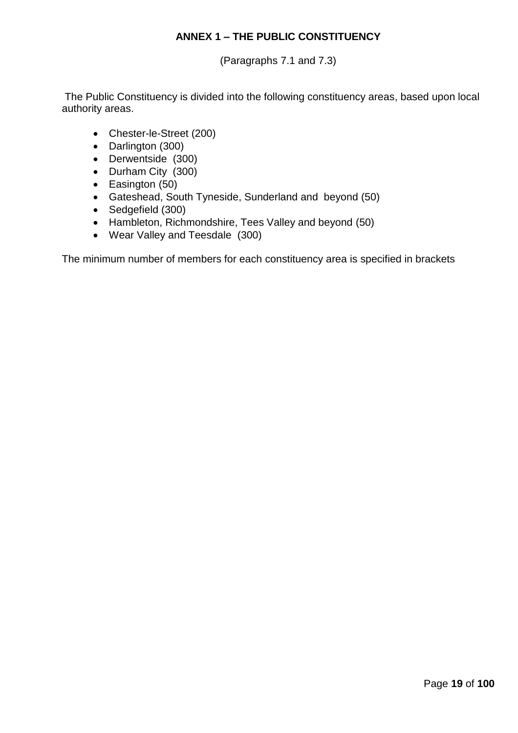# **ANNEX 1 – THE PUBLIC CONSTITUENCY**

(Paragraphs 7.1 and 7.3)

The Public Constituency is divided into the following constituency areas, based upon local authority areas.

- Chester-le-Street (200)
- Darlington (300)
- Derwentside (300)
- Durham City (300)
- Easington (50)
- Gateshead, South Tyneside, Sunderland and beyond (50)
- Sedgefield (300)
- Hambleton, Richmondshire, Tees Valley and beyond (50)
- Wear Valley and Teesdale (300)

The minimum number of members for each constituency area is specified in brackets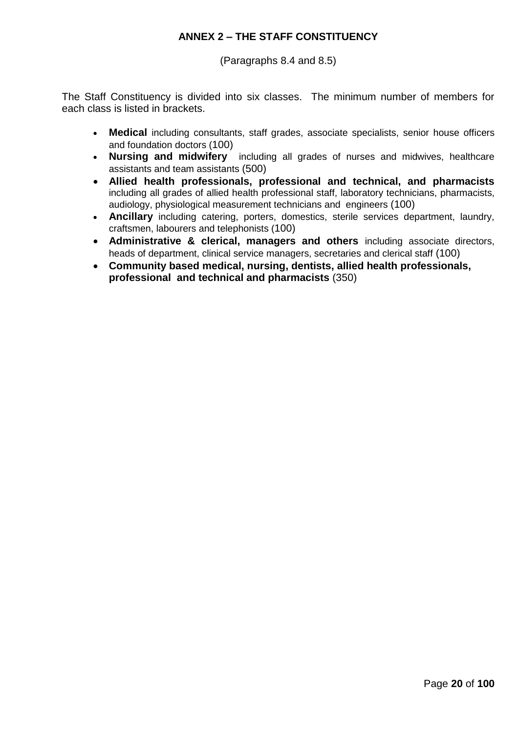# **ANNEX 2 – THE STAFF CONSTITUENCY**

(Paragraphs 8.4 and 8.5)

The Staff Constituency is divided into six classes. The minimum number of members for each class is listed in brackets.

- **Medical** including consultants, staff grades, associate specialists, senior house officers and foundation doctors (100)
- **Nursing and midwifery** including all grades of nurses and midwives, healthcare assistants and team assistants (500)
- **Allied health professionals, professional and technical, and pharmacists**  including all grades of allied health professional staff, laboratory technicians, pharmacists, audiology, physiological measurement technicians and engineers (100)
- **Ancillary** including catering, porters, domestics, sterile services department, laundry, craftsmen, labourers and telephonists (100)
- **Administrative & clerical, managers and others** including associate directors, heads of department, clinical service managers, secretaries and clerical staff (100)
- **Community based medical, nursing, dentists, allied health professionals, professional and technical and pharmacists** (350)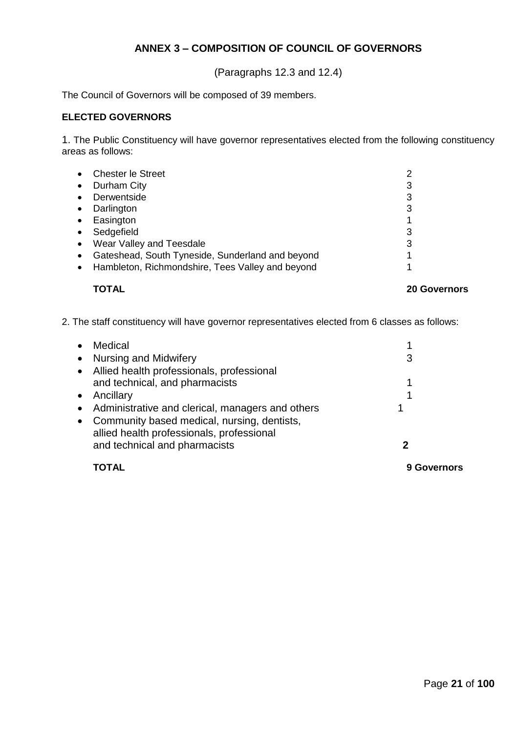# **ANNEX 3 – COMPOSITION OF COUNCIL OF GOVERNORS**

(Paragraphs 12.3 and 12.4)

The Council of Governors will be composed of 39 members.

### **ELECTED GOVERNORS**

1. The Public Constituency will have governor representatives elected from the following constituency areas as follows:

| $\bullet$ | <b>Chester le Street</b>                         |   |
|-----------|--------------------------------------------------|---|
| $\bullet$ | Durham City                                      | 3 |
| $\bullet$ | Derwentside                                      | 3 |
| $\bullet$ | Darlington                                       | 3 |
| $\bullet$ | Easington                                        |   |
| $\bullet$ | Sedgefield                                       | 3 |
| $\bullet$ | Wear Valley and Teesdale                         | 3 |
| $\bullet$ | Gateshead, South Tyneside, Sunderland and beyond |   |
| $\bullet$ | Hambleton, Richmondshire, Tees Valley and beyond |   |
|           |                                                  |   |

### **TOTAL 20 Governors**

2. The staff constituency will have governor representatives elected from 6 classes as follows:

| $\bullet$ | Medical                                            |         |
|-----------|----------------------------------------------------|---------|
|           | • Nursing and Midwifery                            | 3       |
|           | • Allied health professionals, professional        |         |
|           | and technical, and pharmacists                     |         |
|           | • Ancillary                                        |         |
|           | • Administrative and clerical, managers and others |         |
|           | • Community based medical, nursing, dentists,      |         |
|           | allied health professionals, professional          |         |
|           | and technical and pharmacists                      |         |
|           |                                                    | 9 Gover |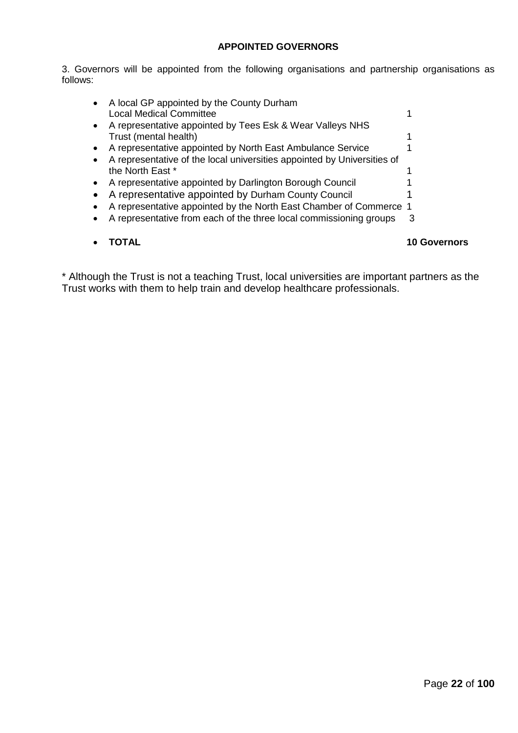# **APPOINTED GOVERNORS**

3. Governors will be appointed from the following organisations and partnership organisations as follows:

|                                                                             | Governors |
|-----------------------------------------------------------------------------|-----------|
| A representative from each of the three local commissioning groups          | 3         |
| A representative appointed by the North East Chamber of Commerce 1          |           |
| A representative appointed by Durham County Council                         |           |
| A representative appointed by Darlington Borough Council                    |           |
| the North East *                                                            |           |
| A representative of the local universities appointed by Universities of     |           |
| A representative appointed by North East Ambulance Service                  |           |
| Trust (mental health)                                                       |           |
| A representative appointed by Tees Esk & Wear Valleys NHS                   |           |
| A local GP appointed by the County Durham<br><b>Local Medical Committee</b> |           |
|                                                                             |           |

\* Although the Trust is not a teaching Trust, local universities are important partners as the Trust works with them to help train and develop healthcare professionals.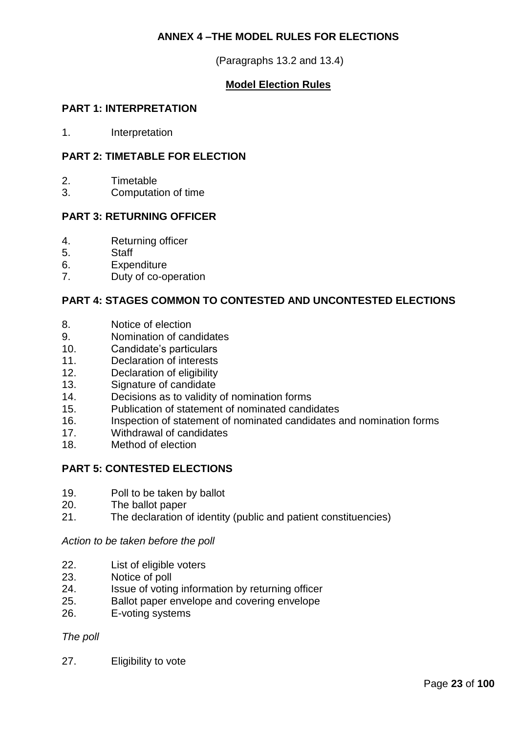# **ANNEX 4 –THE MODEL RULES FOR ELECTIONS**

(Paragraphs 13.2 and 13.4)

# **Model Election Rules**

# **PART 1: INTERPRETATION**

1. Interpretation

# **PART 2: TIMETABLE FOR ELECTION**

- 2. Timetable
- 3. Computation of time

## **PART 3: RETURNING OFFICER**

- 4. Returning officer
- 5. Staff
- 6. Expenditure
- 7. Duty of co-operation

# **PART 4: STAGES COMMON TO CONTESTED AND UNCONTESTED ELECTIONS**

- 8. Notice of election
- 9. Nomination of candidates
- 10. Candidate's particulars
- 11. Declaration of interests
- 12. Declaration of eligibility
- 13. Signature of candidate
- 14. Decisions as to validity of nomination forms
- 15. Publication of statement of nominated candidates
- 16. Inspection of statement of nominated candidates and nomination forms
- 17. Withdrawal of candidates
- 18. Method of election

# **PART 5: CONTESTED ELECTIONS**

- 19. Poll to be taken by ballot
- 20. The ballot paper
- 21. The declaration of identity (public and patient constituencies)

*Action to be taken before the poll*

- 22. List of eligible voters
- 23. Notice of poll
- 24. Issue of voting information by returning officer<br>25. Ballot paper envelope and covering envelope
- Ballot paper envelope and covering envelope
- 26. E-voting systems

### *The poll*

27. Eligibility to vote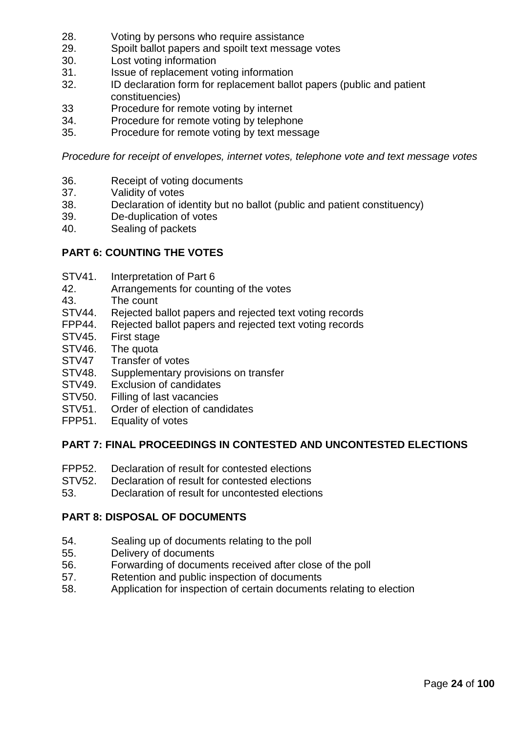- 28. Voting by persons who require assistance
- 29. Spoilt ballot papers and spoilt text message votes
- 30. Lost voting information
- 31. Issue of replacement voting information
- 32. ID declaration form for replacement ballot papers (public and patient constituencies)
- 33 Procedure for remote voting by internet<br>34. Procedure for remote voting by telephor
- Procedure for remote voting by telephone
- 35. Procedure for remote voting by text message

*Procedure for receipt of envelopes, internet votes, telephone vote and text message votes*

- 36. Receipt of voting documents
- 37. Validity of votes
- 38. Declaration of identity but no ballot (public and patient constituency)
- 39. De-duplication of votes
- 40. Sealing of packets

# **PART 6: COUNTING THE VOTES**

- STV41. Interpretation of Part 6
- 42. Arrangements for counting of the votes
- 43. The count
- STV44. Rejected ballot papers and rejected text voting records
- FPP44. Rejected ballot papers and rejected text voting records
- STV45. First stage
- STV46. The quota
- STV47 Transfer of votes
- STV48. Supplementary provisions on transfer
- STV49. Exclusion of candidates
- STV50. Filling of last vacancies
- STV51. Order of election of candidates
- FPP51. Equality of votes

# **PART 7: FINAL PROCEEDINGS IN CONTESTED AND UNCONTESTED ELECTIONS**

- FPP52. Declaration of result for contested elections
- STV52. Declaration of result for contested elections
- 53. Declaration of result for uncontested elections

# **PART 8: DISPOSAL OF DOCUMENTS**

- 54. Sealing up of documents relating to the poll
- 55. Delivery of documents
- 56. Forwarding of documents received after close of the poll
- 57. Retention and public inspection of documents
- 58. Application for inspection of certain documents relating to election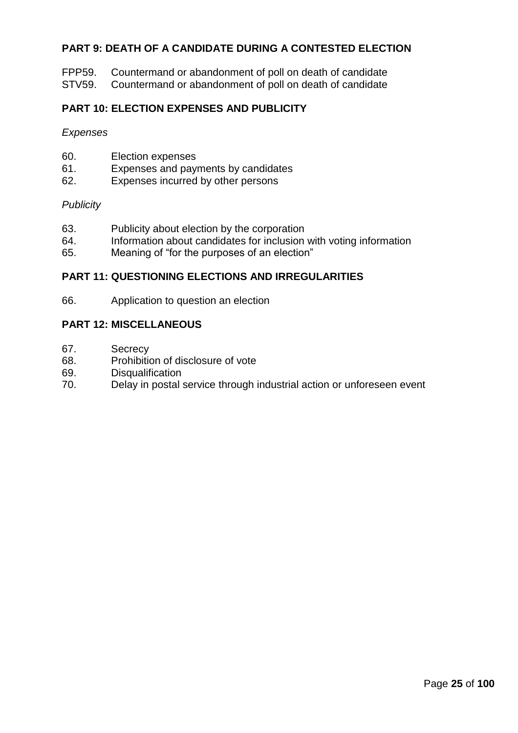# **PART 9: DEATH OF A CANDIDATE DURING A CONTESTED ELECTION**

FPP59. Countermand or abandonment of poll on death of candidate

STV59. Countermand or abandonment of poll on death of candidate

# **PART 10: ELECTION EXPENSES AND PUBLICITY**

*Expenses*

| 60. | Election expenses |
|-----|-------------------|
|-----|-------------------|

- 61. Expenses and payments by candidates
- 62. Expenses incurred by other persons

### *Publicity*

- 63. Publicity about election by the corporation
- 64. Information about candidates for inclusion with voting information
- 65. Meaning of "for the purposes of an election"

### **PART 11: QUESTIONING ELECTIONS AND IRREGULARITIES**

66. Application to question an election

### **PART 12: MISCELLANEOUS**

- 67. Secrecy
- 68. Prohibition of disclosure of vote
- 69. Disqualification
- 70. Delay in postal service through industrial action or unforeseen event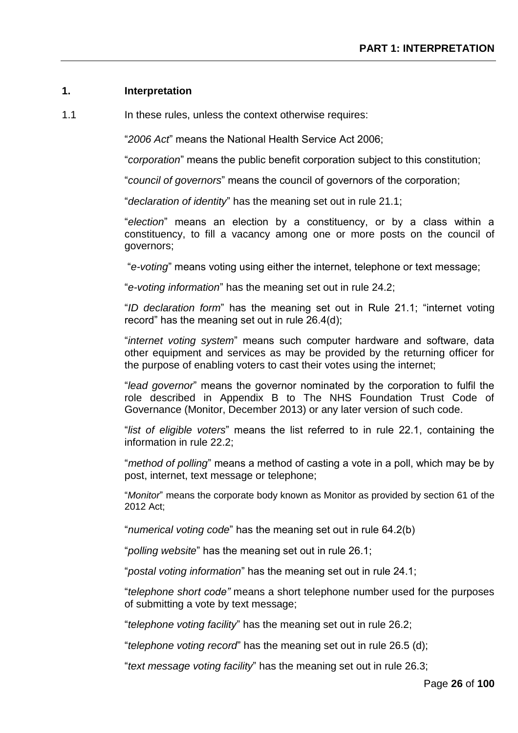# **1. Interpretation**

1.1 In these rules, unless the context otherwise requires:

"*2006 Act*" means the National Health Service Act 2006;

"*corporation*" means the public benefit corporation subject to this constitution;

"*council of governors*" means the council of governors of the corporation;

"*declaration of identity*" has the meaning set out in rule 21.1;

"*election*" means an election by a constituency, or by a class within a constituency, to fill a vacancy among one or more posts on the council of governors;

"*e-voting*" means voting using either the internet, telephone or text message;

"*e-voting information*" has the meaning set out in rule 24.2;

"*ID declaration form*" has the meaning set out in Rule 21.1; "internet voting record" has the meaning set out in rule 26.4(d);

"*internet voting system*" means such computer hardware and software, data other equipment and services as may be provided by the returning officer for the purpose of enabling voters to cast their votes using the internet;

"*lead governor*" means the governor nominated by the corporation to fulfil the role described in Appendix B to The NHS Foundation Trust Code of Governance (Monitor, December 2013) or any later version of such code.

"*list of eligible voters*" means the list referred to in rule 22.1, containing the information in rule 22.2;

"*method of polling*" means a method of casting a vote in a poll, which may be by post, internet, text message or telephone;

"*Monitor*" means the corporate body known as Monitor as provided by section 61 of the 2012 Act;

"*numerical voting code*" has the meaning set out in rule 64.2(b)

"*polling website*" has the meaning set out in rule 26.1;

"*postal voting information*" has the meaning set out in rule 24.1;

"*telephone short code"* means a short telephone number used for the purposes of submitting a vote by text message;

"*telephone voting facility*" has the meaning set out in rule 26.2;

"*telephone voting record*" has the meaning set out in rule 26.5 (d);

"*text message voting facility*" has the meaning set out in rule 26.3;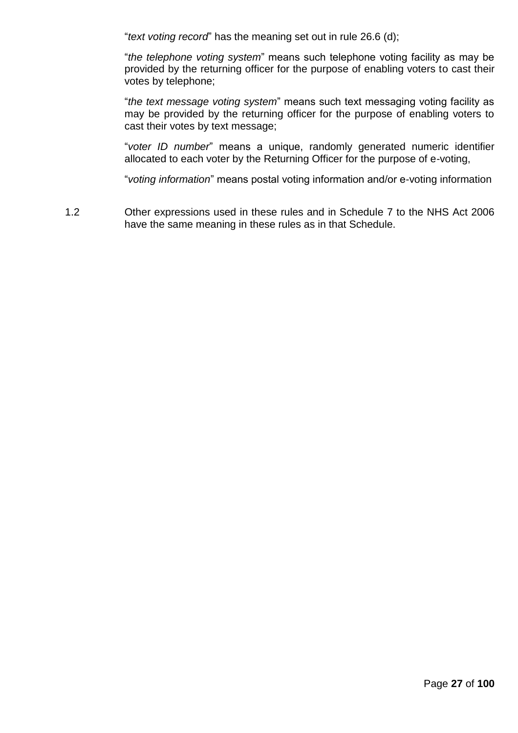"*text voting record*" has the meaning set out in rule 26.6 (d);

"*the telephone voting system*" means such telephone voting facility as may be provided by the returning officer for the purpose of enabling voters to cast their votes by telephone;

"*the text message voting system*" means such text messaging voting facility as may be provided by the returning officer for the purpose of enabling voters to cast their votes by text message;

"*voter ID number*" means a unique, randomly generated numeric identifier allocated to each voter by the Returning Officer for the purpose of e-voting,

"*voting information*" means postal voting information and/or e-voting information

1.2 Other expressions used in these rules and in Schedule 7 to the NHS Act 2006 have the same meaning in these rules as in that Schedule.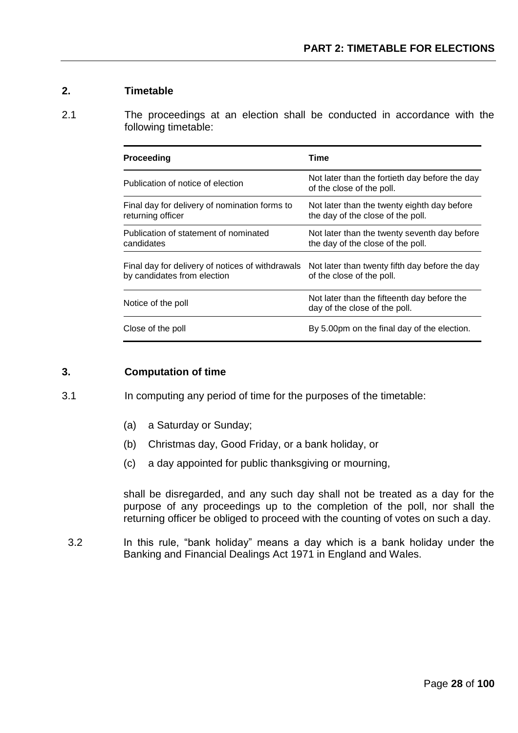# **2. Timetable**

2.1 The proceedings at an election shall be conducted in accordance with the following timetable:

| <b>Proceeding</b>                                                               | Time                                                                              |
|---------------------------------------------------------------------------------|-----------------------------------------------------------------------------------|
| Publication of notice of election                                               | Not later than the fortieth day before the day<br>of the close of the poll.       |
| Final day for delivery of nomination forms to<br>returning officer              | Not later than the twenty eighth day before<br>the day of the close of the poll.  |
| Publication of statement of nominated<br>candidates                             | Not later than the twenty seventh day before<br>the day of the close of the poll. |
| Final day for delivery of notices of withdrawals<br>by candidates from election | Not later than twenty fifth day before the day<br>of the close of the poll.       |
| Notice of the poll                                                              | Not later than the fifteenth day before the<br>day of the close of the poll.      |
| Close of the poll                                                               | By 5.00pm on the final day of the election.                                       |

## **3. Computation of time**

- 3.1 In computing any period of time for the purposes of the timetable:
	- (a) a Saturday or Sunday;
	- (b) Christmas day, Good Friday, or a bank holiday, or
	- (c) a day appointed for public thanksgiving or mourning,

shall be disregarded, and any such day shall not be treated as a day for the purpose of any proceedings up to the completion of the poll, nor shall the returning officer be obliged to proceed with the counting of votes on such a day.

3.2 In this rule, "bank holiday" means a day which is a bank holiday under the Banking and Financial Dealings Act 1971 in England and Wales.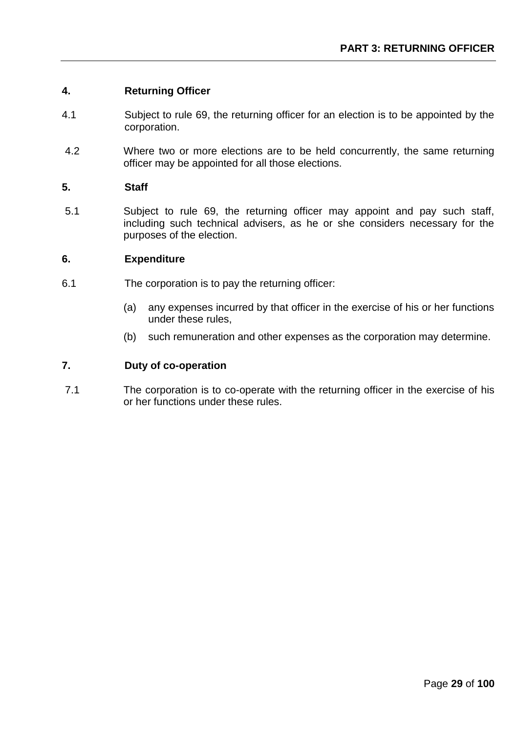## **4. Returning Officer**

- 4.1 Subject to rule 69, the returning officer for an election is to be appointed by the corporation.
- 4.2 Where two or more elections are to be held concurrently, the same returning officer may be appointed for all those elections.

### **5. Staff**

5.1 Subject to rule 69, the returning officer may appoint and pay such staff, including such technical advisers, as he or she considers necessary for the purposes of the election.

### **6. Expenditure**

- 6.1 The corporation is to pay the returning officer:
	- (a) any expenses incurred by that officer in the exercise of his or her functions under these rules,
	- (b) such remuneration and other expenses as the corporation may determine.

### **7. Duty of co-operation**

7.1 The corporation is to co-operate with the returning officer in the exercise of his or her functions under these rules.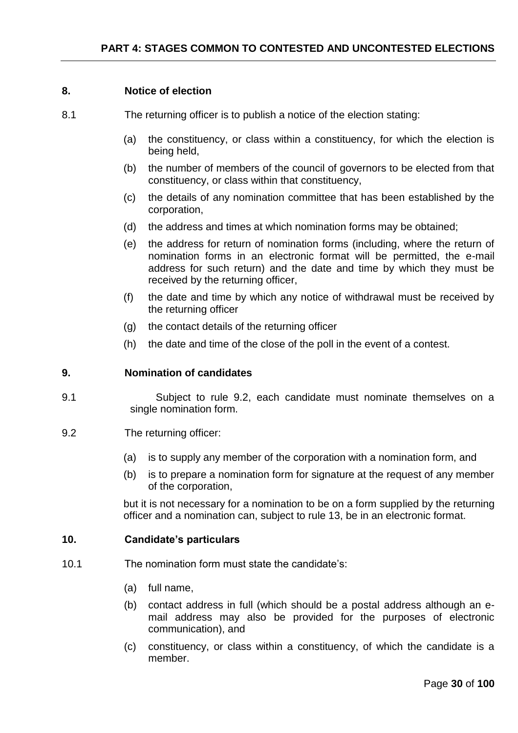# **8. Notice of election**

- 8.1 The returning officer is to publish a notice of the election stating:
	- (a) the constituency, or class within a constituency, for which the election is being held,
	- (b) the number of members of the council of governors to be elected from that constituency, or class within that constituency,
	- (c) the details of any nomination committee that has been established by the corporation,
	- (d) the address and times at which nomination forms may be obtained;
	- (e) the address for return of nomination forms (including, where the return of nomination forms in an electronic format will be permitted, the e-mail address for such return) and the date and time by which they must be received by the returning officer,
	- (f) the date and time by which any notice of withdrawal must be received by the returning officer
	- (g) the contact details of the returning officer
	- (h) the date and time of the close of the poll in the event of a contest.

# **9. Nomination of candidates**

- 9.1 Subject to rule 9.2, each candidate must nominate themselves on a single nomination form.
- 9.2 The returning officer:
	- (a) is to supply any member of the corporation with a nomination form, and
	- (b) is to prepare a nomination form for signature at the request of any member of the corporation,

but it is not necessary for a nomination to be on a form supplied by the returning officer and a nomination can, subject to rule 13, be in an electronic format.

# **10. Candidate's particulars**

- 10.1 The nomination form must state the candidate's:
	- (a) full name,
	- (b) contact address in full (which should be a postal address although an email address may also be provided for the purposes of electronic communication), and
	- (c) constituency, or class within a constituency, of which the candidate is a member.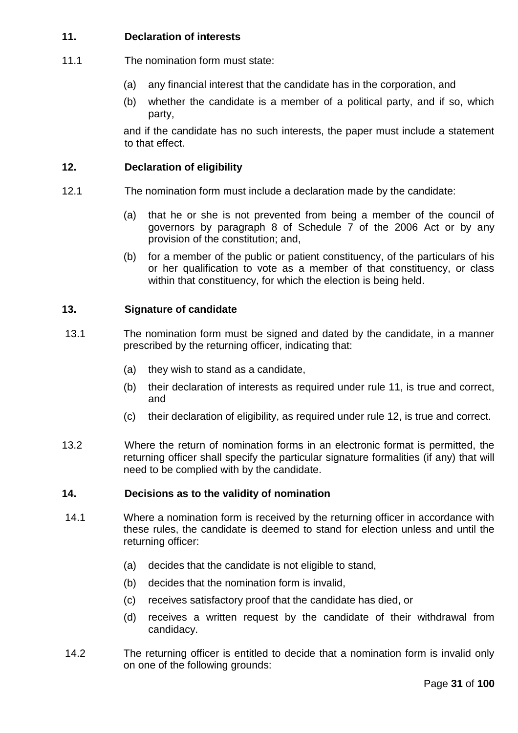# **11. Declaration of interests**

- 11.1 The nomination form must state:
	- (a) any financial interest that the candidate has in the corporation, and
	- (b) whether the candidate is a member of a political party, and if so, which party,

and if the candidate has no such interests, the paper must include a statement to that effect.

# **12. Declaration of eligibility**

- 12.1 The nomination form must include a declaration made by the candidate:
	- (a) that he or she is not prevented from being a member of the council of governors by paragraph 8 of Schedule 7 of the 2006 Act or by any provision of the constitution; and,
	- (b) for a member of the public or patient constituency, of the particulars of his or her qualification to vote as a member of that constituency, or class within that constituency, for which the election is being held.

# **13. Signature of candidate**

- 13.1 The nomination form must be signed and dated by the candidate, in a manner prescribed by the returning officer, indicating that:
	- (a) they wish to stand as a candidate,
	- (b) their declaration of interests as required under rule 11, is true and correct, and
	- (c) their declaration of eligibility, as required under rule 12, is true and correct.
- 13.2 Where the return of nomination forms in an electronic format is permitted, the returning officer shall specify the particular signature formalities (if any) that will need to be complied with by the candidate.

# **14. Decisions as to the validity of nomination**

- 14.1 Where a nomination form is received by the returning officer in accordance with these rules, the candidate is deemed to stand for election unless and until the returning officer:
	- (a) decides that the candidate is not eligible to stand,
	- (b) decides that the nomination form is invalid,
	- (c) receives satisfactory proof that the candidate has died, or
	- (d) receives a written request by the candidate of their withdrawal from candidacy.
- 14.2 The returning officer is entitled to decide that a nomination form is invalid only on one of the following grounds: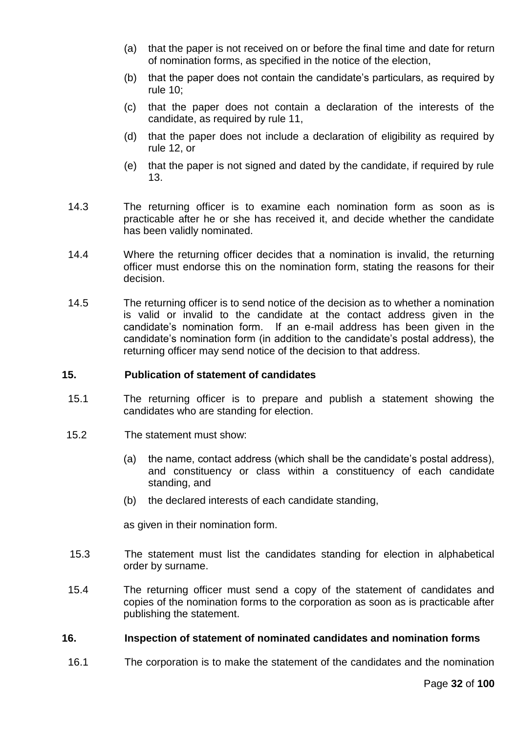- (a) that the paper is not received on or before the final time and date for return of nomination forms, as specified in the notice of the election,
- (b) that the paper does not contain the candidate's particulars, as required by rule 10;
- (c) that the paper does not contain a declaration of the interests of the candidate, as required by rule 11,
- (d) that the paper does not include a declaration of eligibility as required by rule 12, or
- (e) that the paper is not signed and dated by the candidate, if required by rule 13.
- 14.3 The returning officer is to examine each nomination form as soon as is practicable after he or she has received it, and decide whether the candidate has been validly nominated.
- 14.4 Where the returning officer decides that a nomination is invalid, the returning officer must endorse this on the nomination form, stating the reasons for their decision.
- 14.5 The returning officer is to send notice of the decision as to whether a nomination is valid or invalid to the candidate at the contact address given in the candidate's nomination form. If an e-mail address has been given in the candidate's nomination form (in addition to the candidate's postal address), the returning officer may send notice of the decision to that address.

### **15. Publication of statement of candidates**

- 15.1 The returning officer is to prepare and publish a statement showing the candidates who are standing for election.
- 15.2 The statement must show:
	- (a) the name, contact address (which shall be the candidate's postal address), and constituency or class within a constituency of each candidate standing, and
	- (b) the declared interests of each candidate standing,

as given in their nomination form.

- 15.3 The statement must list the candidates standing for election in alphabetical order by surname.
- 15.4 The returning officer must send a copy of the statement of candidates and copies of the nomination forms to the corporation as soon as is practicable after publishing the statement.

### **16. Inspection of statement of nominated candidates and nomination forms**

16.1 The corporation is to make the statement of the candidates and the nomination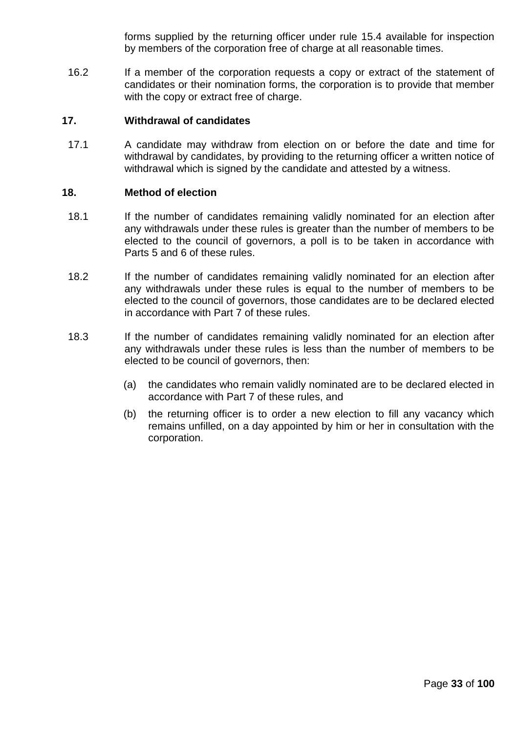forms supplied by the returning officer under rule 15.4 available for inspection by members of the corporation free of charge at all reasonable times.

16.2 If a member of the corporation requests a copy or extract of the statement of candidates or their nomination forms, the corporation is to provide that member with the copy or extract free of charge.

# **17. Withdrawal of candidates**

17.1 A candidate may withdraw from election on or before the date and time for withdrawal by candidates, by providing to the returning officer a written notice of withdrawal which is signed by the candidate and attested by a witness.

### **18. Method of election**

- 18.1 If the number of candidates remaining validly nominated for an election after any withdrawals under these rules is greater than the number of members to be elected to the council of governors, a poll is to be taken in accordance with Parts 5 and 6 of these rules.
- 18.2 If the number of candidates remaining validly nominated for an election after any withdrawals under these rules is equal to the number of members to be elected to the council of governors, those candidates are to be declared elected in accordance with Part 7 of these rules.
- 18.3 If the number of candidates remaining validly nominated for an election after any withdrawals under these rules is less than the number of members to be elected to be council of governors, then:
	- (a) the candidates who remain validly nominated are to be declared elected in accordance with Part 7 of these rules, and
	- (b) the returning officer is to order a new election to fill any vacancy which remains unfilled, on a day appointed by him or her in consultation with the corporation.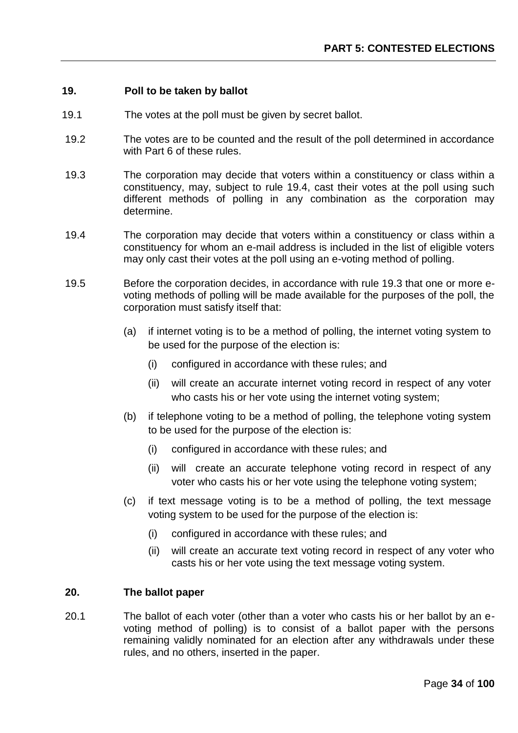### **19. Poll to be taken by ballot**

- 19.1 The votes at the poll must be given by secret ballot.
- 19.2 The votes are to be counted and the result of the poll determined in accordance with Part 6 of these rules.
- 19.3 The corporation may decide that voters within a constituency or class within a constituency, may, subject to rule 19.4, cast their votes at the poll using such different methods of polling in any combination as the corporation may determine.
- 19.4 The corporation may decide that voters within a constituency or class within a constituency for whom an e-mail address is included in the list of eligible voters may only cast their votes at the poll using an e-voting method of polling.
- 19.5 Before the corporation decides, in accordance with rule 19.3 that one or more evoting methods of polling will be made available for the purposes of the poll, the corporation must satisfy itself that:
	- (a) if internet voting is to be a method of polling, the internet voting system to be used for the purpose of the election is:
		- (i) configured in accordance with these rules; and
		- (ii) will create an accurate internet voting record in respect of any voter who casts his or her vote using the internet voting system;
	- (b) if telephone voting to be a method of polling, the telephone voting system to be used for the purpose of the election is:
		- (i) configured in accordance with these rules; and
		- (ii) will create an accurate telephone voting record in respect of any voter who casts his or her vote using the telephone voting system;
	- (c) if text message voting is to be a method of polling, the text message voting system to be used for the purpose of the election is:
		- (i) configured in accordance with these rules; and
		- (ii) will create an accurate text voting record in respect of any voter who casts his or her vote using the text message voting system.

### **20. The ballot paper**

20.1 The ballot of each voter (other than a voter who casts his or her ballot by an evoting method of polling) is to consist of a ballot paper with the persons remaining validly nominated for an election after any withdrawals under these rules, and no others, inserted in the paper.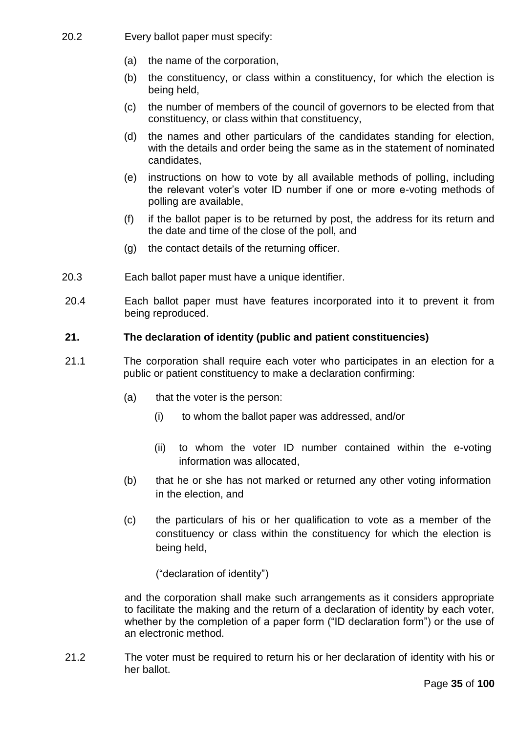- 20.2 Every ballot paper must specify:
	- (a) the name of the corporation,
	- (b) the constituency, or class within a constituency, for which the election is being held,
	- (c) the number of members of the council of governors to be elected from that constituency, or class within that constituency,
	- (d) the names and other particulars of the candidates standing for election, with the details and order being the same as in the statement of nominated candidates,
	- (e) instructions on how to vote by all available methods of polling, including the relevant voter's voter ID number if one or more e-voting methods of polling are available,
	- (f) if the ballot paper is to be returned by post, the address for its return and the date and time of the close of the poll, and
	- (g) the contact details of the returning officer.
- 20.3 Each ballot paper must have a unique identifier.
- 20.4 Each ballot paper must have features incorporated into it to prevent it from being reproduced.

### **21. The declaration of identity (public and patient constituencies)**

- 21.1 The corporation shall require each voter who participates in an election for a public or patient constituency to make a declaration confirming:
	- (a) that the voter is the person:
		- (i) to whom the ballot paper was addressed, and/or
		- (ii) to whom the voter ID number contained within the e-voting information was allocated,
	- (b) that he or she has not marked or returned any other voting information in the election, and
	- (c) the particulars of his or her qualification to vote as a member of the constituency or class within the constituency for which the election is being held,

("declaration of identity")

and the corporation shall make such arrangements as it considers appropriate to facilitate the making and the return of a declaration of identity by each voter, whether by the completion of a paper form ("ID declaration form") or the use of an electronic method.

21.2 The voter must be required to return his or her declaration of identity with his or her ballot.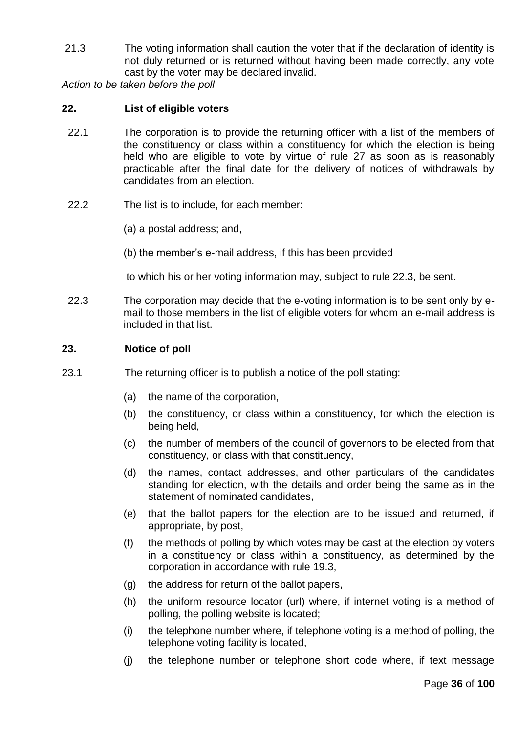21.3 The voting information shall caution the voter that if the declaration of identity is not duly returned or is returned without having been made correctly, any vote cast by the voter may be declared invalid.

*Action to be taken before the poll*

## **22. List of eligible voters**

- 22.1 The corporation is to provide the returning officer with a list of the members of the constituency or class within a constituency for which the election is being held who are eligible to vote by virtue of rule 27 as soon as is reasonably practicable after the final date for the delivery of notices of withdrawals by candidates from an election.
- 22.2 The list is to include, for each member:
	- (a) a postal address; and,
	- (b) the member's e-mail address, if this has been provided

to which his or her voting information may, subject to rule 22.3, be sent.

22.3 The corporation may decide that the e-voting information is to be sent only by email to those members in the list of eligible voters for whom an e-mail address is included in that list.

### **23. Notice of poll**

- 23.1 The returning officer is to publish a notice of the poll stating:
	- (a) the name of the corporation,
	- (b) the constituency, or class within a constituency, for which the election is being held,
	- (c) the number of members of the council of governors to be elected from that constituency, or class with that constituency,
	- (d) the names, contact addresses, and other particulars of the candidates standing for election, with the details and order being the same as in the statement of nominated candidates,
	- (e) that the ballot papers for the election are to be issued and returned, if appropriate, by post,
	- (f) the methods of polling by which votes may be cast at the election by voters in a constituency or class within a constituency, as determined by the corporation in accordance with rule 19.3,
	- (g) the address for return of the ballot papers,
	- (h) the uniform resource locator (url) where, if internet voting is a method of polling, the polling website is located;
	- (i) the telephone number where, if telephone voting is a method of polling, the telephone voting facility is located,
	- (j) the telephone number or telephone short code where, if text message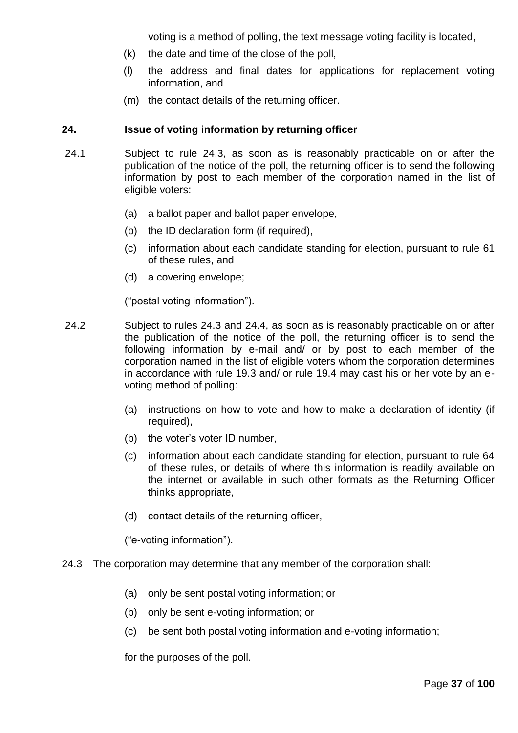voting is a method of polling, the text message voting facility is located,

- (k) the date and time of the close of the poll,
- (l) the address and final dates for applications for replacement voting information, and
- (m) the contact details of the returning officer.

### **24. Issue of voting information by returning officer**

- 24.1 Subject to rule 24.3, as soon as is reasonably practicable on or after the publication of the notice of the poll, the returning officer is to send the following information by post to each member of the corporation named in the list of eligible voters:
	- (a) a ballot paper and ballot paper envelope,
	- (b) the ID declaration form (if required),
	- (c) information about each candidate standing for election, pursuant to rule 61 of these rules, and
	- (d) a covering envelope;

("postal voting information").

- 24.2 Subject to rules 24.3 and 24.4, as soon as is reasonably practicable on or after the publication of the notice of the poll, the returning officer is to send the following information by e-mail and/ or by post to each member of the corporation named in the list of eligible voters whom the corporation determines in accordance with rule 19.3 and/ or rule 19.4 may cast his or her vote by an evoting method of polling:
	- (a) instructions on how to vote and how to make a declaration of identity (if required),
	- (b) the voter's voter ID number,
	- (c) information about each candidate standing for election, pursuant to rule 64 of these rules, or details of where this information is readily available on the internet or available in such other formats as the Returning Officer thinks appropriate,
	- (d) contact details of the returning officer,

("e-voting information").

- 24.3 The corporation may determine that any member of the corporation shall:
	- (a) only be sent postal voting information; or
	- (b) only be sent e-voting information; or
	- (c) be sent both postal voting information and e-voting information;

for the purposes of the poll.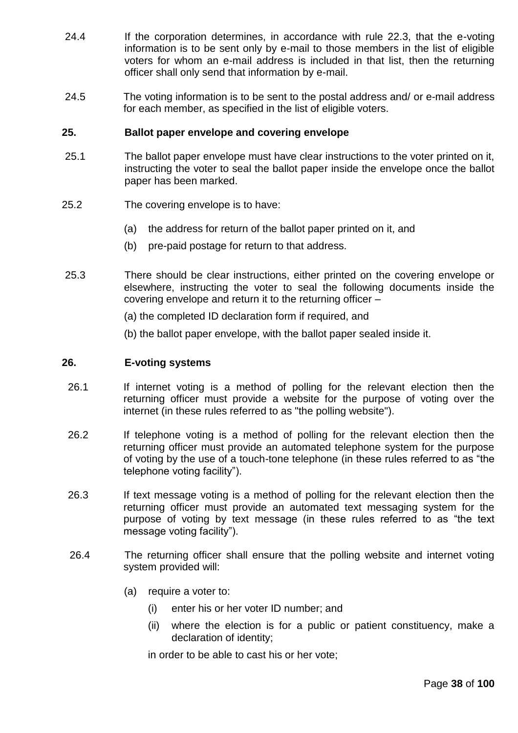- 24.4 If the corporation determines, in accordance with rule 22.3, that the e-voting information is to be sent only by e-mail to those members in the list of eligible voters for whom an e-mail address is included in that list, then the returning officer shall only send that information by e-mail.
- 24.5 The voting information is to be sent to the postal address and/ or e-mail address for each member, as specified in the list of eligible voters.

### **25. Ballot paper envelope and covering envelope**

- 25.1 The ballot paper envelope must have clear instructions to the voter printed on it, instructing the voter to seal the ballot paper inside the envelope once the ballot paper has been marked.
- 25.2 The covering envelope is to have:
	- (a) the address for return of the ballot paper printed on it, and
	- (b) pre-paid postage for return to that address.
- 25.3 There should be clear instructions, either printed on the covering envelope or elsewhere, instructing the voter to seal the following documents inside the covering envelope and return it to the returning officer –
	- (a) the completed ID declaration form if required, and
	- (b) the ballot paper envelope, with the ballot paper sealed inside it.

#### **26. E-voting systems**

- 26.1 If internet voting is a method of polling for the relevant election then the returning officer must provide a website for the purpose of voting over the internet (in these rules referred to as "the polling website").
- 26.2 If telephone voting is a method of polling for the relevant election then the returning officer must provide an automated telephone system for the purpose of voting by the use of a touch-tone telephone (in these rules referred to as "the telephone voting facility").
- 26.3 If text message voting is a method of polling for the relevant election then the returning officer must provide an automated text messaging system for the purpose of voting by text message (in these rules referred to as "the text message voting facility").
- 26.4 The returning officer shall ensure that the polling website and internet voting system provided will:
	- (a) require a voter to:
		- (i) enter his or her voter ID number; and
		- (ii) where the election is for a public or patient constituency, make a declaration of identity;

in order to be able to cast his or her vote;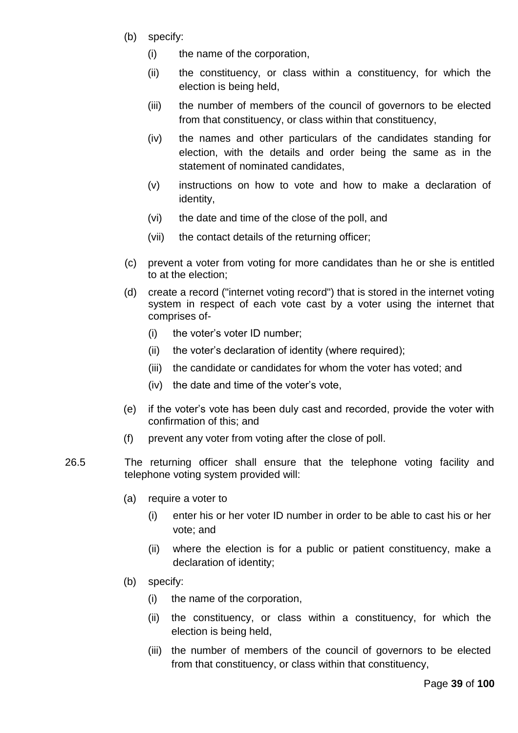- (b) specify:
	- (i) the name of the corporation,
	- (ii) the constituency, or class within a constituency, for which the election is being held,
	- (iii) the number of members of the council of governors to be elected from that constituency, or class within that constituency,
	- (iv) the names and other particulars of the candidates standing for election, with the details and order being the same as in the statement of nominated candidates,
	- (v) instructions on how to vote and how to make a declaration of identity,
	- (vi) the date and time of the close of the poll, and
	- (vii) the contact details of the returning officer;
- (c) prevent a voter from voting for more candidates than he or she is entitled to at the election;
- (d) create a record ("internet voting record") that is stored in the internet voting system in respect of each vote cast by a voter using the internet that comprises of-
	- (i) the voter's voter ID number;
	- (ii) the voter's declaration of identity (where required);
	- (iii) the candidate or candidates for whom the voter has voted; and
	- (iv) the date and time of the voter's vote,
- (e) if the voter's vote has been duly cast and recorded, provide the voter with confirmation of this; and
- (f) prevent any voter from voting after the close of poll.
- 26.5 The returning officer shall ensure that the telephone voting facility and telephone voting system provided will:
	- (a) require a voter to
		- (i) enter his or her voter ID number in order to be able to cast his or her vote; and
		- (ii) where the election is for a public or patient constituency, make a declaration of identity;
	- (b) specify:
		- (i) the name of the corporation,
		- (ii) the constituency, or class within a constituency, for which the election is being held,
		- (iii) the number of members of the council of governors to be elected from that constituency, or class within that constituency,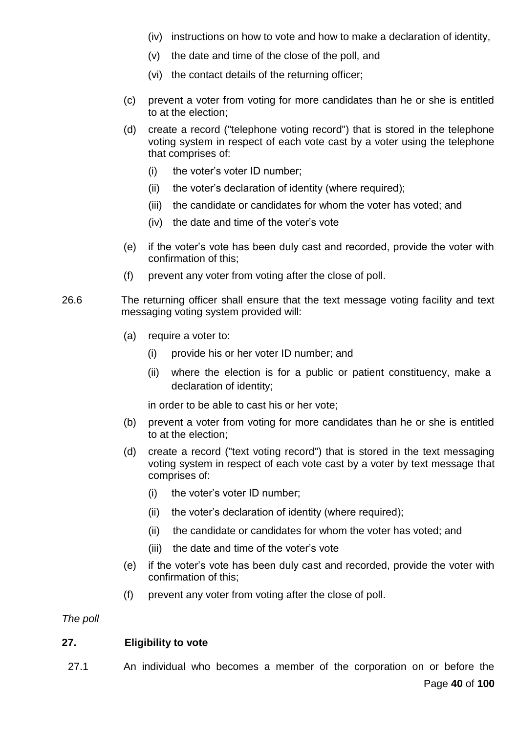- (iv) instructions on how to vote and how to make a declaration of identity,
- (v) the date and time of the close of the poll, and
- (vi) the contact details of the returning officer;
- (c) prevent a voter from voting for more candidates than he or she is entitled to at the election;
- (d) create a record ("telephone voting record") that is stored in the telephone voting system in respect of each vote cast by a voter using the telephone that comprises of:
	- (i) the voter's voter ID number;
	- (ii) the voter's declaration of identity (where required);
	- (iii) the candidate or candidates for whom the voter has voted; and
	- (iv) the date and time of the voter's vote
- (e) if the voter's vote has been duly cast and recorded, provide the voter with confirmation of this;
- (f) prevent any voter from voting after the close of poll.
- 26.6 The returning officer shall ensure that the text message voting facility and text messaging voting system provided will:
	- (a) require a voter to:
		- (i) provide his or her voter ID number; and
		- (ii) where the election is for a public or patient constituency, make a declaration of identity;

in order to be able to cast his or her vote;

- (b) prevent a voter from voting for more candidates than he or she is entitled to at the election;
- (d) create a record ("text voting record") that is stored in the text messaging voting system in respect of each vote cast by a voter by text message that comprises of:
	- (i) the voter's voter ID number;
	- (ii) the voter's declaration of identity (where required);
	- (ii) the candidate or candidates for whom the voter has voted; and
	- (iii) the date and time of the voter's vote
- (e) if the voter's vote has been duly cast and recorded, provide the voter with confirmation of this;
- (f) prevent any voter from voting after the close of poll.

*The poll*

# **27. Eligibility to vote**

27.1 An individual who becomes a member of the corporation on or before the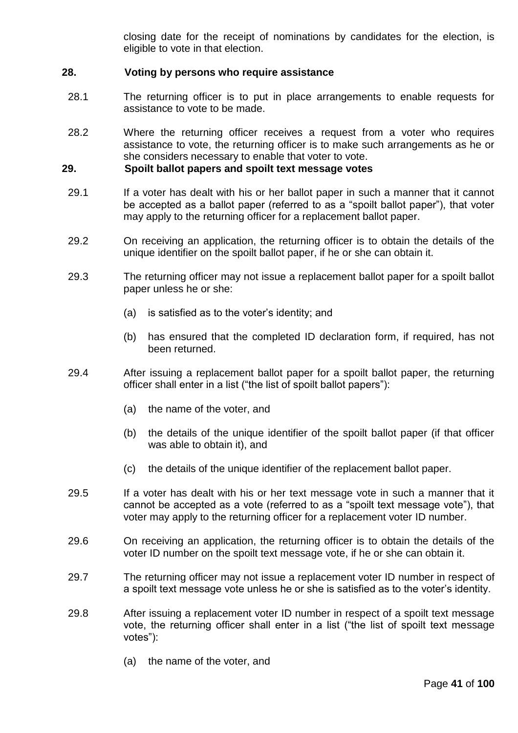closing date for the receipt of nominations by candidates for the election, is eligible to vote in that election.

## **28. Voting by persons who require assistance**

- 28.1 The returning officer is to put in place arrangements to enable requests for assistance to vote to be made.
- 28.2 Where the returning officer receives a request from a voter who requires assistance to vote, the returning officer is to make such arrangements as he or she considers necessary to enable that voter to vote.

### **29. Spoilt ballot papers and spoilt text message votes**

- 29.1 If a voter has dealt with his or her ballot paper in such a manner that it cannot be accepted as a ballot paper (referred to as a "spoilt ballot paper"), that voter may apply to the returning officer for a replacement ballot paper.
- 29.2 On receiving an application, the returning officer is to obtain the details of the unique identifier on the spoilt ballot paper, if he or she can obtain it.
- 29.3 The returning officer may not issue a replacement ballot paper for a spoilt ballot paper unless he or she:
	- (a) is satisfied as to the voter's identity; and
	- (b) has ensured that the completed ID declaration form, if required, has not been returned.
- 29.4 After issuing a replacement ballot paper for a spoilt ballot paper, the returning officer shall enter in a list ("the list of spoilt ballot papers"):
	- (a) the name of the voter, and
	- (b) the details of the unique identifier of the spoilt ballot paper (if that officer was able to obtain it), and
	- (c) the details of the unique identifier of the replacement ballot paper.
- 29.5 If a voter has dealt with his or her text message vote in such a manner that it cannot be accepted as a vote (referred to as a "spoilt text message vote"), that voter may apply to the returning officer for a replacement voter ID number.
- 29.6 On receiving an application, the returning officer is to obtain the details of the voter ID number on the spoilt text message vote, if he or she can obtain it.
- 29.7 The returning officer may not issue a replacement voter ID number in respect of a spoilt text message vote unless he or she is satisfied as to the voter's identity.
- 29.8 After issuing a replacement voter ID number in respect of a spoilt text message vote, the returning officer shall enter in a list ("the list of spoilt text message votes"):
	- (a) the name of the voter, and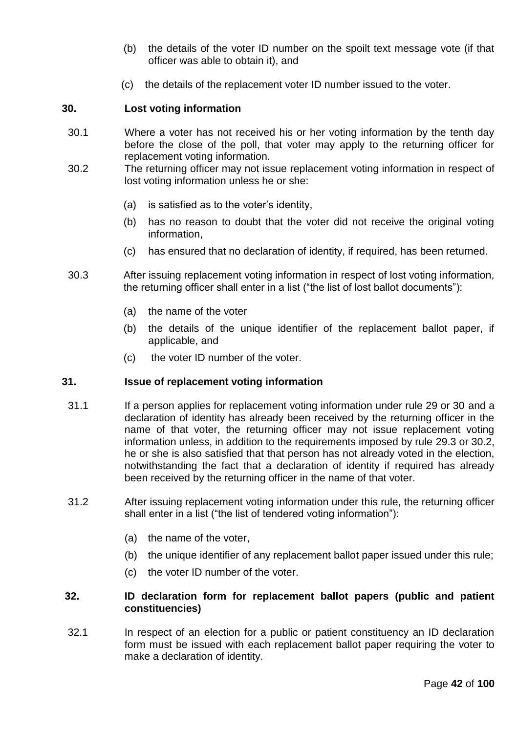- (b) the details of the voter ID number on the spoilt text message vote (if that officer was able to obtain it), and
- (c) the details of the replacement voter ID number issued to the voter.

# **30. Lost voting information**

- 30.1 Where a voter has not received his or her voting information by the tenth day before the close of the poll, that voter may apply to the returning officer for replacement voting information.
- 30.2 The returning officer may not issue replacement voting information in respect of lost voting information unless he or she:
	- (a) is satisfied as to the voter's identity,
	- (b) has no reason to doubt that the voter did not receive the original voting information,
	- (c) has ensured that no declaration of identity, if required, has been returned.
- 30.3 After issuing replacement voting information in respect of lost voting information, the returning officer shall enter in a list ("the list of lost ballot documents"):
	- (a) the name of the voter
	- (b) the details of the unique identifier of the replacement ballot paper, if applicable, and
	- (c) the voter ID number of the voter.

#### **31. Issue of replacement voting information**

- 31.1 If a person applies for replacement voting information under rule 29 or 30 and a declaration of identity has already been received by the returning officer in the name of that voter, the returning officer may not issue replacement voting information unless, in addition to the requirements imposed by rule 29.3 or 30.2, he or she is also satisfied that that person has not already voted in the election, notwithstanding the fact that a declaration of identity if required has already been received by the returning officer in the name of that voter.
- 31.2 After issuing replacement voting information under this rule, the returning officer shall enter in a list ("the list of tendered voting information"):
	- (a) the name of the voter,
	- (b) the unique identifier of any replacement ballot paper issued under this rule;
	- (c) the voter ID number of the voter.

### **32. ID declaration form for replacement ballot papers (public and patient constituencies)**

32.1 In respect of an election for a public or patient constituency an ID declaration form must be issued with each replacement ballot paper requiring the voter to make a declaration of identity.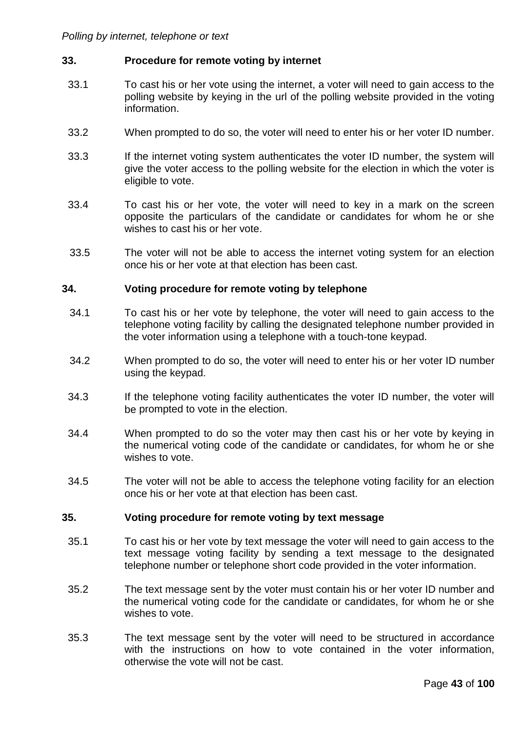### **33. Procedure for remote voting by internet**

- 33.1 To cast his or her vote using the internet, a voter will need to gain access to the polling website by keying in the url of the polling website provided in the voting information.
- 33.2 When prompted to do so, the voter will need to enter his or her voter ID number.
- 33.3 If the internet voting system authenticates the voter ID number, the system will give the voter access to the polling website for the election in which the voter is eligible to vote.
- 33.4 To cast his or her vote, the voter will need to key in a mark on the screen opposite the particulars of the candidate or candidates for whom he or she wishes to cast his or her vote.
- 33.5 The voter will not be able to access the internet voting system for an election once his or her vote at that election has been cast.

#### **34. Voting procedure for remote voting by telephone**

- 34.1 To cast his or her vote by telephone, the voter will need to gain access to the telephone voting facility by calling the designated telephone number provided in the voter information using a telephone with a touch-tone keypad.
- 34.2 When prompted to do so, the voter will need to enter his or her voter ID number using the keypad.
- 34.3 If the telephone voting facility authenticates the voter ID number, the voter will be prompted to vote in the election.
- 34.4 When prompted to do so the voter may then cast his or her vote by keying in the numerical voting code of the candidate or candidates, for whom he or she wishes to vote.
- 34.5 The voter will not be able to access the telephone voting facility for an election once his or her vote at that election has been cast.

#### **35. Voting procedure for remote voting by text message**

- 35.1 To cast his or her vote by text message the voter will need to gain access to the text message voting facility by sending a text message to the designated telephone number or telephone short code provided in the voter information.
- 35.2 The text message sent by the voter must contain his or her voter ID number and the numerical voting code for the candidate or candidates, for whom he or she wishes to vote.
- 35.3 The text message sent by the voter will need to be structured in accordance with the instructions on how to vote contained in the voter information, otherwise the vote will not be cast.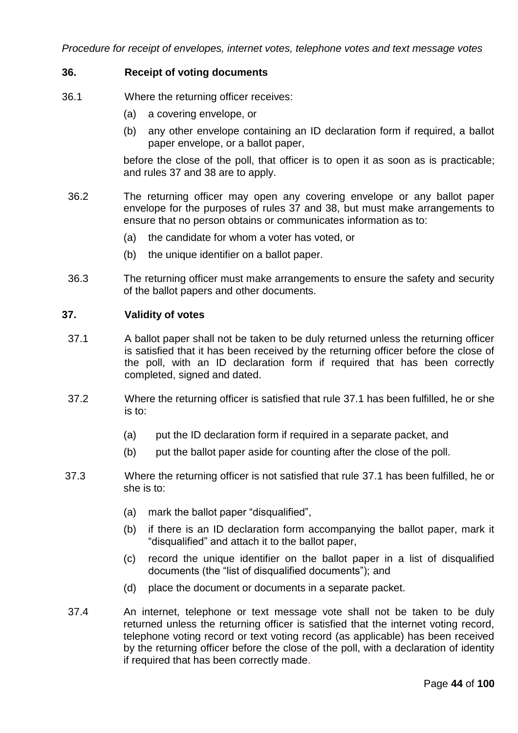*Procedure for receipt of envelopes, internet votes, telephone votes and text message votes*

### **36. Receipt of voting documents**

- 36.1 Where the returning officer receives:
	- (a) a covering envelope, or
	- (b) any other envelope containing an ID declaration form if required, a ballot paper envelope, or a ballot paper,

before the close of the poll, that officer is to open it as soon as is practicable; and rules 37 and 38 are to apply.

- 36.2 The returning officer may open any covering envelope or any ballot paper envelope for the purposes of rules 37 and 38, but must make arrangements to ensure that no person obtains or communicates information as to:
	- (a) the candidate for whom a voter has voted, or
	- (b) the unique identifier on a ballot paper.
- 36.3 The returning officer must make arrangements to ensure the safety and security of the ballot papers and other documents.

### **37. Validity of votes**

- 37.1 A ballot paper shall not be taken to be duly returned unless the returning officer is satisfied that it has been received by the returning officer before the close of the poll, with an ID declaration form if required that has been correctly completed, signed and dated.
- 37.2 Where the returning officer is satisfied that rule 37.1 has been fulfilled, he or she is to:
	- (a) put the ID declaration form if required in a separate packet, and
	- (b) put the ballot paper aside for counting after the close of the poll.
- 37.3 Where the returning officer is not satisfied that rule 37.1 has been fulfilled, he or she is to:
	- (a) mark the ballot paper "disqualified",
	- (b) if there is an ID declaration form accompanying the ballot paper, mark it "disqualified" and attach it to the ballot paper,
	- (c) record the unique identifier on the ballot paper in a list of disqualified documents (the "list of disqualified documents"); and
	- (d) place the document or documents in a separate packet.
- 37.4 An internet, telephone or text message vote shall not be taken to be duly returned unless the returning officer is satisfied that the internet voting record, telephone voting record or text voting record (as applicable) has been received by the returning officer before the close of the poll, with a declaration of identity if required that has been correctly made.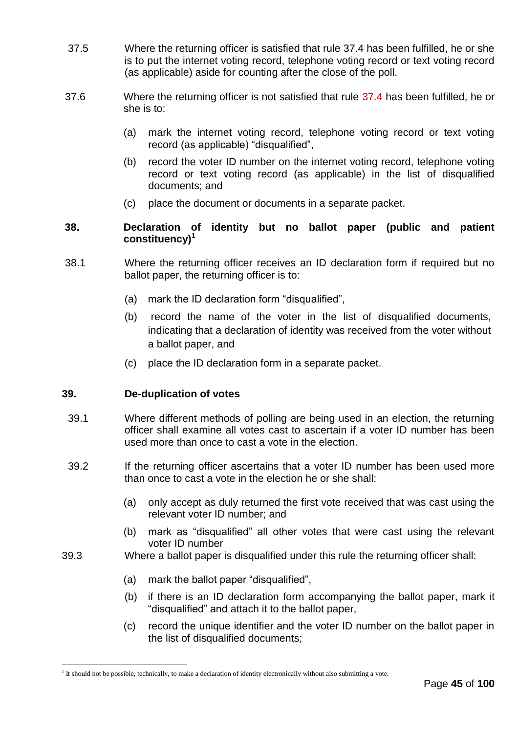- 37.5 Where the returning officer is satisfied that rule 37.4 has been fulfilled, he or she is to put the internet voting record, telephone voting record or text voting record (as applicable) aside for counting after the close of the poll.
- 37.6 Where the returning officer is not satisfied that rule 37.4 has been fulfilled, he or she is to:
	- (a) mark the internet voting record, telephone voting record or text voting record (as applicable) "disqualified",
	- (b) record the voter ID number on the internet voting record, telephone voting record or text voting record (as applicable) in the list of disqualified documents; and
	- (c) place the document or documents in a separate packet.

## **38. Declaration of identity but no ballot paper (public and patient constituency)<sup>1</sup>**

- 38.1 Where the returning officer receives an ID declaration form if required but no ballot paper, the returning officer is to:
	- (a) mark the ID declaration form "disqualified",
	- (b) record the name of the voter in the list of disqualified documents, indicating that a declaration of identity was received from the voter without a ballot paper, and
	- (c) place the ID declaration form in a separate packet.

#### **39. De-duplication of votes**

l

- 39.1 Where different methods of polling are being used in an election, the returning officer shall examine all votes cast to ascertain if a voter ID number has been used more than once to cast a vote in the election.
- 39.2 If the returning officer ascertains that a voter ID number has been used more than once to cast a vote in the election he or she shall:
	- (a) only accept as duly returned the first vote received that was cast using the relevant voter ID number; and
	- (b) mark as "disqualified" all other votes that were cast using the relevant voter ID number
- 39.3 Where a ballot paper is disqualified under this rule the returning officer shall:
	- (a) mark the ballot paper "disqualified",
	- (b) if there is an ID declaration form accompanying the ballot paper, mark it "disqualified" and attach it to the ballot paper,
	- (c) record the unique identifier and the voter ID number on the ballot paper in the list of disqualified documents;

<sup>&</sup>lt;sup>1</sup> It should not be possible, technically, to make a declaration of identity electronically without also submitting a vote.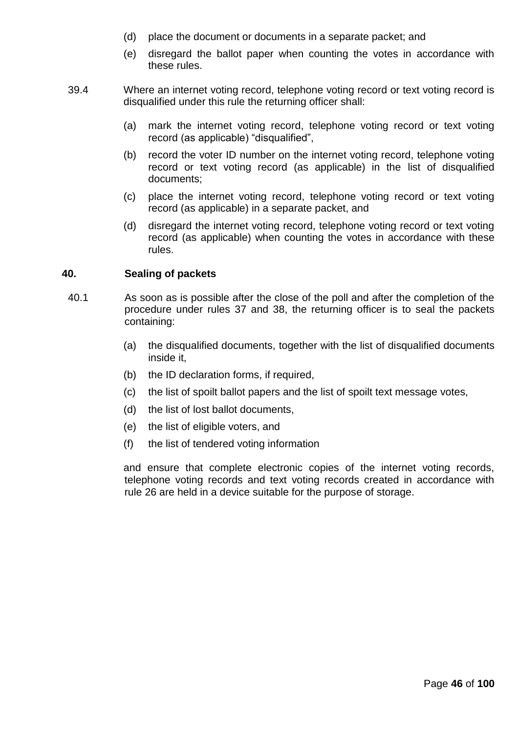- (d) place the document or documents in a separate packet; and
- (e) disregard the ballot paper when counting the votes in accordance with these rules.
- 39.4 Where an internet voting record, telephone voting record or text voting record is disqualified under this rule the returning officer shall:
	- (a) mark the internet voting record, telephone voting record or text voting record (as applicable) "disqualified",
	- (b) record the voter ID number on the internet voting record, telephone voting record or text voting record (as applicable) in the list of disqualified documents;
	- (c) place the internet voting record, telephone voting record or text voting record (as applicable) in a separate packet, and
	- (d) disregard the internet voting record, telephone voting record or text voting record (as applicable) when counting the votes in accordance with these rules.

### **40. Sealing of packets**

- 40.1 As soon as is possible after the close of the poll and after the completion of the procedure under rules 37 and 38, the returning officer is to seal the packets containing:
	- (a) the disqualified documents, together with the list of disqualified documents inside it,
	- (b) the ID declaration forms, if required,
	- (c) the list of spoilt ballot papers and the list of spoilt text message votes,
	- (d) the list of lost ballot documents,
	- (e) the list of eligible voters, and
	- (f) the list of tendered voting information

and ensure that complete electronic copies of the internet voting records, telephone voting records and text voting records created in accordance with rule 26 are held in a device suitable for the purpose of storage.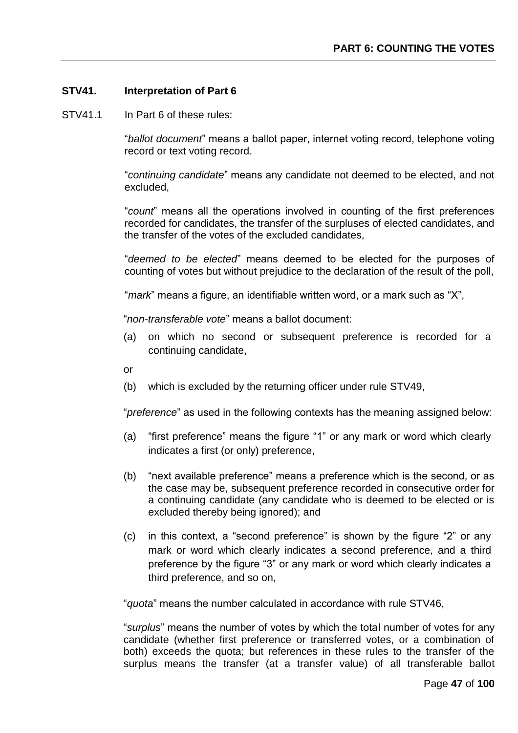### **STV41. Interpretation of Part 6**

STV41.1 In Part 6 of these rules:

"*ballot document*" means a ballot paper, internet voting record, telephone voting record or text voting record.

"*continuing candidate*" means any candidate not deemed to be elected, and not excluded,

"*count*" means all the operations involved in counting of the first preferences recorded for candidates, the transfer of the surpluses of elected candidates, and the transfer of the votes of the excluded candidates,

"*deemed to be elected*" means deemed to be elected for the purposes of counting of votes but without prejudice to the declaration of the result of the poll,

"*mark*" means a figure, an identifiable written word, or a mark such as "X",

"*non-transferable vote*" means a ballot document:

- (a) on which no second or subsequent preference is recorded for a continuing candidate,
- or
- (b) which is excluded by the returning officer under rule STV49,

"*preference*" as used in the following contexts has the meaning assigned below:

- (a) "first preference" means the figure "1" or any mark or word which clearly indicates a first (or only) preference,
- (b) "next available preference" means a preference which is the second, or as the case may be, subsequent preference recorded in consecutive order for a continuing candidate (any candidate who is deemed to be elected or is excluded thereby being ignored); and
- (c) in this context, a "second preference" is shown by the figure "2" or any mark or word which clearly indicates a second preference, and a third preference by the figure "3" or any mark or word which clearly indicates a third preference, and so on,

"*quota*" means the number calculated in accordance with rule STV46,

"*surplus*" means the number of votes by which the total number of votes for any candidate (whether first preference or transferred votes, or a combination of both) exceeds the quota; but references in these rules to the transfer of the surplus means the transfer (at a transfer value) of all transferable ballot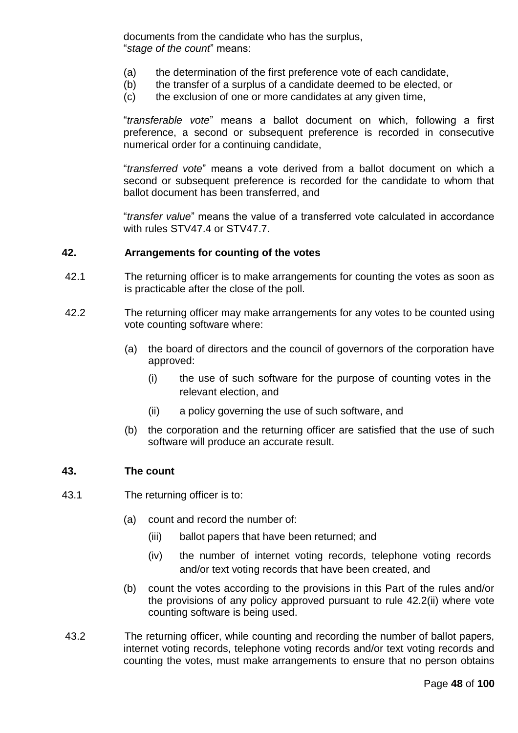documents from the candidate who has the surplus, "*stage of the count*" means:

- (a) the determination of the first preference vote of each candidate,
- (b) the transfer of a surplus of a candidate deemed to be elected, or
- (c) the exclusion of one or more candidates at any given time,

"*transferable vote*" means a ballot document on which, following a first preference, a second or subsequent preference is recorded in consecutive numerical order for a continuing candidate,

"*transferred vote*" means a vote derived from a ballot document on which a second or subsequent preference is recorded for the candidate to whom that ballot document has been transferred, and

"*transfer value*" means the value of a transferred vote calculated in accordance with rules STV47.4 or STV47.7.

### **42. Arrangements for counting of the votes**

- 42.1 The returning officer is to make arrangements for counting the votes as soon as is practicable after the close of the poll.
- 42.2 The returning officer may make arrangements for any votes to be counted using vote counting software where:
	- (a) the board of directors and the council of governors of the corporation have approved:
		- (i) the use of such software for the purpose of counting votes in the relevant election, and
		- (ii) a policy governing the use of such software, and
	- (b) the corporation and the returning officer are satisfied that the use of such software will produce an accurate result.

#### **43. The count**

- 43.1 The returning officer is to:
	- (a) count and record the number of:
		- (iii) ballot papers that have been returned; and
		- (iv) the number of internet voting records, telephone voting records and/or text voting records that have been created, and
	- (b) count the votes according to the provisions in this Part of the rules and/or the provisions of any policy approved pursuant to rule 42.2(ii) where vote counting software is being used.
- 43.2 The returning officer, while counting and recording the number of ballot papers, internet voting records, telephone voting records and/or text voting records and counting the votes, must make arrangements to ensure that no person obtains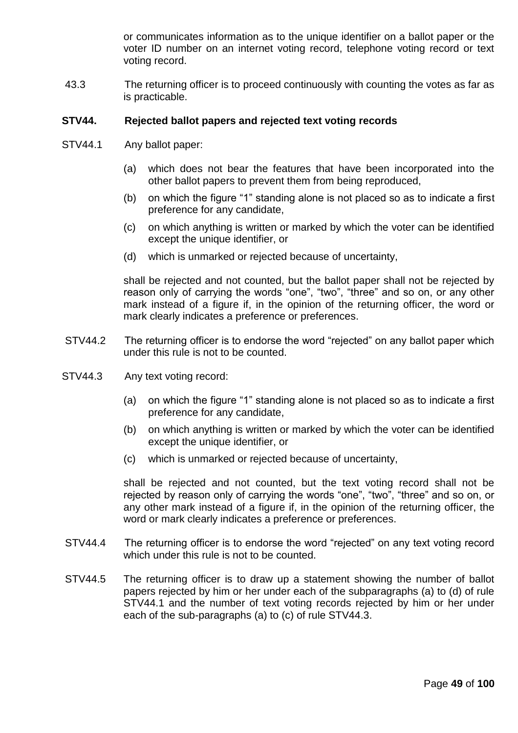or communicates information as to the unique identifier on a ballot paper or the voter ID number on an internet voting record, telephone voting record or text voting record.

43.3 The returning officer is to proceed continuously with counting the votes as far as is practicable.

### **STV44. Rejected ballot papers and rejected text voting records**

- STV44.1 Any ballot paper:
	- (a) which does not bear the features that have been incorporated into the other ballot papers to prevent them from being reproduced,
	- (b) on which the figure "1" standing alone is not placed so as to indicate a first preference for any candidate,
	- (c) on which anything is written or marked by which the voter can be identified except the unique identifier, or
	- (d) which is unmarked or rejected because of uncertainty,

shall be rejected and not counted, but the ballot paper shall not be rejected by reason only of carrying the words "one", "two", "three" and so on, or any other mark instead of a figure if, in the opinion of the returning officer, the word or mark clearly indicates a preference or preferences.

- STV44.2 The returning officer is to endorse the word "rejected" on any ballot paper which under this rule is not to be counted.
- STV44.3 Any text voting record:
	- (a) on which the figure "1" standing alone is not placed so as to indicate a first preference for any candidate,
	- (b) on which anything is written or marked by which the voter can be identified except the unique identifier, or
	- (c) which is unmarked or rejected because of uncertainty,

shall be rejected and not counted, but the text voting record shall not be rejected by reason only of carrying the words "one", "two", "three" and so on, or any other mark instead of a figure if, in the opinion of the returning officer, the word or mark clearly indicates a preference or preferences.

- STV44.4 The returning officer is to endorse the word "rejected" on any text voting record which under this rule is not to be counted.
- STV44.5 The returning officer is to draw up a statement showing the number of ballot papers rejected by him or her under each of the subparagraphs (a) to (d) of rule STV44.1 and the number of text voting records rejected by him or her under each of the sub-paragraphs (a) to (c) of rule STV44.3.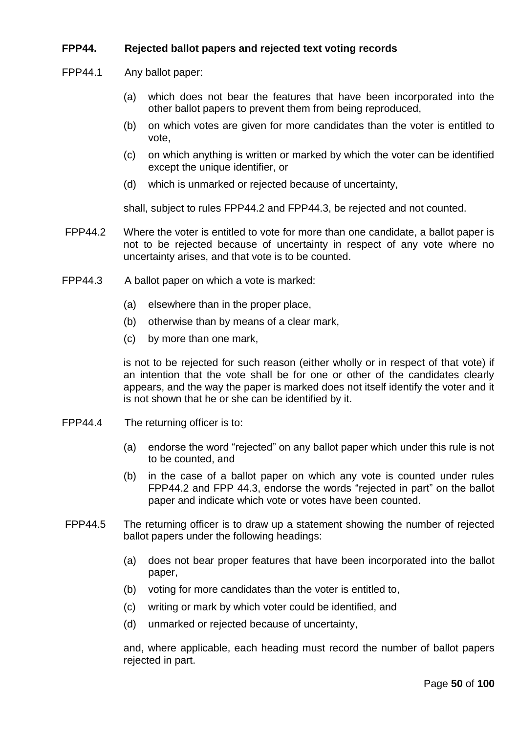# **FPP44. Rejected ballot papers and rejected text voting records**

FPP44.1 Any ballot paper:

- (a) which does not bear the features that have been incorporated into the other ballot papers to prevent them from being reproduced,
- (b) on which votes are given for more candidates than the voter is entitled to vote,
- (c) on which anything is written or marked by which the voter can be identified except the unique identifier, or
- (d) which is unmarked or rejected because of uncertainty,

shall, subject to rules FPP44.2 and FPP44.3, be rejected and not counted.

- FPP44.2 Where the voter is entitled to vote for more than one candidate, a ballot paper is not to be rejected because of uncertainty in respect of any vote where no uncertainty arises, and that vote is to be counted.
- FPP44.3 A ballot paper on which a vote is marked:
	- (a) elsewhere than in the proper place,
	- (b) otherwise than by means of a clear mark,
	- (c) by more than one mark,

is not to be rejected for such reason (either wholly or in respect of that vote) if an intention that the vote shall be for one or other of the candidates clearly appears, and the way the paper is marked does not itself identify the voter and it is not shown that he or she can be identified by it.

- FPP44.4 The returning officer is to:
	- (a) endorse the word "rejected" on any ballot paper which under this rule is not to be counted, and
	- (b) in the case of a ballot paper on which any vote is counted under rules FPP44.2 and FPP 44.3, endorse the words "rejected in part" on the ballot paper and indicate which vote or votes have been counted.
- FPP44.5 The returning officer is to draw up a statement showing the number of rejected ballot papers under the following headings:
	- (a) does not bear proper features that have been incorporated into the ballot paper,
	- (b) voting for more candidates than the voter is entitled to,
	- (c) writing or mark by which voter could be identified, and
	- (d) unmarked or rejected because of uncertainty,

and, where applicable, each heading must record the number of ballot papers rejected in part.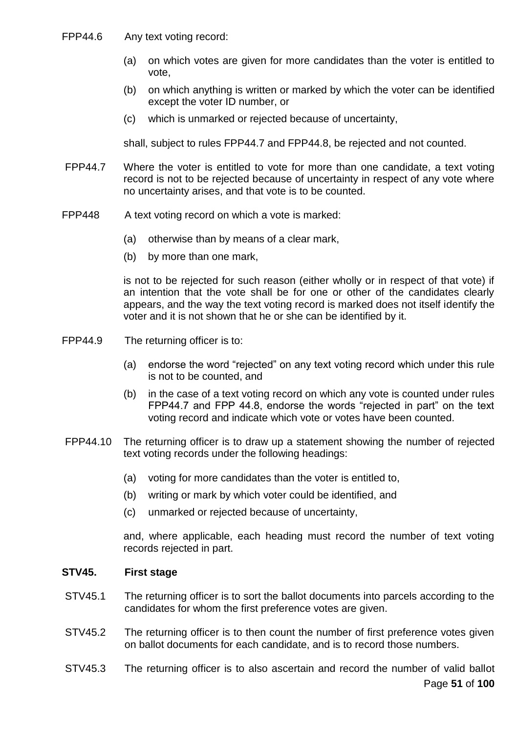- FPP44.6 Any text voting record:
	- (a) on which votes are given for more candidates than the voter is entitled to vote,
	- (b) on which anything is written or marked by which the voter can be identified except the voter ID number, or
	- (c) which is unmarked or rejected because of uncertainty,

shall, subject to rules FPP44.7 and FPP44.8, be rejected and not counted.

- FPP44.7 Where the voter is entitled to vote for more than one candidate, a text voting record is not to be rejected because of uncertainty in respect of any vote where no uncertainty arises, and that vote is to be counted.
- FPP448 A text voting record on which a vote is marked:
	- (a) otherwise than by means of a clear mark,
	- (b) by more than one mark,

is not to be rejected for such reason (either wholly or in respect of that vote) if an intention that the vote shall be for one or other of the candidates clearly appears, and the way the text voting record is marked does not itself identify the voter and it is not shown that he or she can be identified by it.

- FPP44.9 The returning officer is to:
	- (a) endorse the word "rejected" on any text voting record which under this rule is not to be counted, and
	- (b) in the case of a text voting record on which any vote is counted under rules FPP44.7 and FPP 44.8, endorse the words "rejected in part" on the text voting record and indicate which vote or votes have been counted.
- FPP44.10 The returning officer is to draw up a statement showing the number of rejected text voting records under the following headings:
	- (a) voting for more candidates than the voter is entitled to,
	- (b) writing or mark by which voter could be identified, and
	- (c) unmarked or rejected because of uncertainty,

and, where applicable, each heading must record the number of text voting records rejected in part.

# **STV45. First stage**

- STV45.1 The returning officer is to sort the ballot documents into parcels according to the candidates for whom the first preference votes are given.
- STV45.2 The returning officer is to then count the number of first preference votes given on ballot documents for each candidate, and is to record those numbers.
- Page **51** of **100** STV45.3 The returning officer is to also ascertain and record the number of valid ballot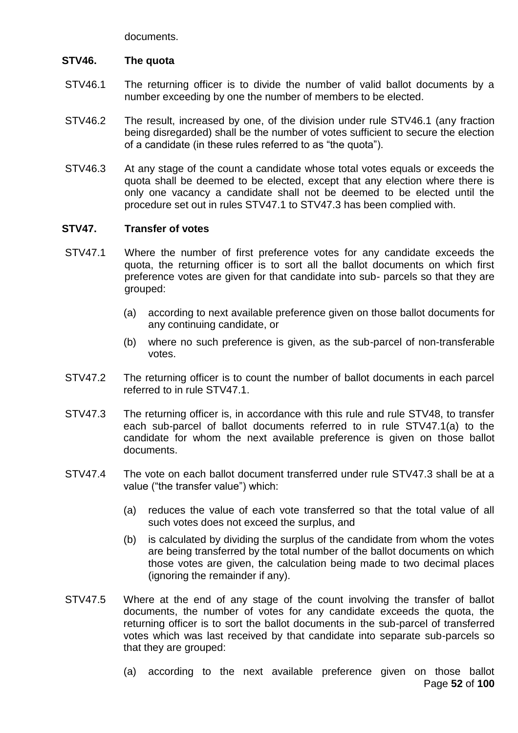documents.

# **STV46. The quota**

- STV46.1 The returning officer is to divide the number of valid ballot documents by a number exceeding by one the number of members to be elected.
- STV46.2 The result, increased by one, of the division under rule STV46.1 (any fraction being disregarded) shall be the number of votes sufficient to secure the election of a candidate (in these rules referred to as "the quota").
- STV46.3 At any stage of the count a candidate whose total votes equals or exceeds the quota shall be deemed to be elected, except that any election where there is only one vacancy a candidate shall not be deemed to be elected until the procedure set out in rules STV47.1 to STV47.3 has been complied with.

# **STV47. Transfer of votes**

- STV47.1 Where the number of first preference votes for any candidate exceeds the quota, the returning officer is to sort all the ballot documents on which first preference votes are given for that candidate into sub- parcels so that they are grouped:
	- (a) according to next available preference given on those ballot documents for any continuing candidate, or
	- (b) where no such preference is given, as the sub-parcel of non-transferable votes.
- STV47.2 The returning officer is to count the number of ballot documents in each parcel referred to in rule STV47.1.
- STV47.3 The returning officer is, in accordance with this rule and rule STV48, to transfer each sub-parcel of ballot documents referred to in rule STV47.1(a) to the candidate for whom the next available preference is given on those ballot documents.
- STV47.4 The vote on each ballot document transferred under rule STV47.3 shall be at a value ("the transfer value") which:
	- (a) reduces the value of each vote transferred so that the total value of all such votes does not exceed the surplus, and
	- (b) is calculated by dividing the surplus of the candidate from whom the votes are being transferred by the total number of the ballot documents on which those votes are given, the calculation being made to two decimal places (ignoring the remainder if any).
- STV47.5 Where at the end of any stage of the count involving the transfer of ballot documents, the number of votes for any candidate exceeds the quota, the returning officer is to sort the ballot documents in the sub-parcel of transferred votes which was last received by that candidate into separate sub-parcels so that they are grouped:
	- Page **52** of **100** (a) according to the next available preference given on those ballot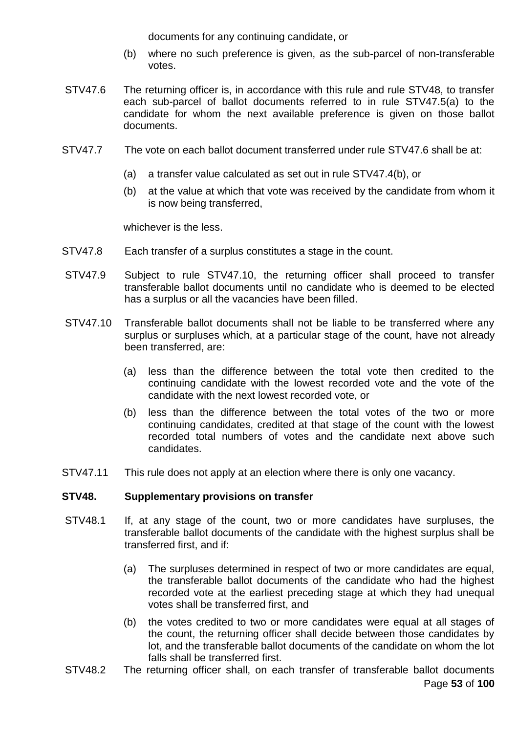documents for any continuing candidate, or

- (b) where no such preference is given, as the sub-parcel of non-transferable votes.
- STV47.6 The returning officer is, in accordance with this rule and rule STV48, to transfer each sub-parcel of ballot documents referred to in rule STV47.5(a) to the candidate for whom the next available preference is given on those ballot documents.
- STV47.7 The vote on each ballot document transferred under rule STV47.6 shall be at:
	- (a) a transfer value calculated as set out in rule STV47.4(b), or
	- (b) at the value at which that vote was received by the candidate from whom it is now being transferred,

whichever is the less.

- STV47.8 Each transfer of a surplus constitutes a stage in the count.
- STV47.9 Subject to rule STV47.10, the returning officer shall proceed to transfer transferable ballot documents until no candidate who is deemed to be elected has a surplus or all the vacancies have been filled.
- STV47.10 Transferable ballot documents shall not be liable to be transferred where any surplus or surpluses which, at a particular stage of the count, have not already been transferred, are:
	- (a) less than the difference between the total vote then credited to the continuing candidate with the lowest recorded vote and the vote of the candidate with the next lowest recorded vote, or
	- (b) less than the difference between the total votes of the two or more continuing candidates, credited at that stage of the count with the lowest recorded total numbers of votes and the candidate next above such candidates.
- STV47.11 This rule does not apply at an election where there is only one vacancy.

#### **STV48. Supplementary provisions on transfer**

- STV48.1 If, at any stage of the count, two or more candidates have surpluses, the transferable ballot documents of the candidate with the highest surplus shall be transferred first, and if:
	- (a) The surpluses determined in respect of two or more candidates are equal, the transferable ballot documents of the candidate who had the highest recorded vote at the earliest preceding stage at which they had unequal votes shall be transferred first, and
	- (b) the votes credited to two or more candidates were equal at all stages of the count, the returning officer shall decide between those candidates by lot, and the transferable ballot documents of the candidate on whom the lot falls shall be transferred first.
- Page **53** of **100** STV48.2 The returning officer shall, on each transfer of transferable ballot documents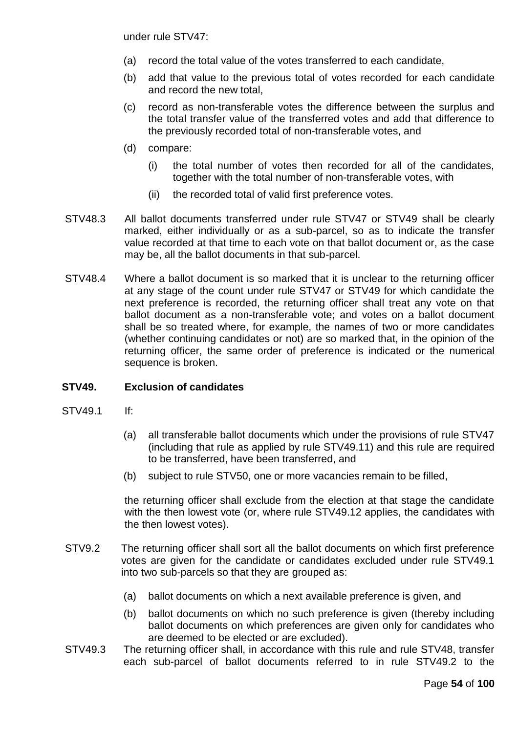under rule STV47:

- (a) record the total value of the votes transferred to each candidate,
- (b) add that value to the previous total of votes recorded for each candidate and record the new total,
- (c) record as non-transferable votes the difference between the surplus and the total transfer value of the transferred votes and add that difference to the previously recorded total of non-transferable votes, and
- (d) compare:
	- (i) the total number of votes then recorded for all of the candidates, together with the total number of non-transferable votes, with
	- (ii) the recorded total of valid first preference votes.
- STV48.3 All ballot documents transferred under rule STV47 or STV49 shall be clearly marked, either individually or as a sub-parcel, so as to indicate the transfer value recorded at that time to each vote on that ballot document or, as the case may be, all the ballot documents in that sub-parcel.
- STV48.4 Where a ballot document is so marked that it is unclear to the returning officer at any stage of the count under rule STV47 or STV49 for which candidate the next preference is recorded, the returning officer shall treat any vote on that ballot document as a non-transferable vote; and votes on a ballot document shall be so treated where, for example, the names of two or more candidates (whether continuing candidates or not) are so marked that, in the opinion of the returning officer, the same order of preference is indicated or the numerical sequence is broken.

#### **STV49. Exclusion of candidates**

- STV49.1 If:
	- (a) all transferable ballot documents which under the provisions of rule STV47 (including that rule as applied by rule STV49.11) and this rule are required to be transferred, have been transferred, and
	- (b) subject to rule STV50, one or more vacancies remain to be filled,

the returning officer shall exclude from the election at that stage the candidate with the then lowest vote (or, where rule STV49.12 applies, the candidates with the then lowest votes).

- STV9.2 The returning officer shall sort all the ballot documents on which first preference votes are given for the candidate or candidates excluded under rule STV49.1 into two sub-parcels so that they are grouped as:
	- (a) ballot documents on which a next available preference is given, and
	- (b) ballot documents on which no such preference is given (thereby including ballot documents on which preferences are given only for candidates who are deemed to be elected or are excluded).
- STV49.3 The returning officer shall, in accordance with this rule and rule STV48, transfer each sub-parcel of ballot documents referred to in rule STV49.2 to the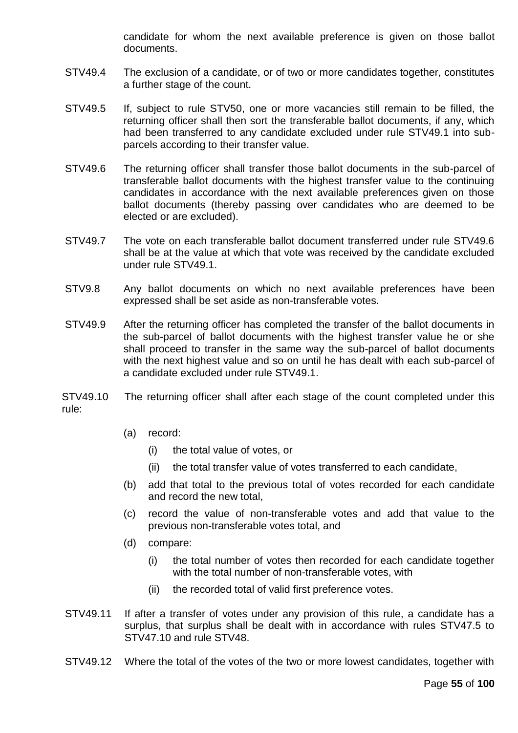candidate for whom the next available preference is given on those ballot documents.

- STV49.4 The exclusion of a candidate, or of two or more candidates together, constitutes a further stage of the count.
- STV49.5 If, subject to rule STV50, one or more vacancies still remain to be filled, the returning officer shall then sort the transferable ballot documents, if any, which had been transferred to any candidate excluded under rule STV49.1 into subparcels according to their transfer value.
- STV49.6 The returning officer shall transfer those ballot documents in the sub-parcel of transferable ballot documents with the highest transfer value to the continuing candidates in accordance with the next available preferences given on those ballot documents (thereby passing over candidates who are deemed to be elected or are excluded).
- STV49.7 The vote on each transferable ballot document transferred under rule STV49.6 shall be at the value at which that vote was received by the candidate excluded under rule STV49.1.
- STV9.8 Any ballot documents on which no next available preferences have been expressed shall be set aside as non-transferable votes.
- STV49.9 After the returning officer has completed the transfer of the ballot documents in the sub-parcel of ballot documents with the highest transfer value he or she shall proceed to transfer in the same way the sub-parcel of ballot documents with the next highest value and so on until he has dealt with each sub-parcel of a candidate excluded under rule STV49.1.

STV49.10 The returning officer shall after each stage of the count completed under this rule:

- (a) record:
	- (i) the total value of votes, or
	- (ii) the total transfer value of votes transferred to each candidate,
- (b) add that total to the previous total of votes recorded for each candidate and record the new total,
- (c) record the value of non-transferable votes and add that value to the previous non-transferable votes total, and
- (d) compare:
	- (i) the total number of votes then recorded for each candidate together with the total number of non-transferable votes, with
	- (ii) the recorded total of valid first preference votes.
- STV49.11 If after a transfer of votes under any provision of this rule, a candidate has a surplus, that surplus shall be dealt with in accordance with rules STV47.5 to STV47.10 and rule STV48.
- STV49.12 Where the total of the votes of the two or more lowest candidates, together with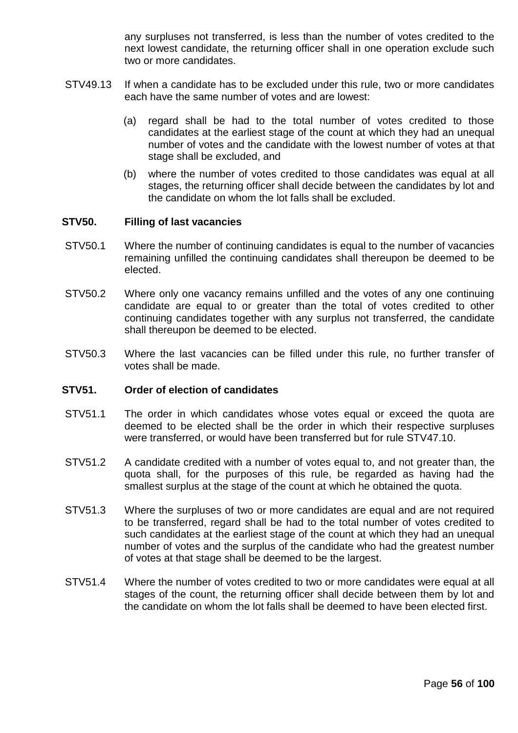any surpluses not transferred, is less than the number of votes credited to the next lowest candidate, the returning officer shall in one operation exclude such two or more candidates.

- STV49.13 If when a candidate has to be excluded under this rule, two or more candidates each have the same number of votes and are lowest:
	- (a) regard shall be had to the total number of votes credited to those candidates at the earliest stage of the count at which they had an unequal number of votes and the candidate with the lowest number of votes at that stage shall be excluded, and
	- (b) where the number of votes credited to those candidates was equal at all stages, the returning officer shall decide between the candidates by lot and the candidate on whom the lot falls shall be excluded.

### **STV50. Filling of last vacancies**

- STV50.1 Where the number of continuing candidates is equal to the number of vacancies remaining unfilled the continuing candidates shall thereupon be deemed to be elected.
- STV50.2 Where only one vacancy remains unfilled and the votes of any one continuing candidate are equal to or greater than the total of votes credited to other continuing candidates together with any surplus not transferred, the candidate shall thereupon be deemed to be elected.
- STV50.3 Where the last vacancies can be filled under this rule, no further transfer of votes shall be made.

#### **STV51. Order of election of candidates**

- STV51.1 The order in which candidates whose votes equal or exceed the quota are deemed to be elected shall be the order in which their respective surpluses were transferred, or would have been transferred but for rule STV47.10.
- STV51.2 A candidate credited with a number of votes equal to, and not greater than, the quota shall, for the purposes of this rule, be regarded as having had the smallest surplus at the stage of the count at which he obtained the quota.
- STV51.3 Where the surpluses of two or more candidates are equal and are not required to be transferred, regard shall be had to the total number of votes credited to such candidates at the earliest stage of the count at which they had an unequal number of votes and the surplus of the candidate who had the greatest number of votes at that stage shall be deemed to be the largest.
- STV51.4 Where the number of votes credited to two or more candidates were equal at all stages of the count, the returning officer shall decide between them by lot and the candidate on whom the lot falls shall be deemed to have been elected first.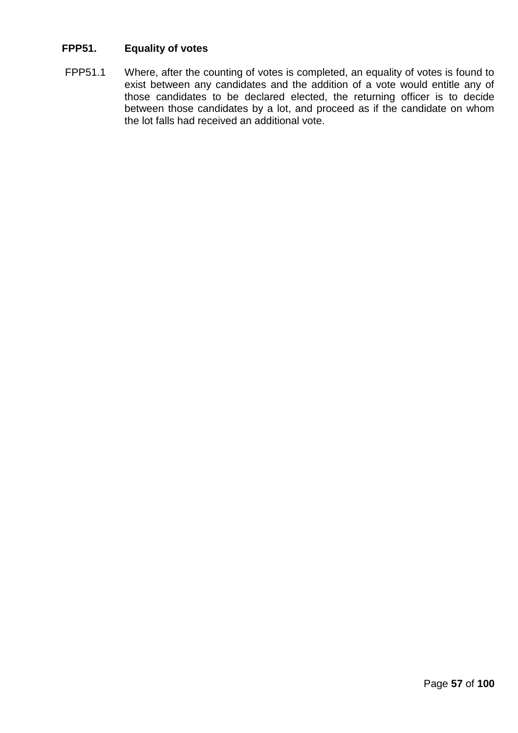# **FPP51. Equality of votes**

FPP51.1 Where, after the counting of votes is completed, an equality of votes is found to exist between any candidates and the addition of a vote would entitle any of those candidates to be declared elected, the returning officer is to decide between those candidates by a lot, and proceed as if the candidate on whom the lot falls had received an additional vote.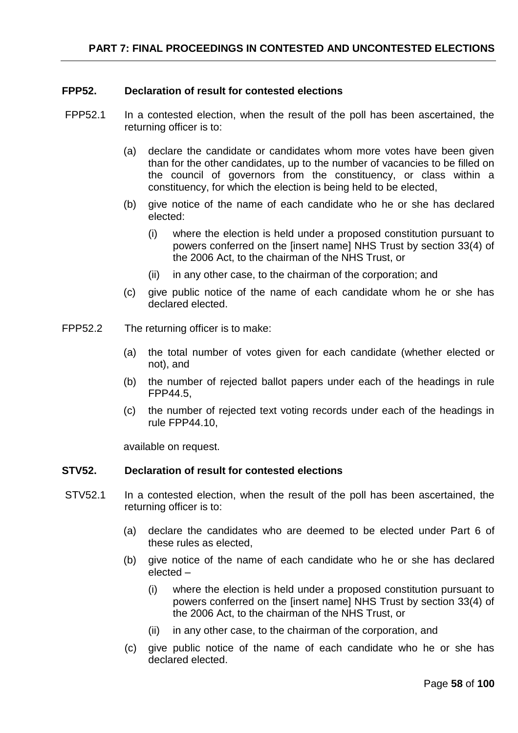# **FPP52. Declaration of result for contested elections**

- FPP52.1 In a contested election, when the result of the poll has been ascertained, the returning officer is to:
	- (a) declare the candidate or candidates whom more votes have been given than for the other candidates, up to the number of vacancies to be filled on the council of governors from the constituency, or class within a constituency, for which the election is being held to be elected,
	- (b) give notice of the name of each candidate who he or she has declared elected:
		- (i) where the election is held under a proposed constitution pursuant to powers conferred on the [insert name] NHS Trust by section 33(4) of the 2006 Act, to the chairman of the NHS Trust, or
		- (ii) in any other case, to the chairman of the corporation; and
	- (c) give public notice of the name of each candidate whom he or she has declared elected.
- FPP52.2 The returning officer is to make:
	- (a) the total number of votes given for each candidate (whether elected or not), and
	- (b) the number of rejected ballot papers under each of the headings in rule FPP44.5,
	- (c) the number of rejected text voting records under each of the headings in rule FPP44.10,

available on request.

#### **STV52. Declaration of result for contested elections**

- STV52.1 In a contested election, when the result of the poll has been ascertained, the returning officer is to:
	- (a) declare the candidates who are deemed to be elected under Part 6 of these rules as elected,
	- (b) give notice of the name of each candidate who he or she has declared elected –
		- (i) where the election is held under a proposed constitution pursuant to powers conferred on the [insert name] NHS Trust by section 33(4) of the 2006 Act, to the chairman of the NHS Trust, or
		- (ii) in any other case, to the chairman of the corporation, and
	- (c) give public notice of the name of each candidate who he or she has declared elected.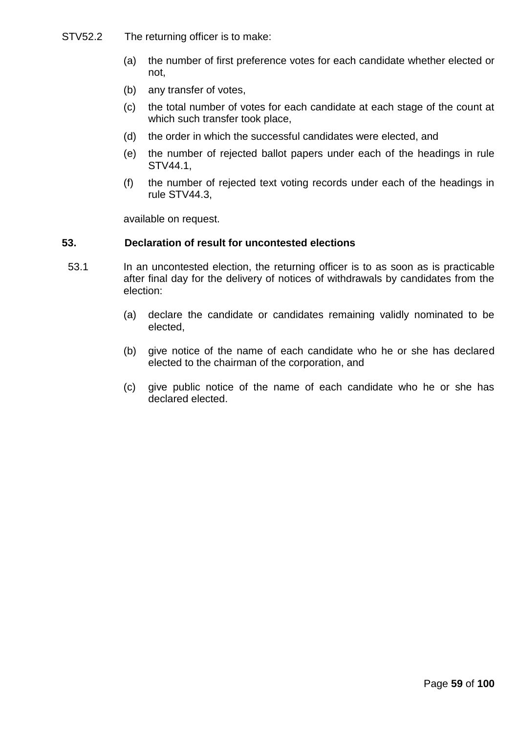- STV52.2 The returning officer is to make:
	- (a) the number of first preference votes for each candidate whether elected or not,
	- (b) any transfer of votes,
	- (c) the total number of votes for each candidate at each stage of the count at which such transfer took place,
	- (d) the order in which the successful candidates were elected, and
	- (e) the number of rejected ballot papers under each of the headings in rule STV44.1,
	- (f) the number of rejected text voting records under each of the headings in rule STV44.3,

available on request.

### **53. Declaration of result for uncontested elections**

- 53.1 In an uncontested election, the returning officer is to as soon as is practicable after final day for the delivery of notices of withdrawals by candidates from the election:
	- (a) declare the candidate or candidates remaining validly nominated to be elected,
	- (b) give notice of the name of each candidate who he or she has declared elected to the chairman of the corporation, and
	- (c) give public notice of the name of each candidate who he or she has declared elected.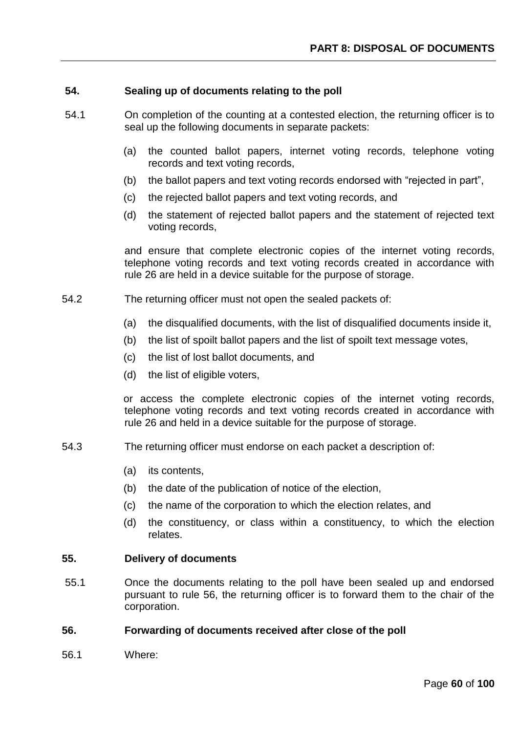### **54. Sealing up of documents relating to the poll**

- 54.1 On completion of the counting at a contested election, the returning officer is to seal up the following documents in separate packets:
	- (a) the counted ballot papers, internet voting records, telephone voting records and text voting records,
	- (b) the ballot papers and text voting records endorsed with "rejected in part",
	- (c) the rejected ballot papers and text voting records, and
	- (d) the statement of rejected ballot papers and the statement of rejected text voting records,

and ensure that complete electronic copies of the internet voting records, telephone voting records and text voting records created in accordance with rule 26 are held in a device suitable for the purpose of storage.

- 54.2 The returning officer must not open the sealed packets of:
	- (a) the disqualified documents, with the list of disqualified documents inside it,
	- (b) the list of spoilt ballot papers and the list of spoilt text message votes,
	- (c) the list of lost ballot documents, and
	- (d) the list of eligible voters,

or access the complete electronic copies of the internet voting records, telephone voting records and text voting records created in accordance with rule 26 and held in a device suitable for the purpose of storage.

- 54.3 The returning officer must endorse on each packet a description of:
	- (a) its contents,
	- (b) the date of the publication of notice of the election,
	- (c) the name of the corporation to which the election relates, and
	- (d) the constituency, or class within a constituency, to which the election relates.

#### **55. Delivery of documents**

55.1 Once the documents relating to the poll have been sealed up and endorsed pursuant to rule 56, the returning officer is to forward them to the chair of the corporation.

#### **56. Forwarding of documents received after close of the poll**

56.1 Where: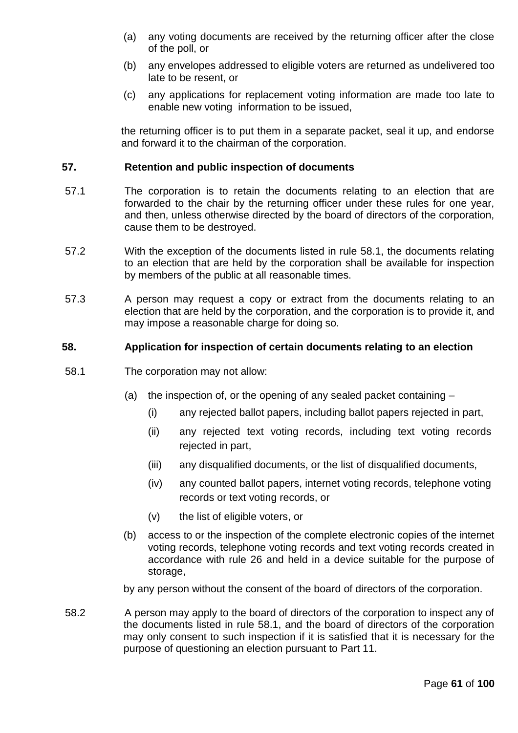- (a) any voting documents are received by the returning officer after the close of the poll, or
- (b) any envelopes addressed to eligible voters are returned as undelivered too late to be resent, or
- (c) any applications for replacement voting information are made too late to enable new voting information to be issued,

the returning officer is to put them in a separate packet, seal it up, and endorse and forward it to the chairman of the corporation.

## **57. Retention and public inspection of documents**

- 57.1 The corporation is to retain the documents relating to an election that are forwarded to the chair by the returning officer under these rules for one year, and then, unless otherwise directed by the board of directors of the corporation, cause them to be destroyed.
- 57.2 With the exception of the documents listed in rule 58.1, the documents relating to an election that are held by the corporation shall be available for inspection by members of the public at all reasonable times.
- 57.3 A person may request a copy or extract from the documents relating to an election that are held by the corporation, and the corporation is to provide it, and may impose a reasonable charge for doing so.

#### **58. Application for inspection of certain documents relating to an election**

- 58.1 The corporation may not allow:
	- (a) the inspection of, or the opening of any sealed packet containing
		- (i) any rejected ballot papers, including ballot papers rejected in part,
		- (ii) any rejected text voting records, including text voting records rejected in part,
		- (iii) any disqualified documents, or the list of disqualified documents,
		- (iv) any counted ballot papers, internet voting records, telephone voting records or text voting records, or
		- (v) the list of eligible voters, or
	- (b) access to or the inspection of the complete electronic copies of the internet voting records, telephone voting records and text voting records created in accordance with rule 26 and held in a device suitable for the purpose of storage,

by any person without the consent of the board of directors of the corporation.

58.2 A person may apply to the board of directors of the corporation to inspect any of the documents listed in rule 58.1, and the board of directors of the corporation may only consent to such inspection if it is satisfied that it is necessary for the purpose of questioning an election pursuant to Part 11.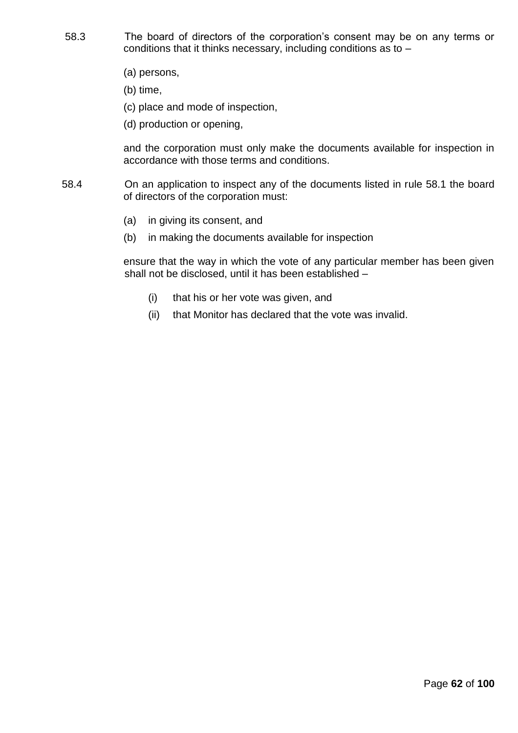- 58.3 The board of directors of the corporation's consent may be on any terms or conditions that it thinks necessary, including conditions as to –
	- (a) persons,
	- (b) time,
	- (c) place and mode of inspection,
	- (d) production or opening,

and the corporation must only make the documents available for inspection in accordance with those terms and conditions.

- 58.4 On an application to inspect any of the documents listed in rule 58.1 the board of directors of the corporation must:
	- (a) in giving its consent, and
	- (b) in making the documents available for inspection

ensure that the way in which the vote of any particular member has been given shall not be disclosed, until it has been established –

- (i) that his or her vote was given, and
- (ii) that Monitor has declared that the vote was invalid.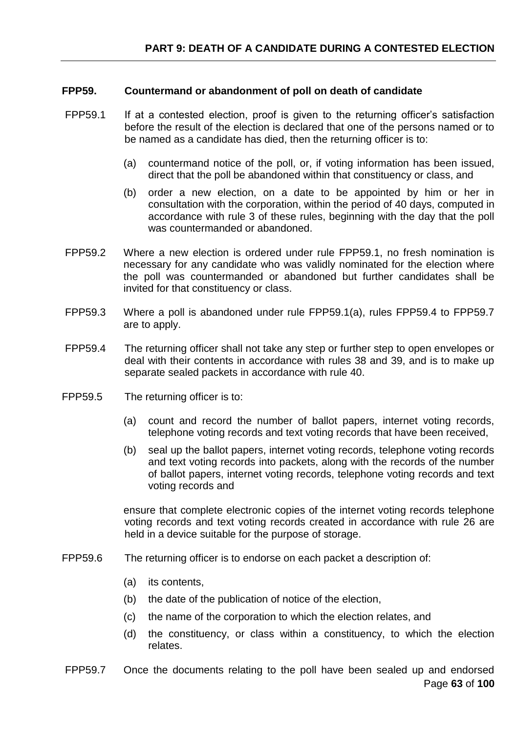### **FPP59. Countermand or abandonment of poll on death of candidate**

- FPP59.1 If at a contested election, proof is given to the returning officer's satisfaction before the result of the election is declared that one of the persons named or to be named as a candidate has died, then the returning officer is to:
	- (a) countermand notice of the poll, or, if voting information has been issued, direct that the poll be abandoned within that constituency or class, and
	- (b) order a new election, on a date to be appointed by him or her in consultation with the corporation, within the period of 40 days, computed in accordance with rule 3 of these rules, beginning with the day that the poll was countermanded or abandoned.
- FPP59.2 Where a new election is ordered under rule FPP59.1, no fresh nomination is necessary for any candidate who was validly nominated for the election where the poll was countermanded or abandoned but further candidates shall be invited for that constituency or class.
- FPP59.3 Where a poll is abandoned under rule FPP59.1(a), rules FPP59.4 to FPP59.7 are to apply.
- FPP59.4 The returning officer shall not take any step or further step to open envelopes or deal with their contents in accordance with rules 38 and 39, and is to make up separate sealed packets in accordance with rule 40.
- FPP59.5 The returning officer is to:
	- (a) count and record the number of ballot papers, internet voting records, telephone voting records and text voting records that have been received,
	- (b) seal up the ballot papers, internet voting records, telephone voting records and text voting records into packets, along with the records of the number of ballot papers, internet voting records, telephone voting records and text voting records and

ensure that complete electronic copies of the internet voting records telephone voting records and text voting records created in accordance with rule 26 are held in a device suitable for the purpose of storage.

- FPP59.6 The returning officer is to endorse on each packet a description of:
	- (a) its contents,
	- (b) the date of the publication of notice of the election,
	- (c) the name of the corporation to which the election relates, and
	- (d) the constituency, or class within a constituency, to which the election relates.
- Page **63** of **100** FPP59.7 Once the documents relating to the poll have been sealed up and endorsed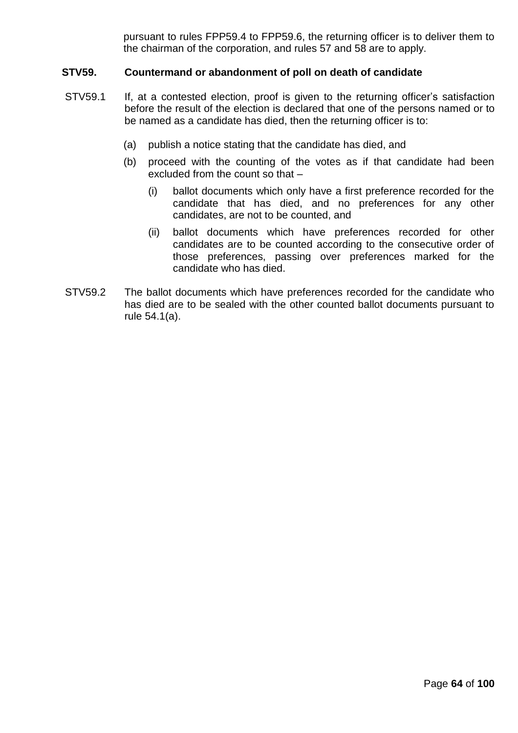pursuant to rules FPP59.4 to FPP59.6, the returning officer is to deliver them to the chairman of the corporation, and rules 57 and 58 are to apply.

## **STV59. Countermand or abandonment of poll on death of candidate**

- STV59.1 If, at a contested election, proof is given to the returning officer's satisfaction before the result of the election is declared that one of the persons named or to be named as a candidate has died, then the returning officer is to:
	- (a) publish a notice stating that the candidate has died, and
	- (b) proceed with the counting of the votes as if that candidate had been excluded from the count so that –
		- (i) ballot documents which only have a first preference recorded for the candidate that has died, and no preferences for any other candidates, are not to be counted, and
		- (ii) ballot documents which have preferences recorded for other candidates are to be counted according to the consecutive order of those preferences, passing over preferences marked for the candidate who has died.
- STV59.2 The ballot documents which have preferences recorded for the candidate who has died are to be sealed with the other counted ballot documents pursuant to rule 54.1(a).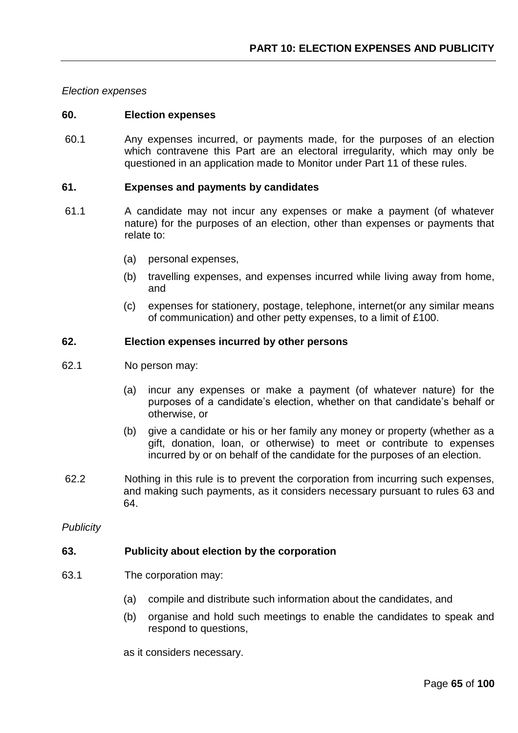*Election expenses*

#### **60. Election expenses**

60.1 Any expenses incurred, or payments made, for the purposes of an election which contravene this Part are an electoral irregularity, which may only be questioned in an application made to Monitor under Part 11 of these rules.

#### **61. Expenses and payments by candidates**

- 61.1 A candidate may not incur any expenses or make a payment (of whatever nature) for the purposes of an election, other than expenses or payments that relate to:
	- (a) personal expenses,
	- (b) travelling expenses, and expenses incurred while living away from home, and
	- (c) expenses for stationery, postage, telephone, internet(or any similar means of communication) and other petty expenses, to a limit of £100.

#### **62. Election expenses incurred by other persons**

- 62.1 No person may:
	- (a) incur any expenses or make a payment (of whatever nature) for the purposes of a candidate's election, whether on that candidate's behalf or otherwise, or
	- (b) give a candidate or his or her family any money or property (whether as a gift, donation, loan, or otherwise) to meet or contribute to expenses incurred by or on behalf of the candidate for the purposes of an election.
- 62.2 Nothing in this rule is to prevent the corporation from incurring such expenses, and making such payments, as it considers necessary pursuant to rules 63 and 64.

*Publicity*

#### **63. Publicity about election by the corporation**

- 63.1 The corporation may:
	- (a) compile and distribute such information about the candidates, and
	- (b) organise and hold such meetings to enable the candidates to speak and respond to questions,

as it considers necessary.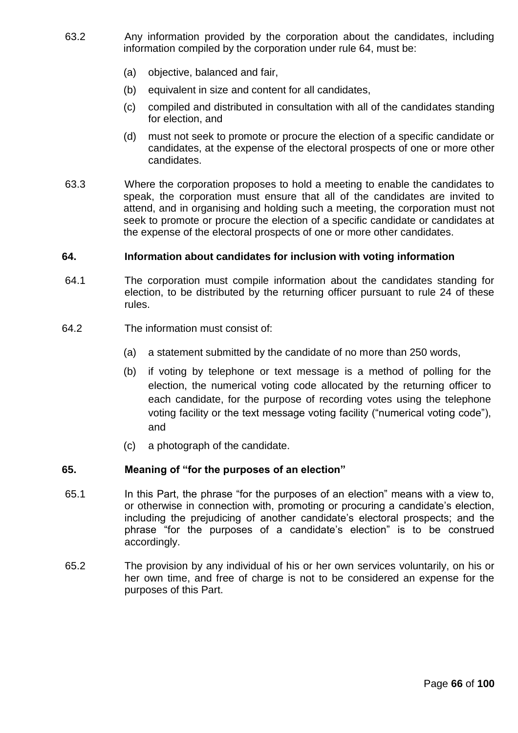- 63.2 Any information provided by the corporation about the candidates, including information compiled by the corporation under rule 64, must be:
	- (a) objective, balanced and fair,
	- (b) equivalent in size and content for all candidates,
	- (c) compiled and distributed in consultation with all of the candidates standing for election, and
	- (d) must not seek to promote or procure the election of a specific candidate or candidates, at the expense of the electoral prospects of one or more other candidates.
- 63.3 Where the corporation proposes to hold a meeting to enable the candidates to speak, the corporation must ensure that all of the candidates are invited to attend, and in organising and holding such a meeting, the corporation must not seek to promote or procure the election of a specific candidate or candidates at the expense of the electoral prospects of one or more other candidates.

# **64. Information about candidates for inclusion with voting information**

- 64.1 The corporation must compile information about the candidates standing for election, to be distributed by the returning officer pursuant to rule 24 of these rules.
- 64.2 The information must consist of:
	- (a) a statement submitted by the candidate of no more than 250 words,
	- (b) if voting by telephone or text message is a method of polling for the election, the numerical voting code allocated by the returning officer to each candidate, for the purpose of recording votes using the telephone voting facility or the text message voting facility ("numerical voting code"), and
	- (c) a photograph of the candidate.

#### **65. Meaning of "for the purposes of an election"**

- 65.1 In this Part, the phrase "for the purposes of an election" means with a view to, or otherwise in connection with, promoting or procuring a candidate's election, including the prejudicing of another candidate's electoral prospects; and the phrase "for the purposes of a candidate's election" is to be construed accordingly.
- 65.2 The provision by any individual of his or her own services voluntarily, on his or her own time, and free of charge is not to be considered an expense for the purposes of this Part.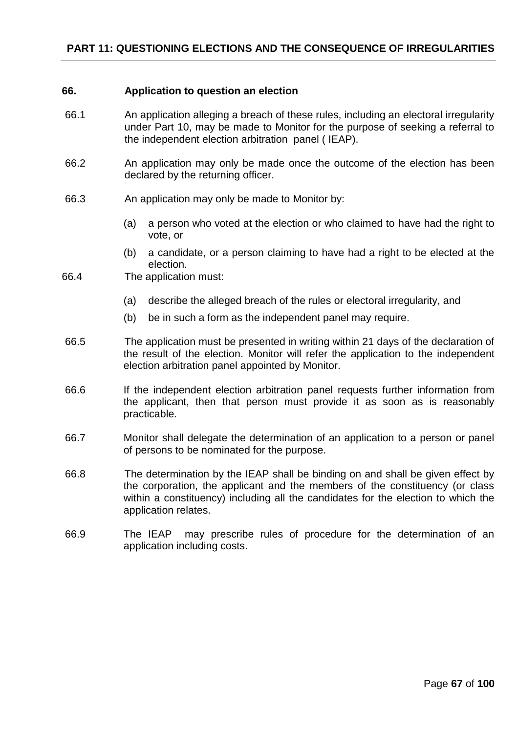#### **66. Application to question an election**

- 66.1 An application alleging a breach of these rules, including an electoral irregularity under Part 10, may be made to Monitor for the purpose of seeking a referral to the independent election arbitration panel ( IEAP).
- 66.2 An application may only be made once the outcome of the election has been declared by the returning officer.
- 66.3 An application may only be made to Monitor by:
	- (a) a person who voted at the election or who claimed to have had the right to vote, or
	- (b) a candidate, or a person claiming to have had a right to be elected at the election.
- 66.4 The application must:
	- (a) describe the alleged breach of the rules or electoral irregularity, and
	- (b) be in such a form as the independent panel may require.
- 66.5 The application must be presented in writing within 21 days of the declaration of the result of the election. Monitor will refer the application to the independent election arbitration panel appointed by Monitor.
- 66.6 If the independent election arbitration panel requests further information from the applicant, then that person must provide it as soon as is reasonably practicable.
- 66.7 Monitor shall delegate the determination of an application to a person or panel of persons to be nominated for the purpose.
- 66.8 The determination by the IEAP shall be binding on and shall be given effect by the corporation, the applicant and the members of the constituency (or class within a constituency) including all the candidates for the election to which the application relates.
- 66.9 The IEAP may prescribe rules of procedure for the determination of an application including costs.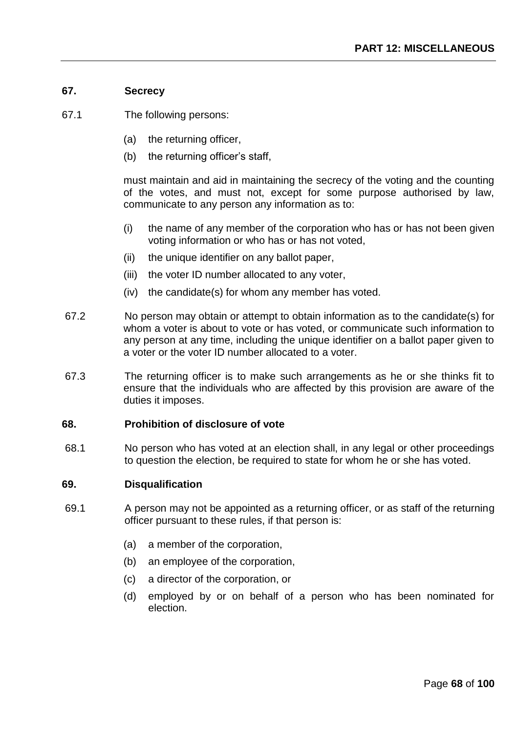# **67. Secrecy**

- 67.1 The following persons:
	- (a) the returning officer,
	- (b) the returning officer's staff,

must maintain and aid in maintaining the secrecy of the voting and the counting of the votes, and must not, except for some purpose authorised by law, communicate to any person any information as to:

- (i) the name of any member of the corporation who has or has not been given voting information or who has or has not voted,
- (ii) the unique identifier on any ballot paper,
- (iii) the voter ID number allocated to any voter,
- (iv) the candidate(s) for whom any member has voted.
- 67.2 No person may obtain or attempt to obtain information as to the candidate(s) for whom a voter is about to vote or has voted, or communicate such information to any person at any time, including the unique identifier on a ballot paper given to a voter or the voter ID number allocated to a voter.
- 67.3 The returning officer is to make such arrangements as he or she thinks fit to ensure that the individuals who are affected by this provision are aware of the duties it imposes.

### **68. Prohibition of disclosure of vote**

68.1 No person who has voted at an election shall, in any legal or other proceedings to question the election, be required to state for whom he or she has voted.

#### **69. Disqualification**

- 69.1 A person may not be appointed as a returning officer, or as staff of the returning officer pursuant to these rules, if that person is:
	- (a) a member of the corporation,
	- (b) an employee of the corporation,
	- (c) a director of the corporation, or
	- (d) employed by or on behalf of a person who has been nominated for election.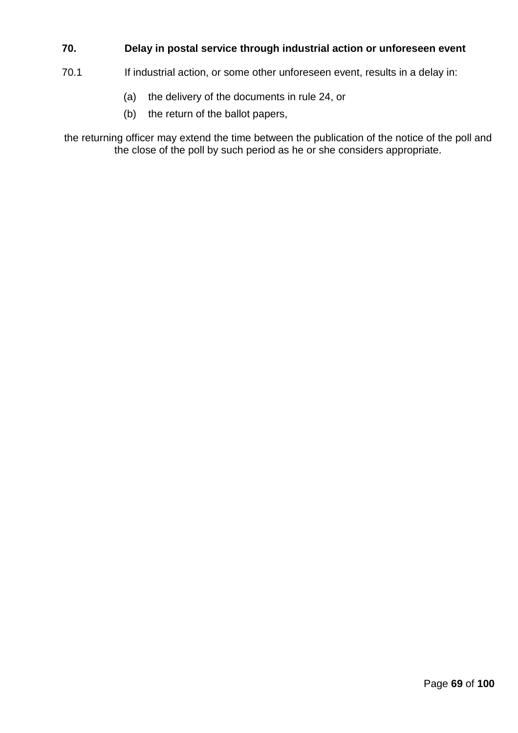# **70. Delay in postal service through industrial action or unforeseen event**

- 70.1 If industrial action, or some other unforeseen event, results in a delay in:
	- (a) the delivery of the documents in rule 24, or
	- (b) the return of the ballot papers,

the returning officer may extend the time between the publication of the notice of the poll and the close of the poll by such period as he or she considers appropriate.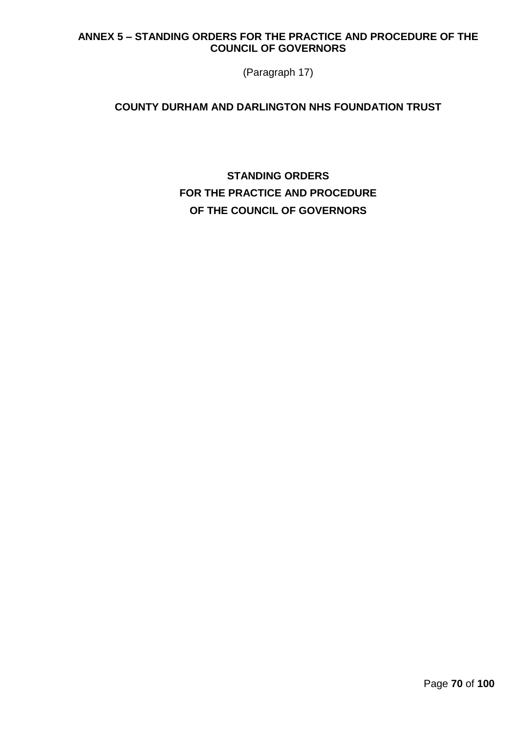# **ANNEX 5 – STANDING ORDERS FOR THE PRACTICE AND PROCEDURE OF THE COUNCIL OF GOVERNORS**

(Paragraph 17)

# **COUNTY DURHAM AND DARLINGTON NHS FOUNDATION TRUST**

**STANDING ORDERS FOR THE PRACTICE AND PROCEDURE OF THE COUNCIL OF GOVERNORS**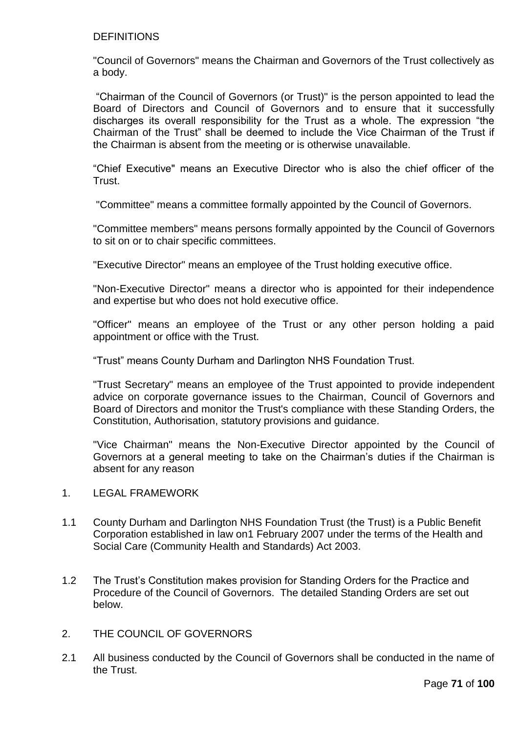# DEFINITIONS

"Council of Governors" means the Chairman and Governors of the Trust collectively as a body.

"Chairman of the Council of Governors (or Trust)" is the person appointed to lead the Board of Directors and Council of Governors and to ensure that it successfully discharges its overall responsibility for the Trust as a whole. The expression "the Chairman of the Trust" shall be deemed to include the Vice Chairman of the Trust if the Chairman is absent from the meeting or is otherwise unavailable.

"Chief Executive" means an Executive Director who is also the chief officer of the Trust.

"Committee" means a committee formally appointed by the Council of Governors.

"Committee members" means persons formally appointed by the Council of Governors to sit on or to chair specific committees.

"Executive Director" means an employee of the Trust holding executive office.

"Non-Executive Director" means a director who is appointed for their independence and expertise but who does not hold executive office.

"Officer" means an employee of the Trust or any other person holding a paid appointment or office with the Trust.

"Trust" means County Durham and Darlington NHS Foundation Trust.

"Trust Secretary" means an employee of the Trust appointed to provide independent advice on corporate governance issues to the Chairman, Council of Governors and Board of Directors and monitor the Trust's compliance with these Standing Orders, the Constitution, Authorisation, statutory provisions and guidance.

"Vice Chairman" means the Non-Executive Director appointed by the Council of Governors at a general meeting to take on the Chairman's duties if the Chairman is absent for any reason

- 1. LEGAL FRAMEWORK
- 1.1 County Durham and Darlington NHS Foundation Trust (the Trust) is a Public Benefit Corporation established in law on1 February 2007 under the terms of the Health and Social Care (Community Health and Standards) Act 2003.
- 1.2 The Trust's Constitution makes provision for Standing Orders for the Practice and Procedure of the Council of Governors. The detailed Standing Orders are set out below.
- 2. THE COUNCIL OF GOVERNORS
- 2.1 All business conducted by the Council of Governors shall be conducted in the name of the Trust.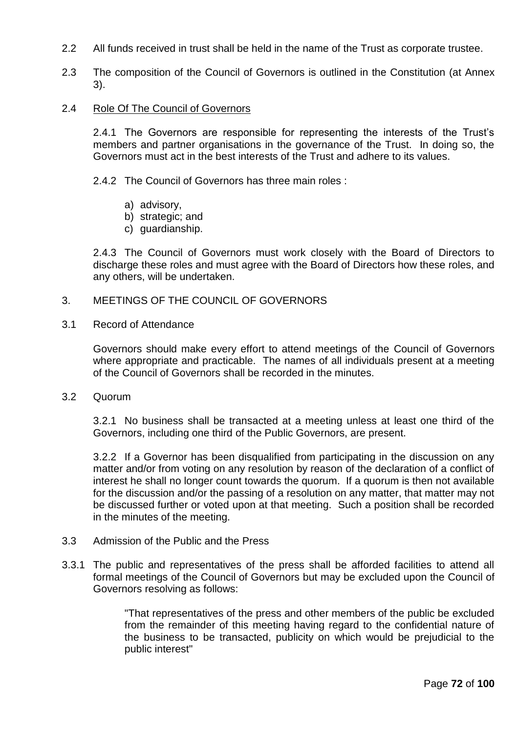- 2.2 All funds received in trust shall be held in the name of the Trust as corporate trustee.
- 2.3 The composition of the Council of Governors is outlined in the Constitution (at Annex 3).
- 2.4 Role Of The Council of Governors

2.4.1 The Governors are responsible for representing the interests of the Trust's members and partner organisations in the governance of the Trust. In doing so, the Governors must act in the best interests of the Trust and adhere to its values.

2.4.2 The Council of Governors has three main roles :

- a) advisory,
- b) strategic; and
- c) guardianship.

2.4.3 The Council of Governors must work closely with the Board of Directors to discharge these roles and must agree with the Board of Directors how these roles, and any others, will be undertaken.

### 3. MEETINGS OF THE COUNCIL OF GOVERNORS

3.1 Record of Attendance

Governors should make every effort to attend meetings of the Council of Governors where appropriate and practicable. The names of all individuals present at a meeting of the Council of Governors shall be recorded in the minutes.

3.2 Quorum

3.2.1 No business shall be transacted at a meeting unless at least one third of the Governors, including one third of the Public Governors, are present.

3.2.2 If a Governor has been disqualified from participating in the discussion on any matter and/or from voting on any resolution by reason of the declaration of a conflict of interest he shall no longer count towards the quorum. If a quorum is then not available for the discussion and/or the passing of a resolution on any matter, that matter may not be discussed further or voted upon at that meeting. Such a position shall be recorded in the minutes of the meeting.

- 3.3 Admission of the Public and the Press
- 3.3.1 The public and representatives of the press shall be afforded facilities to attend all formal meetings of the Council of Governors but may be excluded upon the Council of Governors resolving as follows:

"That representatives of the press and other members of the public be excluded from the remainder of this meeting having regard to the confidential nature of the business to be transacted, publicity on which would be prejudicial to the public interest"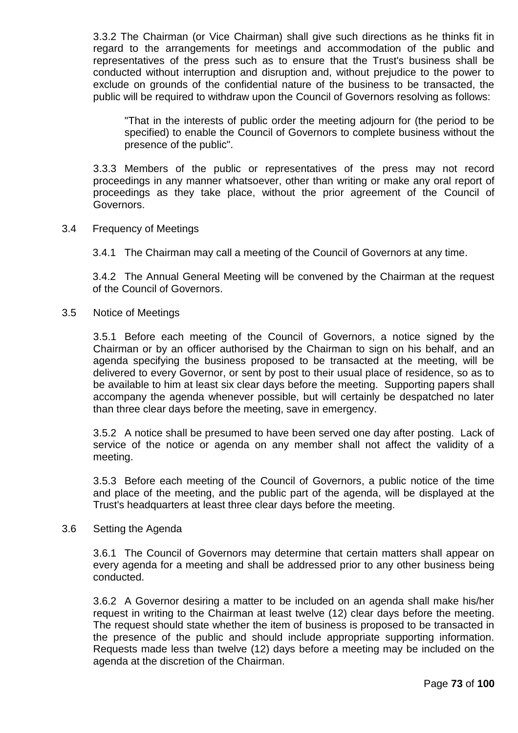3.3.2 The Chairman (or Vice Chairman) shall give such directions as he thinks fit in regard to the arrangements for meetings and accommodation of the public and representatives of the press such as to ensure that the Trust's business shall be conducted without interruption and disruption and, without prejudice to the power to exclude on grounds of the confidential nature of the business to be transacted, the public will be required to withdraw upon the Council of Governors resolving as follows:

"That in the interests of public order the meeting adjourn for (the period to be specified) to enable the Council of Governors to complete business without the presence of the public".

3.3.3 Members of the public or representatives of the press may not record proceedings in any manner whatsoever, other than writing or make any oral report of proceedings as they take place, without the prior agreement of the Council of Governors.

3.4 Frequency of Meetings

3.4.1 The Chairman may call a meeting of the Council of Governors at any time.

3.4.2 The Annual General Meeting will be convened by the Chairman at the request of the Council of Governors.

3.5 Notice of Meetings

3.5.1 Before each meeting of the Council of Governors, a notice signed by the Chairman or by an officer authorised by the Chairman to sign on his behalf, and an agenda specifying the business proposed to be transacted at the meeting, will be delivered to every Governor, or sent by post to their usual place of residence, so as to be available to him at least six clear days before the meeting. Supporting papers shall accompany the agenda whenever possible, but will certainly be despatched no later than three clear days before the meeting, save in emergency.

3.5.2 A notice shall be presumed to have been served one day after posting. Lack of service of the notice or agenda on any member shall not affect the validity of a meeting.

3.5.3 Before each meeting of the Council of Governors, a public notice of the time and place of the meeting, and the public part of the agenda, will be displayed at the Trust's headquarters at least three clear days before the meeting.

### 3.6 Setting the Agenda

3.6.1 The Council of Governors may determine that certain matters shall appear on every agenda for a meeting and shall be addressed prior to any other business being conducted.

3.6.2 A Governor desiring a matter to be included on an agenda shall make his/her request in writing to the Chairman at least twelve (12) clear days before the meeting. The request should state whether the item of business is proposed to be transacted in the presence of the public and should include appropriate supporting information. Requests made less than twelve (12) days before a meeting may be included on the agenda at the discretion of the Chairman.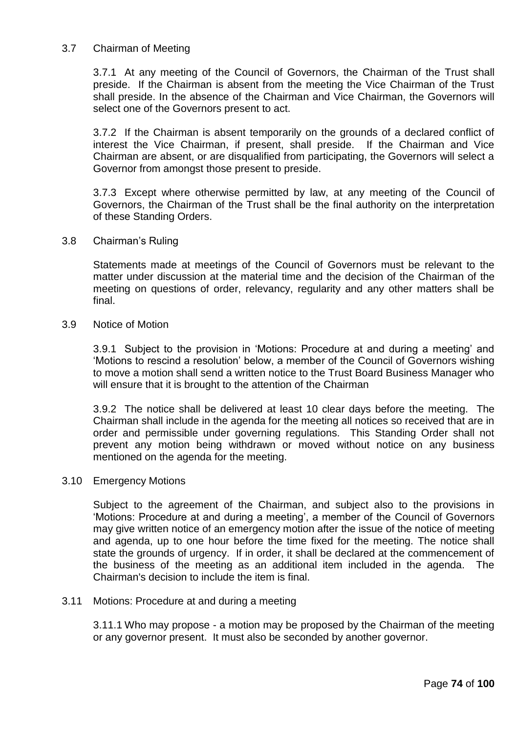# 3.7 Chairman of Meeting

3.7.1 At any meeting of the Council of Governors, the Chairman of the Trust shall preside. If the Chairman is absent from the meeting the Vice Chairman of the Trust shall preside. In the absence of the Chairman and Vice Chairman, the Governors will select one of the Governors present to act.

3.7.2 If the Chairman is absent temporarily on the grounds of a declared conflict of interest the Vice Chairman, if present, shall preside. If the Chairman and Vice Chairman are absent, or are disqualified from participating, the Governors will select a Governor from amongst those present to preside.

3.7.3 Except where otherwise permitted by law, at any meeting of the Council of Governors, the Chairman of the Trust shall be the final authority on the interpretation of these Standing Orders.

3.8 Chairman's Ruling

Statements made at meetings of the Council of Governors must be relevant to the matter under discussion at the material time and the decision of the Chairman of the meeting on questions of order, relevancy, regularity and any other matters shall be final.

3.9 Notice of Motion

3.9.1 Subject to the provision in 'Motions: Procedure at and during a meeting' and 'Motions to rescind a resolution' below, a member of the Council of Governors wishing to move a motion shall send a written notice to the Trust Board Business Manager who will ensure that it is brought to the attention of the Chairman

3.9.2 The notice shall be delivered at least 10 clear days before the meeting. The Chairman shall include in the agenda for the meeting all notices so received that are in order and permissible under governing regulations. This Standing Order shall not prevent any motion being withdrawn or moved without notice on any business mentioned on the agenda for the meeting.

### 3.10 Emergency Motions

Subject to the agreement of the Chairman, and subject also to the provisions in 'Motions: Procedure at and during a meeting', a member of the Council of Governors may give written notice of an emergency motion after the issue of the notice of meeting and agenda, up to one hour before the time fixed for the meeting. The notice shall state the grounds of urgency. If in order, it shall be declared at the commencement of the business of the meeting as an additional item included in the agenda. The Chairman's decision to include the item is final.

### 3.11 Motions: Procedure at and during a meeting

3.11.1 Who may propose - a motion may be proposed by the Chairman of the meeting or any governor present. It must also be seconded by another governor.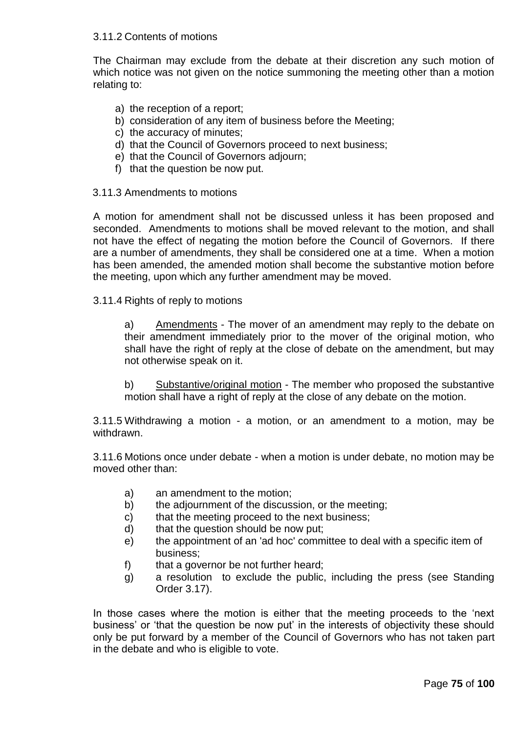### 3.11.2 Contents of motions

The Chairman may exclude from the debate at their discretion any such motion of which notice was not given on the notice summoning the meeting other than a motion relating to:

- a) the reception of a report;
- b) consideration of any item of business before the Meeting;
- c) the accuracy of minutes;
- d) that the Council of Governors proceed to next business;
- e) that the Council of Governors adjourn;
- f) that the question be now put.

### 3.11.3 Amendments to motions

A motion for amendment shall not be discussed unless it has been proposed and seconded. Amendments to motions shall be moved relevant to the motion, and shall not have the effect of negating the motion before the Council of Governors. If there are a number of amendments, they shall be considered one at a time. When a motion has been amended, the amended motion shall become the substantive motion before the meeting, upon which any further amendment may be moved.

3.11.4 Rights of reply to motions

a) Amendments - The mover of an amendment may reply to the debate on their amendment immediately prior to the mover of the original motion, who shall have the right of reply at the close of debate on the amendment, but may not otherwise speak on it.

b) Substantive/original motion - The member who proposed the substantive motion shall have a right of reply at the close of any debate on the motion.

3.11.5 Withdrawing a motion - a motion, or an amendment to a motion, may be withdrawn.

3.11.6 Motions once under debate - when a motion is under debate, no motion may be moved other than:

- a) an amendment to the motion;
- b) the adjournment of the discussion, or the meeting;
- c) that the meeting proceed to the next business;
- d) that the question should be now put;
- e) the appointment of an 'ad hoc' committee to deal with a specific item of business;
- f) that a governor be not further heard;
- g) a resolution to exclude the public, including the press (see Standing Order 3.17).

In those cases where the motion is either that the meeting proceeds to the 'next business' or 'that the question be now put' in the interests of objectivity these should only be put forward by a member of the Council of Governors who has not taken part in the debate and who is eligible to vote.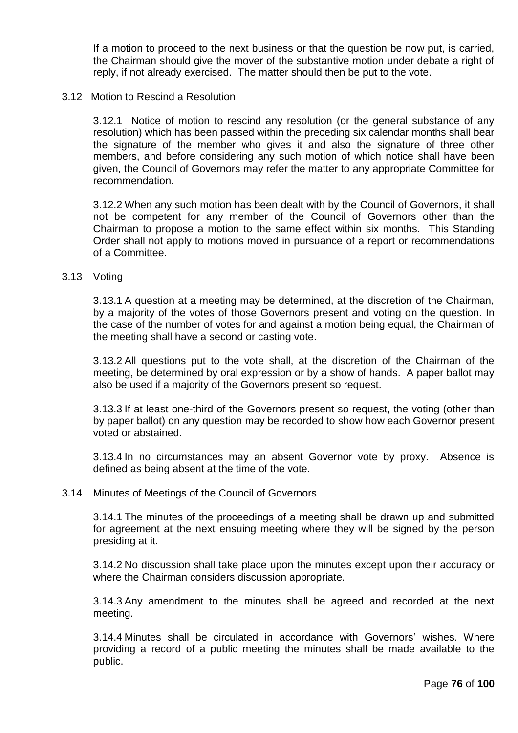If a motion to proceed to the next business or that the question be now put, is carried, the Chairman should give the mover of the substantive motion under debate a right of reply, if not already exercised. The matter should then be put to the vote.

#### 3.12 Motion to Rescind a Resolution

3.12.1 Notice of motion to rescind any resolution (or the general substance of any resolution) which has been passed within the preceding six calendar months shall bear the signature of the member who gives it and also the signature of three other members, and before considering any such motion of which notice shall have been given, the Council of Governors may refer the matter to any appropriate Committee for recommendation.

3.12.2 When any such motion has been dealt with by the Council of Governors, it shall not be competent for any member of the Council of Governors other than the Chairman to propose a motion to the same effect within six months. This Standing Order shall not apply to motions moved in pursuance of a report or recommendations of a Committee.

#### 3.13 Voting

3.13.1 A question at a meeting may be determined, at the discretion of the Chairman, by a majority of the votes of those Governors present and voting on the question. In the case of the number of votes for and against a motion being equal, the Chairman of the meeting shall have a second or casting vote.

3.13.2 All questions put to the vote shall, at the discretion of the Chairman of the meeting, be determined by oral expression or by a show of hands. A paper ballot may also be used if a majority of the Governors present so request.

3.13.3 If at least one-third of the Governors present so request, the voting (other than by paper ballot) on any question may be recorded to show how each Governor present voted or abstained.

3.13.4 In no circumstances may an absent Governor vote by proxy. Absence is defined as being absent at the time of the vote.

#### 3.14 Minutes of Meetings of the Council of Governors

3.14.1 The minutes of the proceedings of a meeting shall be drawn up and submitted for agreement at the next ensuing meeting where they will be signed by the person presiding at it.

3.14.2 No discussion shall take place upon the minutes except upon their accuracy or where the Chairman considers discussion appropriate.

3.14.3 Any amendment to the minutes shall be agreed and recorded at the next meeting.

3.14.4 Minutes shall be circulated in accordance with Governors' wishes. Where providing a record of a public meeting the minutes shall be made available to the public.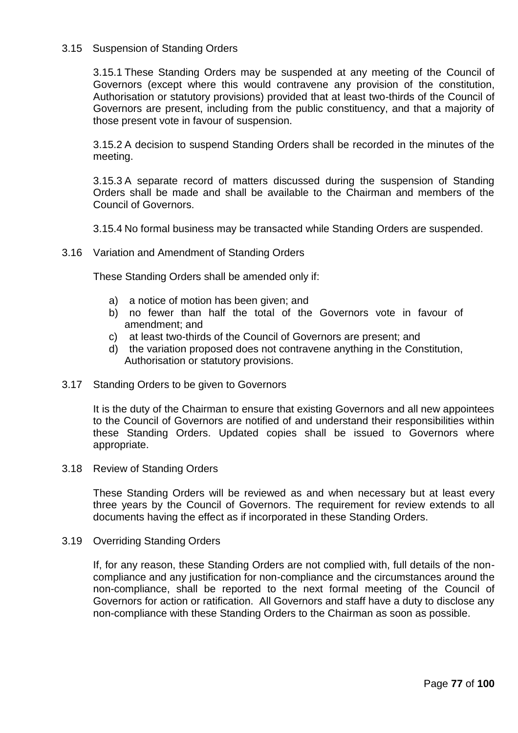# 3.15 Suspension of Standing Orders

3.15.1 These Standing Orders may be suspended at any meeting of the Council of Governors (except where this would contravene any provision of the constitution, Authorisation or statutory provisions) provided that at least two-thirds of the Council of Governors are present, including from the public constituency, and that a majority of those present vote in favour of suspension.

3.15.2 A decision to suspend Standing Orders shall be recorded in the minutes of the meeting.

3.15.3 A separate record of matters discussed during the suspension of Standing Orders shall be made and shall be available to the Chairman and members of the Council of Governors.

3.15.4 No formal business may be transacted while Standing Orders are suspended.

3.16 Variation and Amendment of Standing Orders

These Standing Orders shall be amended only if:

- a) a notice of motion has been given; and
- b) no fewer than half the total of the Governors vote in favour of amendment; and
- c) at least two-thirds of the Council of Governors are present; and
- d) the variation proposed does not contravene anything in the Constitution, Authorisation or statutory provisions.
- 3.17 Standing Orders to be given to Governors

It is the duty of the Chairman to ensure that existing Governors and all new appointees to the Council of Governors are notified of and understand their responsibilities within these Standing Orders. Updated copies shall be issued to Governors where appropriate.

3.18 Review of Standing Orders

These Standing Orders will be reviewed as and when necessary but at least every three years by the Council of Governors. The requirement for review extends to all documents having the effect as if incorporated in these Standing Orders.

3.19 Overriding Standing Orders

If, for any reason, these Standing Orders are not complied with, full details of the noncompliance and any justification for non-compliance and the circumstances around the non-compliance, shall be reported to the next formal meeting of the Council of Governors for action or ratification. All Governors and staff have a duty to disclose any non-compliance with these Standing Orders to the Chairman as soon as possible.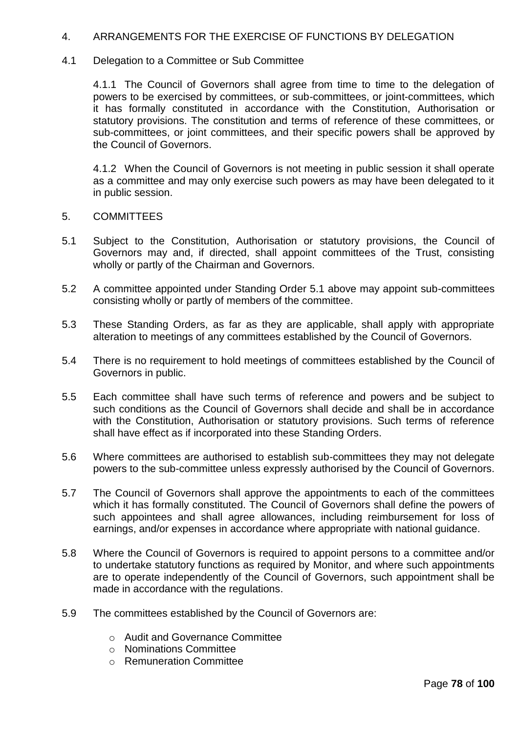# 4. ARRANGEMENTS FOR THE EXERCISE OF FUNCTIONS BY DELEGATION

### 4.1 Delegation to a Committee or Sub Committee

4.1.1 The Council of Governors shall agree from time to time to the delegation of powers to be exercised by committees, or sub-committees, or joint-committees, which it has formally constituted in accordance with the Constitution, Authorisation or statutory provisions. The constitution and terms of reference of these committees, or sub-committees, or joint committees, and their specific powers shall be approved by the Council of Governors.

4.1.2 When the Council of Governors is not meeting in public session it shall operate as a committee and may only exercise such powers as may have been delegated to it in public session.

- 5. COMMITTEES
- 5.1 Subject to the Constitution, Authorisation or statutory provisions, the Council of Governors may and, if directed, shall appoint committees of the Trust, consisting wholly or partly of the Chairman and Governors.
- 5.2 A committee appointed under Standing Order 5.1 above may appoint sub-committees consisting wholly or partly of members of the committee.
- 5.3 These Standing Orders, as far as they are applicable, shall apply with appropriate alteration to meetings of any committees established by the Council of Governors.
- 5.4 There is no requirement to hold meetings of committees established by the Council of Governors in public.
- 5.5 Each committee shall have such terms of reference and powers and be subject to such conditions as the Council of Governors shall decide and shall be in accordance with the Constitution, Authorisation or statutory provisions. Such terms of reference shall have effect as if incorporated into these Standing Orders.
- 5.6 Where committees are authorised to establish sub-committees they may not delegate powers to the sub-committee unless expressly authorised by the Council of Governors.
- 5.7 The Council of Governors shall approve the appointments to each of the committees which it has formally constituted. The Council of Governors shall define the powers of such appointees and shall agree allowances, including reimbursement for loss of earnings, and/or expenses in accordance where appropriate with national guidance.
- 5.8 Where the Council of Governors is required to appoint persons to a committee and/or to undertake statutory functions as required by Monitor, and where such appointments are to operate independently of the Council of Governors, such appointment shall be made in accordance with the regulations.
- 5.9 The committees established by the Council of Governors are:
	- o Audit and Governance Committee
	- o Nominations Committee
	- o Remuneration Committee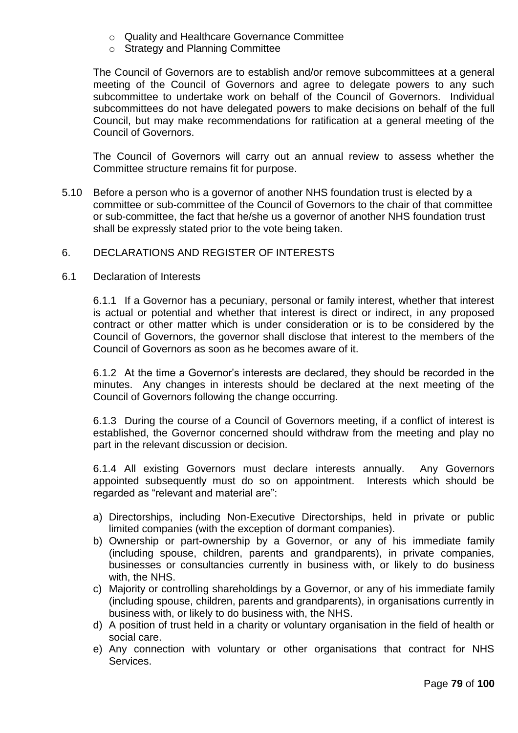- o Quality and Healthcare Governance Committee
- o Strategy and Planning Committee

The Council of Governors are to establish and/or remove subcommittees at a general meeting of the Council of Governors and agree to delegate powers to any such subcommittee to undertake work on behalf of the Council of Governors. Individual subcommittees do not have delegated powers to make decisions on behalf of the full Council, but may make recommendations for ratification at a general meeting of the Council of Governors.

The Council of Governors will carry out an annual review to assess whether the Committee structure remains fit for purpose.

5.10 Before a person who is a governor of another NHS foundation trust is elected by a committee or sub-committee of the Council of Governors to the chair of that committee or sub-committee, the fact that he/she us a governor of another NHS foundation trust shall be expressly stated prior to the vote being taken.

### 6. DECLARATIONS AND REGISTER OF INTERESTS

6.1 Declaration of Interests

6.1.1 If a Governor has a pecuniary, personal or family interest, whether that interest is actual or potential and whether that interest is direct or indirect, in any proposed contract or other matter which is under consideration or is to be considered by the Council of Governors, the governor shall disclose that interest to the members of the Council of Governors as soon as he becomes aware of it.

6.1.2 At the time a Governor's interests are declared, they should be recorded in the minutes. Any changes in interests should be declared at the next meeting of the Council of Governors following the change occurring.

6.1.3 During the course of a Council of Governors meeting, if a conflict of interest is established, the Governor concerned should withdraw from the meeting and play no part in the relevant discussion or decision.

6.1.4 All existing Governors must declare interests annually. Any Governors appointed subsequently must do so on appointment. Interests which should be regarded as "relevant and material are":

- a) Directorships, including Non-Executive Directorships, held in private or public limited companies (with the exception of dormant companies).
- b) Ownership or part-ownership by a Governor, or any of his immediate family (including spouse, children, parents and grandparents), in private companies, businesses or consultancies currently in business with, or likely to do business with, the NHS.
- c) Majority or controlling shareholdings by a Governor, or any of his immediate family (including spouse, children, parents and grandparents), in organisations currently in business with, or likely to do business with, the NHS.
- d) A position of trust held in a charity or voluntary organisation in the field of health or social care.
- e) Any connection with voluntary or other organisations that contract for NHS Services.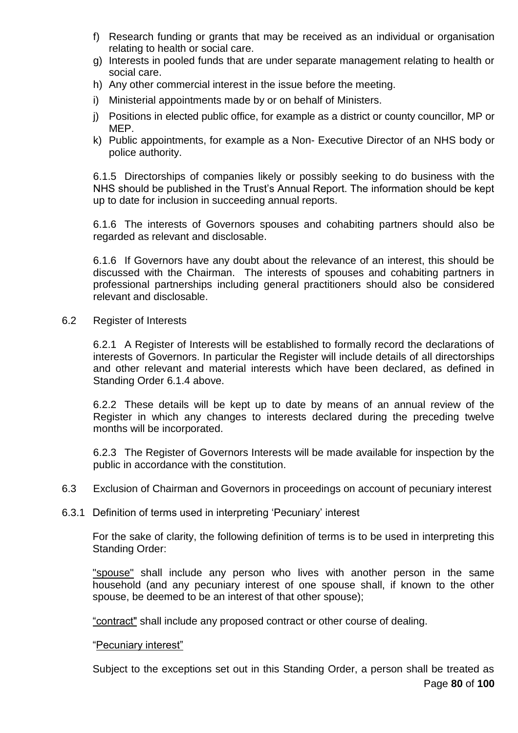- f) Research funding or grants that may be received as an individual or organisation relating to health or social care.
- g) Interests in pooled funds that are under separate management relating to health or social care.
- h) Any other commercial interest in the issue before the meeting.
- i) Ministerial appointments made by or on behalf of Ministers.
- j) Positions in elected public office, for example as a district or county councillor, MP or MEP.
- k) Public appointments, for example as a Non- Executive Director of an NHS body or police authority.

6.1.5 Directorships of companies likely or possibly seeking to do business with the NHS should be published in the Trust's Annual Report. The information should be kept up to date for inclusion in succeeding annual reports.

6.1.6 The interests of Governors spouses and cohabiting partners should also be regarded as relevant and disclosable.

6.1.6 If Governors have any doubt about the relevance of an interest, this should be discussed with the Chairman. The interests of spouses and cohabiting partners in professional partnerships including general practitioners should also be considered relevant and disclosable.

6.2 Register of Interests

6.2.1 A Register of Interests will be established to formally record the declarations of interests of Governors. In particular the Register will include details of all directorships and other relevant and material interests which have been declared, as defined in Standing Order 6.1.4 above.

6.2.2 These details will be kept up to date by means of an annual review of the Register in which any changes to interests declared during the preceding twelve months will be incorporated.

6.2.3 The Register of Governors Interests will be made available for inspection by the public in accordance with the constitution.

- 6.3 Exclusion of Chairman and Governors in proceedings on account of pecuniary interest
- 6.3.1 Definition of terms used in interpreting 'Pecuniary' interest

For the sake of clarity, the following definition of terms is to be used in interpreting this Standing Order:

"spouse" shall include any person who lives with another person in the same household (and any pecuniary interest of one spouse shall, if known to the other spouse, be deemed to be an interest of that other spouse);

"contract" shall include any proposed contract or other course of dealing.

"Pecuniary interest"

Page **80** of **100** Subject to the exceptions set out in this Standing Order, a person shall be treated as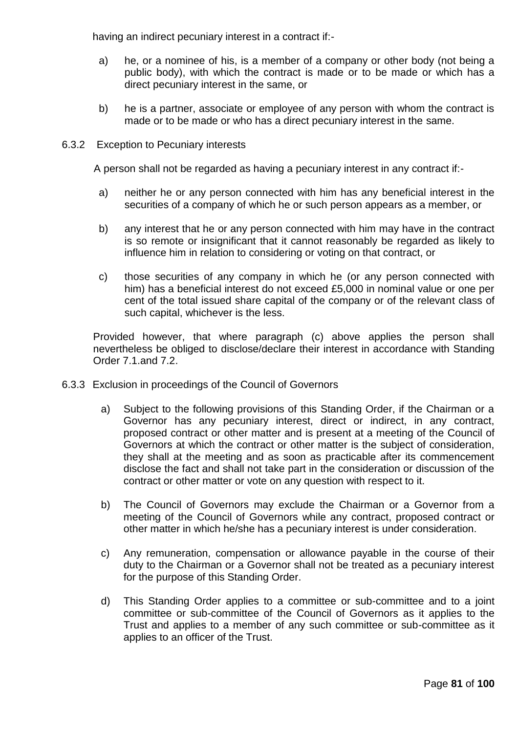having an indirect pecuniary interest in a contract if:-

- a) he, or a nominee of his, is a member of a company or other body (not being a public body), with which the contract is made or to be made or which has a direct pecuniary interest in the same, or
- b) he is a partner, associate or employee of any person with whom the contract is made or to be made or who has a direct pecuniary interest in the same.
- 6.3.2 Exception to Pecuniary interests

A person shall not be regarded as having a pecuniary interest in any contract if:-

- a) neither he or any person connected with him has any beneficial interest in the securities of a company of which he or such person appears as a member, or
- b) any interest that he or any person connected with him may have in the contract is so remote or insignificant that it cannot reasonably be regarded as likely to influence him in relation to considering or voting on that contract, or
- c) those securities of any company in which he (or any person connected with him) has a beneficial interest do not exceed £5,000 in nominal value or one per cent of the total issued share capital of the company or of the relevant class of such capital, whichever is the less.

Provided however, that where paragraph (c) above applies the person shall nevertheless be obliged to disclose/declare their interest in accordance with Standing Order 7.1.and 7.2.

- 6.3.3 Exclusion in proceedings of the Council of Governors
	- a) Subject to the following provisions of this Standing Order, if the Chairman or a Governor has any pecuniary interest, direct or indirect, in any contract, proposed contract or other matter and is present at a meeting of the Council of Governors at which the contract or other matter is the subject of consideration, they shall at the meeting and as soon as practicable after its commencement disclose the fact and shall not take part in the consideration or discussion of the contract or other matter or vote on any question with respect to it.
	- b) The Council of Governors may exclude the Chairman or a Governor from a meeting of the Council of Governors while any contract, proposed contract or other matter in which he/she has a pecuniary interest is under consideration.
	- c) Any remuneration, compensation or allowance payable in the course of their duty to the Chairman or a Governor shall not be treated as a pecuniary interest for the purpose of this Standing Order.
	- d) This Standing Order applies to a committee or sub-committee and to a joint committee or sub-committee of the Council of Governors as it applies to the Trust and applies to a member of any such committee or sub-committee as it applies to an officer of the Trust.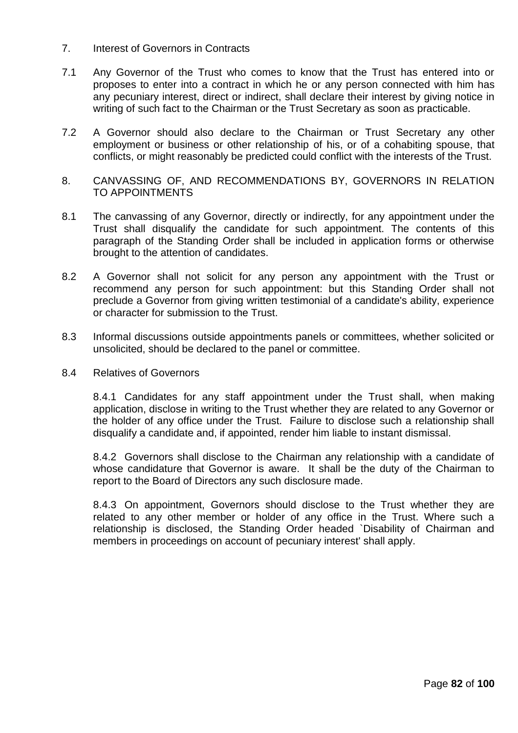- 7. Interest of Governors in Contracts
- 7.1 Any Governor of the Trust who comes to know that the Trust has entered into or proposes to enter into a contract in which he or any person connected with him has any pecuniary interest, direct or indirect, shall declare their interest by giving notice in writing of such fact to the Chairman or the Trust Secretary as soon as practicable.
- 7.2 A Governor should also declare to the Chairman or Trust Secretary any other employment or business or other relationship of his, or of a cohabiting spouse, that conflicts, or might reasonably be predicted could conflict with the interests of the Trust.
- 8. CANVASSING OF, AND RECOMMENDATIONS BY, GOVERNORS IN RELATION TO APPOINTMENTS
- 8.1 The canvassing of any Governor, directly or indirectly, for any appointment under the Trust shall disqualify the candidate for such appointment. The contents of this paragraph of the Standing Order shall be included in application forms or otherwise brought to the attention of candidates.
- 8.2 A Governor shall not solicit for any person any appointment with the Trust or recommend any person for such appointment: but this Standing Order shall not preclude a Governor from giving written testimonial of a candidate's ability, experience or character for submission to the Trust.
- 8.3 Informal discussions outside appointments panels or committees, whether solicited or unsolicited, should be declared to the panel or committee.
- 8.4 Relatives of Governors

8.4.1 Candidates for any staff appointment under the Trust shall, when making application, disclose in writing to the Trust whether they are related to any Governor or the holder of any office under the Trust. Failure to disclose such a relationship shall disqualify a candidate and, if appointed, render him liable to instant dismissal.

8.4.2 Governors shall disclose to the Chairman any relationship with a candidate of whose candidature that Governor is aware. It shall be the duty of the Chairman to report to the Board of Directors any such disclosure made.

8.4.3 On appointment, Governors should disclose to the Trust whether they are related to any other member or holder of any office in the Trust. Where such a relationship is disclosed, the Standing Order headed `Disability of Chairman and members in proceedings on account of pecuniary interest' shall apply.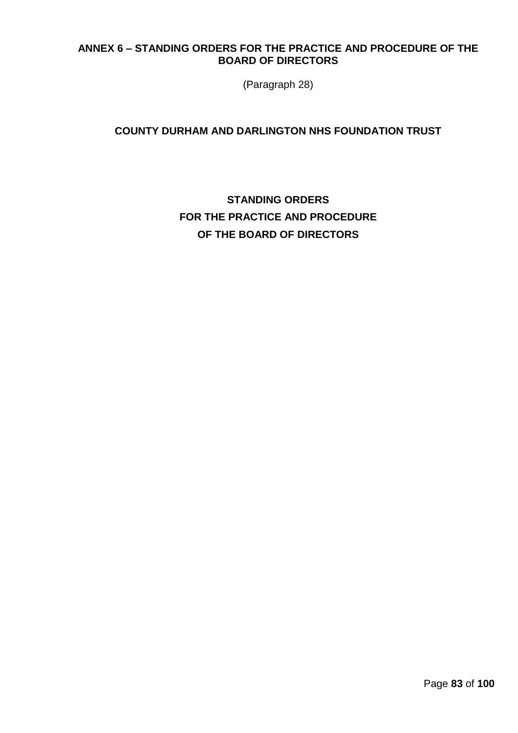# **ANNEX 6 – STANDING ORDERS FOR THE PRACTICE AND PROCEDURE OF THE BOARD OF DIRECTORS**

(Paragraph 28)

# **COUNTY DURHAM AND DARLINGTON NHS FOUNDATION TRUST**

# **STANDING ORDERS FOR THE PRACTICE AND PROCEDURE OF THE BOARD OF DIRECTORS**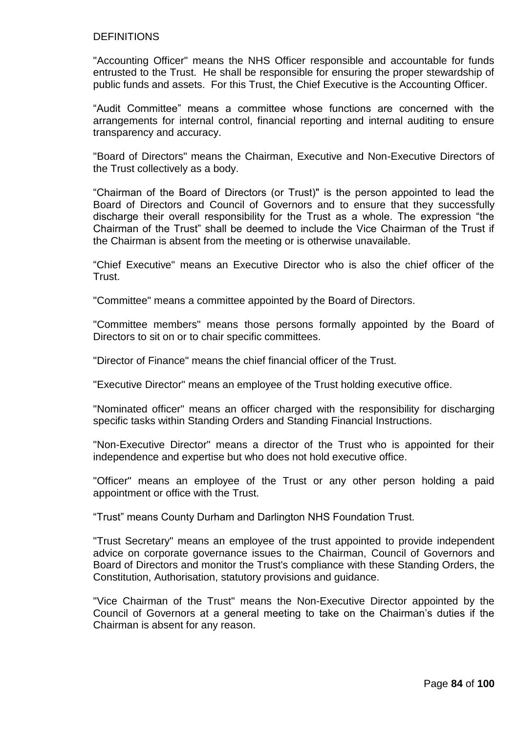### **DEFINITIONS**

"Accounting Officer" means the NHS Officer responsible and accountable for funds entrusted to the Trust. He shall be responsible for ensuring the proper stewardship of public funds and assets. For this Trust, the Chief Executive is the Accounting Officer.

"Audit Committee" means a committee whose functions are concerned with the arrangements for internal control, financial reporting and internal auditing to ensure transparency and accuracy.

"Board of Directors" means the Chairman, Executive and Non-Executive Directors of the Trust collectively as a body.

"Chairman of the Board of Directors (or Trust)" is the person appointed to lead the Board of Directors and Council of Governors and to ensure that they successfully discharge their overall responsibility for the Trust as a whole. The expression "the Chairman of the Trust" shall be deemed to include the Vice Chairman of the Trust if the Chairman is absent from the meeting or is otherwise unavailable.

"Chief Executive" means an Executive Director who is also the chief officer of the Trust.

"Committee" means a committee appointed by the Board of Directors.

"Committee members" means those persons formally appointed by the Board of Directors to sit on or to chair specific committees.

"Director of Finance" means the chief financial officer of the Trust.

"Executive Director" means an employee of the Trust holding executive office.

"Nominated officer" means an officer charged with the responsibility for discharging specific tasks within Standing Orders and Standing Financial Instructions.

"Non-Executive Director" means a director of the Trust who is appointed for their independence and expertise but who does not hold executive office.

"Officer" means an employee of the Trust or any other person holding a paid appointment or office with the Trust.

"Trust" means County Durham and Darlington NHS Foundation Trust.

"Trust Secretary" means an employee of the trust appointed to provide independent advice on corporate governance issues to the Chairman, Council of Governors and Board of Directors and monitor the Trust's compliance with these Standing Orders, the Constitution, Authorisation, statutory provisions and guidance.

"Vice Chairman of the Trust" means the Non-Executive Director appointed by the Council of Governors at a general meeting to take on the Chairman's duties if the Chairman is absent for any reason.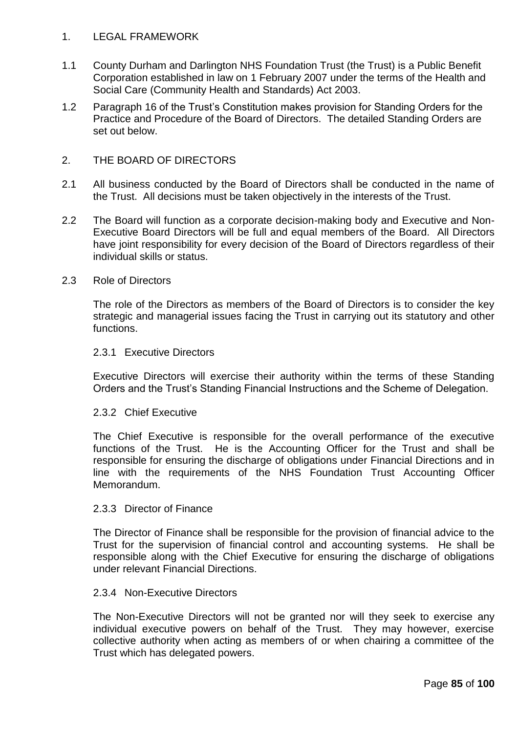# 1. LEGAL FRAMEWORK

- 1.1 County Durham and Darlington NHS Foundation Trust (the Trust) is a Public Benefit Corporation established in law on 1 February 2007 under the terms of the Health and Social Care (Community Health and Standards) Act 2003.
- 1.2 Paragraph 16 of the Trust's Constitution makes provision for Standing Orders for the Practice and Procedure of the Board of Directors. The detailed Standing Orders are set out below.

# 2. THE BOARD OF DIRECTORS

- 2.1 All business conducted by the Board of Directors shall be conducted in the name of the Trust. All decisions must be taken objectively in the interests of the Trust.
- 2.2 The Board will function as a corporate decision-making body and Executive and Non-Executive Board Directors will be full and equal members of the Board. All Directors have joint responsibility for every decision of the Board of Directors regardless of their individual skills or status.

### 2.3 Role of Directors

The role of the Directors as members of the Board of Directors is to consider the key strategic and managerial issues facing the Trust in carrying out its statutory and other functions.

### 2.3.1 Executive Directors

Executive Directors will exercise their authority within the terms of these Standing Orders and the Trust's Standing Financial Instructions and the Scheme of Delegation.

### 2.3.2 Chief Executive

The Chief Executive is responsible for the overall performance of the executive functions of the Trust. He is the Accounting Officer for the Trust and shall be responsible for ensuring the discharge of obligations under Financial Directions and in line with the requirements of the NHS Foundation Trust Accounting Officer Memorandum.

### 2.3.3 Director of Finance

The Director of Finance shall be responsible for the provision of financial advice to the Trust for the supervision of financial control and accounting systems. He shall be responsible along with the Chief Executive for ensuring the discharge of obligations under relevant Financial Directions.

### 2.3.4 Non-Executive Directors

The Non-Executive Directors will not be granted nor will they seek to exercise any individual executive powers on behalf of the Trust. They may however, exercise collective authority when acting as members of or when chairing a committee of the Trust which has delegated powers.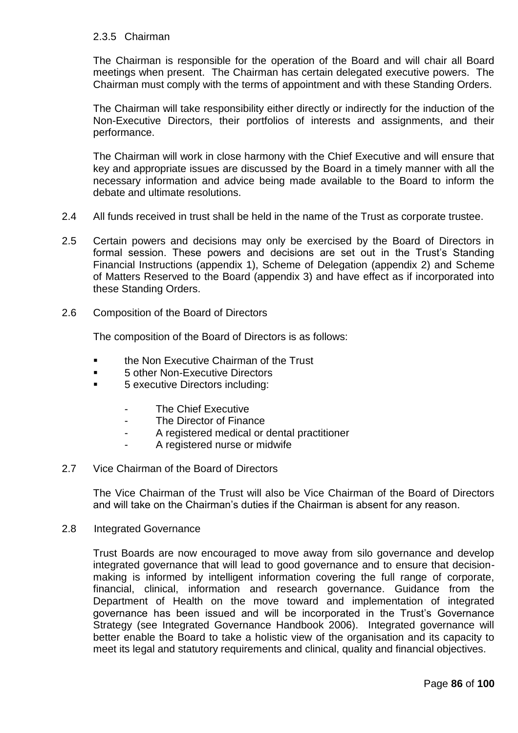# 2.3.5 Chairman

The Chairman is responsible for the operation of the Board and will chair all Board meetings when present. The Chairman has certain delegated executive powers. The Chairman must comply with the terms of appointment and with these Standing Orders.

The Chairman will take responsibility either directly or indirectly for the induction of the Non-Executive Directors, their portfolios of interests and assignments, and their performance.

The Chairman will work in close harmony with the Chief Executive and will ensure that key and appropriate issues are discussed by the Board in a timely manner with all the necessary information and advice being made available to the Board to inform the debate and ultimate resolutions.

- 2.4 All funds received in trust shall be held in the name of the Trust as corporate trustee.
- 2.5 Certain powers and decisions may only be exercised by the Board of Directors in formal session. These powers and decisions are set out in the Trust's Standing Financial Instructions (appendix 1), Scheme of Delegation (appendix 2) and Scheme of Matters Reserved to the Board (appendix 3) and have effect as if incorporated into these Standing Orders.
- 2.6 Composition of the Board of Directors

The composition of the Board of Directors is as follows:

- the Non Executive Chairman of the Trust
- 5 other Non-Executive Directors
- 5 executive Directors including:
	- The Chief Executive
	- The Director of Finance
	- A registered medical or dental practitioner
	- A registered nurse or midwife

### 2.7 Vice Chairman of the Board of Directors

The Vice Chairman of the Trust will also be Vice Chairman of the Board of Directors and will take on the Chairman's duties if the Chairman is absent for any reason.

### 2.8 Integrated Governance

Trust Boards are now encouraged to move away from silo governance and develop integrated governance that will lead to good governance and to ensure that decisionmaking is informed by intelligent information covering the full range of corporate, financial, clinical, information and research governance. Guidance from the Department of Health on the move toward and implementation of integrated governance has been issued and will be incorporated in the Trust's Governance Strategy (see Integrated Governance Handbook 2006). Integrated governance will better enable the Board to take a holistic view of the organisation and its capacity to meet its legal and statutory requirements and clinical, quality and financial objectives.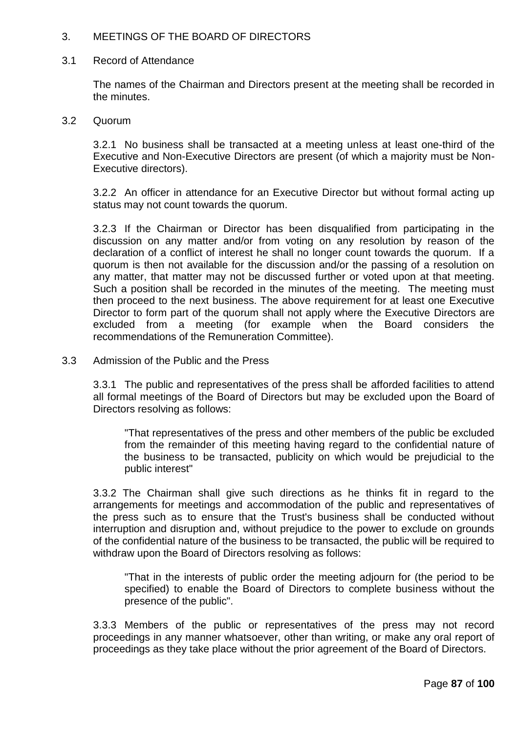# 3. MEETINGS OF THE BOARD OF DIRECTORS

### 3.1 Record of Attendance

The names of the Chairman and Directors present at the meeting shall be recorded in the minutes.

### 3.2 Quorum

3.2.1 No business shall be transacted at a meeting unless at least one-third of the Executive and Non-Executive Directors are present (of which a majority must be Non-Executive directors).

3.2.2 An officer in attendance for an Executive Director but without formal acting up status may not count towards the quorum.

3.2.3 If the Chairman or Director has been disqualified from participating in the discussion on any matter and/or from voting on any resolution by reason of the declaration of a conflict of interest he shall no longer count towards the quorum. If a quorum is then not available for the discussion and/or the passing of a resolution on any matter, that matter may not be discussed further or voted upon at that meeting. Such a position shall be recorded in the minutes of the meeting. The meeting must then proceed to the next business. The above requirement for at least one Executive Director to form part of the quorum shall not apply where the Executive Directors are excluded from a meeting (for example when the Board considers the recommendations of the Remuneration Committee).

### 3.3 Admission of the Public and the Press

3.3.1 The public and representatives of the press shall be afforded facilities to attend all formal meetings of the Board of Directors but may be excluded upon the Board of Directors resolving as follows:

"That representatives of the press and other members of the public be excluded from the remainder of this meeting having regard to the confidential nature of the business to be transacted, publicity on which would be prejudicial to the public interest"

3.3.2 The Chairman shall give such directions as he thinks fit in regard to the arrangements for meetings and accommodation of the public and representatives of the press such as to ensure that the Trust's business shall be conducted without interruption and disruption and, without prejudice to the power to exclude on grounds of the confidential nature of the business to be transacted, the public will be required to withdraw upon the Board of Directors resolving as follows:

"That in the interests of public order the meeting adjourn for (the period to be specified) to enable the Board of Directors to complete business without the presence of the public".

3.3.3 Members of the public or representatives of the press may not record proceedings in any manner whatsoever, other than writing, or make any oral report of proceedings as they take place without the prior agreement of the Board of Directors.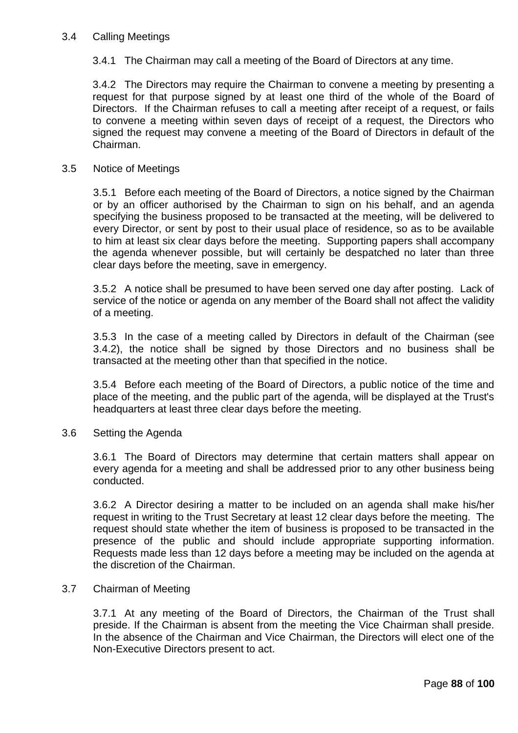# 3.4 Calling Meetings

3.4.1 The Chairman may call a meeting of the Board of Directors at any time.

3.4.2 The Directors may require the Chairman to convene a meeting by presenting a request for that purpose signed by at least one third of the whole of the Board of Directors. If the Chairman refuses to call a meeting after receipt of a request, or fails to convene a meeting within seven days of receipt of a request, the Directors who signed the request may convene a meeting of the Board of Directors in default of the Chairman.

### 3.5 Notice of Meetings

3.5.1 Before each meeting of the Board of Directors, a notice signed by the Chairman or by an officer authorised by the Chairman to sign on his behalf, and an agenda specifying the business proposed to be transacted at the meeting, will be delivered to every Director, or sent by post to their usual place of residence, so as to be available to him at least six clear days before the meeting. Supporting papers shall accompany the agenda whenever possible, but will certainly be despatched no later than three clear days before the meeting, save in emergency.

3.5.2 A notice shall be presumed to have been served one day after posting. Lack of service of the notice or agenda on any member of the Board shall not affect the validity of a meeting.

3.5.3 In the case of a meeting called by Directors in default of the Chairman (see 3.4.2), the notice shall be signed by those Directors and no business shall be transacted at the meeting other than that specified in the notice.

3.5.4 Before each meeting of the Board of Directors, a public notice of the time and place of the meeting, and the public part of the agenda, will be displayed at the Trust's headquarters at least three clear days before the meeting.

3.6 Setting the Agenda

3.6.1 The Board of Directors may determine that certain matters shall appear on every agenda for a meeting and shall be addressed prior to any other business being conducted.

3.6.2 A Director desiring a matter to be included on an agenda shall make his/her request in writing to the Trust Secretary at least 12 clear days before the meeting. The request should state whether the item of business is proposed to be transacted in the presence of the public and should include appropriate supporting information. Requests made less than 12 days before a meeting may be included on the agenda at the discretion of the Chairman.

### 3.7 Chairman of Meeting

3.7.1 At any meeting of the Board of Directors, the Chairman of the Trust shall preside. If the Chairman is absent from the meeting the Vice Chairman shall preside. In the absence of the Chairman and Vice Chairman, the Directors will elect one of the Non-Executive Directors present to act.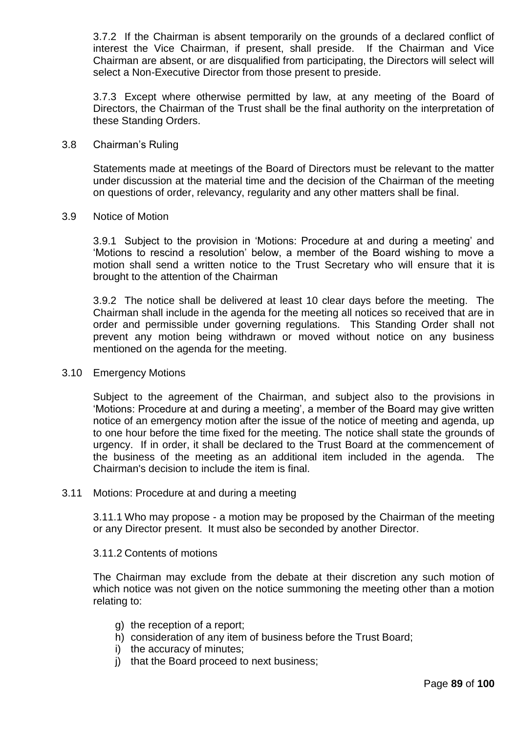3.7.2 If the Chairman is absent temporarily on the grounds of a declared conflict of interest the Vice Chairman, if present, shall preside. If the Chairman and Vice Chairman are absent, or are disqualified from participating, the Directors will select will select a Non-Executive Director from those present to preside.

3.7.3 Except where otherwise permitted by law, at any meeting of the Board of Directors, the Chairman of the Trust shall be the final authority on the interpretation of these Standing Orders.

### 3.8 Chairman's Ruling

Statements made at meetings of the Board of Directors must be relevant to the matter under discussion at the material time and the decision of the Chairman of the meeting on questions of order, relevancy, regularity and any other matters shall be final.

#### 3.9 Notice of Motion

3.9.1 Subject to the provision in 'Motions: Procedure at and during a meeting' and 'Motions to rescind a resolution' below, a member of the Board wishing to move a motion shall send a written notice to the Trust Secretary who will ensure that it is brought to the attention of the Chairman

3.9.2 The notice shall be delivered at least 10 clear days before the meeting. The Chairman shall include in the agenda for the meeting all notices so received that are in order and permissible under governing regulations. This Standing Order shall not prevent any motion being withdrawn or moved without notice on any business mentioned on the agenda for the meeting.

### 3.10 Emergency Motions

Subject to the agreement of the Chairman, and subject also to the provisions in 'Motions: Procedure at and during a meeting', a member of the Board may give written notice of an emergency motion after the issue of the notice of meeting and agenda, up to one hour before the time fixed for the meeting. The notice shall state the grounds of urgency. If in order, it shall be declared to the Trust Board at the commencement of the business of the meeting as an additional item included in the agenda. The Chairman's decision to include the item is final.

### 3.11 Motions: Procedure at and during a meeting

3.11.1 Who may propose - a motion may be proposed by the Chairman of the meeting or any Director present. It must also be seconded by another Director.

#### 3.11.2 Contents of motions

The Chairman may exclude from the debate at their discretion any such motion of which notice was not given on the notice summoning the meeting other than a motion relating to:

- g) the reception of a report;
- h) consideration of any item of business before the Trust Board;
- i) the accuracy of minutes;
- j) that the Board proceed to next business;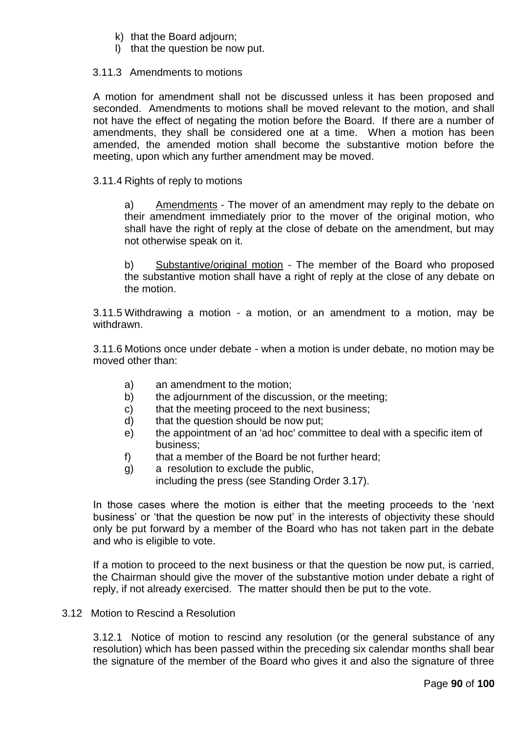- k) that the Board adjourn;
- l) that the question be now put.

# 3.11.3 Amendments to motions

A motion for amendment shall not be discussed unless it has been proposed and seconded. Amendments to motions shall be moved relevant to the motion, and shall not have the effect of negating the motion before the Board. If there are a number of amendments, they shall be considered one at a time. When a motion has been amended, the amended motion shall become the substantive motion before the meeting, upon which any further amendment may be moved.

# 3.11.4 Rights of reply to motions

a) Amendments - The mover of an amendment may reply to the debate on their amendment immediately prior to the mover of the original motion, who shall have the right of reply at the close of debate on the amendment, but may not otherwise speak on it.

b) Substantive/original motion - The member of the Board who proposed the substantive motion shall have a right of reply at the close of any debate on the motion.

3.11.5 Withdrawing a motion - a motion, or an amendment to a motion, may be withdrawn.

3.11.6 Motions once under debate - when a motion is under debate, no motion may be moved other than:

- a) an amendment to the motion;
- b) the adjournment of the discussion, or the meeting;
- c) that the meeting proceed to the next business;
- d) that the question should be now put;
- e) the appointment of an 'ad hoc' committee to deal with a specific item of business;
- f) that a member of the Board be not further heard;
- g) a resolution to exclude the public,

including the press (see Standing Order 3.17).

In those cases where the motion is either that the meeting proceeds to the 'next business' or 'that the question be now put' in the interests of objectivity these should only be put forward by a member of the Board who has not taken part in the debate and who is eligible to vote.

If a motion to proceed to the next business or that the question be now put, is carried, the Chairman should give the mover of the substantive motion under debate a right of reply, if not already exercised. The matter should then be put to the vote.

# 3.12 Motion to Rescind a Resolution

3.12.1 Notice of motion to rescind any resolution (or the general substance of any resolution) which has been passed within the preceding six calendar months shall bear the signature of the member of the Board who gives it and also the signature of three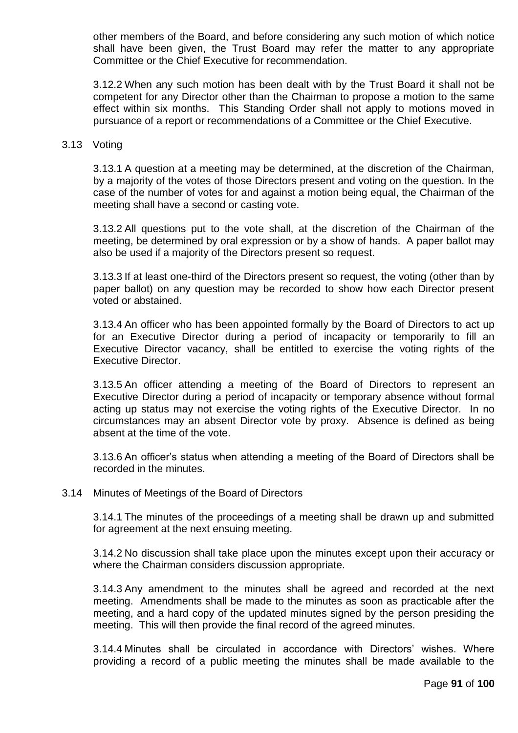other members of the Board, and before considering any such motion of which notice shall have been given, the Trust Board may refer the matter to any appropriate Committee or the Chief Executive for recommendation.

3.12.2 When any such motion has been dealt with by the Trust Board it shall not be competent for any Director other than the Chairman to propose a motion to the same effect within six months. This Standing Order shall not apply to motions moved in pursuance of a report or recommendations of a Committee or the Chief Executive.

#### 3.13 Voting

3.13.1 A question at a meeting may be determined, at the discretion of the Chairman, by a majority of the votes of those Directors present and voting on the question. In the case of the number of votes for and against a motion being equal, the Chairman of the meeting shall have a second or casting vote.

3.13.2 All questions put to the vote shall, at the discretion of the Chairman of the meeting, be determined by oral expression or by a show of hands. A paper ballot may also be used if a majority of the Directors present so request.

3.13.3 If at least one-third of the Directors present so request, the voting (other than by paper ballot) on any question may be recorded to show how each Director present voted or abstained.

3.13.4 An officer who has been appointed formally by the Board of Directors to act up for an Executive Director during a period of incapacity or temporarily to fill an Executive Director vacancy, shall be entitled to exercise the voting rights of the Executive Director.

3.13.5 An officer attending a meeting of the Board of Directors to represent an Executive Director during a period of incapacity or temporary absence without formal acting up status may not exercise the voting rights of the Executive Director. In no circumstances may an absent Director vote by proxy. Absence is defined as being absent at the time of the vote.

3.13.6 An officer's status when attending a meeting of the Board of Directors shall be recorded in the minutes.

3.14 Minutes of Meetings of the Board of Directors

3.14.1 The minutes of the proceedings of a meeting shall be drawn up and submitted for agreement at the next ensuing meeting.

3.14.2 No discussion shall take place upon the minutes except upon their accuracy or where the Chairman considers discussion appropriate.

3.14.3 Any amendment to the minutes shall be agreed and recorded at the next meeting. Amendments shall be made to the minutes as soon as practicable after the meeting, and a hard copy of the updated minutes signed by the person presiding the meeting. This will then provide the final record of the agreed minutes.

3.14.4 Minutes shall be circulated in accordance with Directors' wishes. Where providing a record of a public meeting the minutes shall be made available to the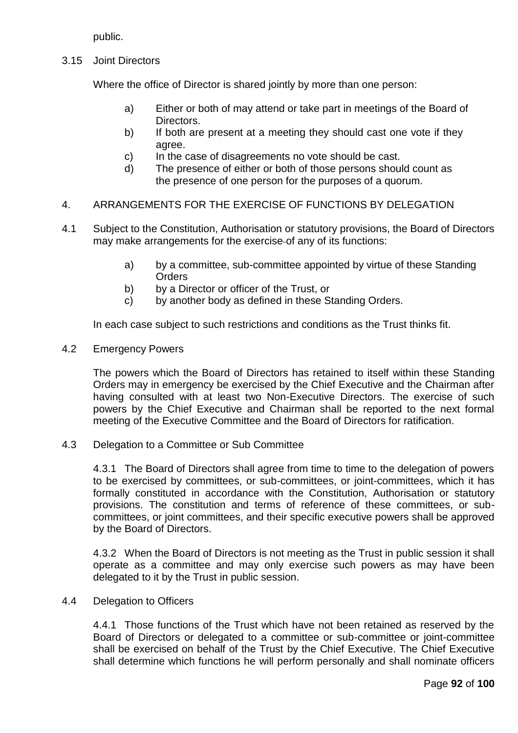public.

3.15 Joint Directors

Where the office of Director is shared jointly by more than one person:

- a) Either or both of may attend or take part in meetings of the Board of Directors.
- b) If both are present at a meeting they should cast one vote if they agree.
- c) In the case of disagreements no vote should be cast.
- d) The presence of either or both of those persons should count as the presence of one person for the purposes of a quorum.

# 4. ARRANGEMENTS FOR THE EXERCISE OF FUNCTIONS BY DELEGATION

- 4.1 Subject to the Constitution, Authorisation or statutory provisions, the Board of Directors may make arrangements for the exercise of any of its functions:
	- a) by a committee, sub-committee appointed by virtue of these Standing **Orders**
	- b) by a Director or officer of the Trust, or
	- c) by another body as defined in these Standing Orders.

In each case subject to such restrictions and conditions as the Trust thinks fit.

4.2 Emergency Powers

The powers which the Board of Directors has retained to itself within these Standing Orders may in emergency be exercised by the Chief Executive and the Chairman after having consulted with at least two Non-Executive Directors. The exercise of such powers by the Chief Executive and Chairman shall be reported to the next formal meeting of the Executive Committee and the Board of Directors for ratification.

4.3 Delegation to a Committee or Sub Committee

4.3.1 The Board of Directors shall agree from time to time to the delegation of powers to be exercised by committees, or sub-committees, or joint-committees, which it has formally constituted in accordance with the Constitution, Authorisation or statutory provisions. The constitution and terms of reference of these committees, or subcommittees, or joint committees, and their specific executive powers shall be approved by the Board of Directors.

4.3.2 When the Board of Directors is not meeting as the Trust in public session it shall operate as a committee and may only exercise such powers as may have been delegated to it by the Trust in public session.

4.4 Delegation to Officers

4.4.1 Those functions of the Trust which have not been retained as reserved by the Board of Directors or delegated to a committee or sub-committee or joint-committee shall be exercised on behalf of the Trust by the Chief Executive. The Chief Executive shall determine which functions he will perform personally and shall nominate officers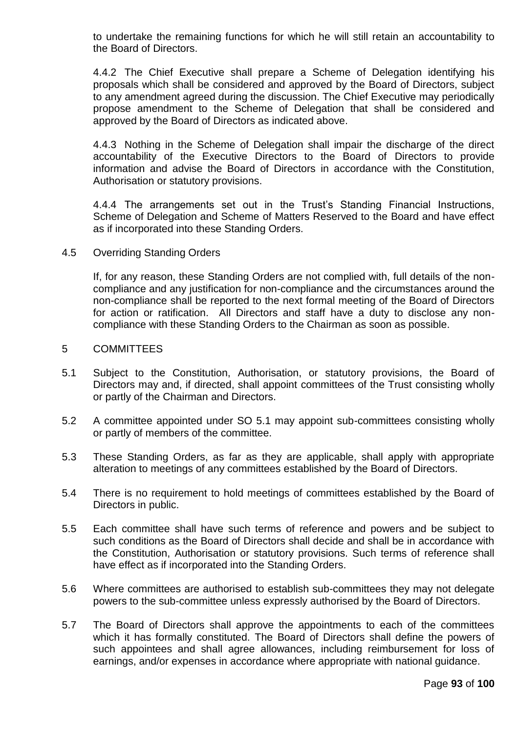to undertake the remaining functions for which he will still retain an accountability to the Board of Directors.

4.4.2 The Chief Executive shall prepare a Scheme of Delegation identifying his proposals which shall be considered and approved by the Board of Directors, subject to any amendment agreed during the discussion. The Chief Executive may periodically propose amendment to the Scheme of Delegation that shall be considered and approved by the Board of Directors as indicated above.

4.4.3 Nothing in the Scheme of Delegation shall impair the discharge of the direct accountability of the Executive Directors to the Board of Directors to provide information and advise the Board of Directors in accordance with the Constitution, Authorisation or statutory provisions.

4.4.4 The arrangements set out in the Trust's Standing Financial Instructions, Scheme of Delegation and Scheme of Matters Reserved to the Board and have effect as if incorporated into these Standing Orders.

4.5 Overriding Standing Orders

If, for any reason, these Standing Orders are not complied with, full details of the noncompliance and any justification for non-compliance and the circumstances around the non-compliance shall be reported to the next formal meeting of the Board of Directors for action or ratification. All Directors and staff have a duty to disclose any noncompliance with these Standing Orders to the Chairman as soon as possible.

- 5 COMMITTEES
- 5.1 Subject to the Constitution, Authorisation, or statutory provisions, the Board of Directors may and, if directed, shall appoint committees of the Trust consisting wholly or partly of the Chairman and Directors.
- 5.2 A committee appointed under SO 5.1 may appoint sub-committees consisting wholly or partly of members of the committee.
- 5.3 These Standing Orders, as far as they are applicable, shall apply with appropriate alteration to meetings of any committees established by the Board of Directors.
- 5.4 There is no requirement to hold meetings of committees established by the Board of Directors in public.
- 5.5 Each committee shall have such terms of reference and powers and be subject to such conditions as the Board of Directors shall decide and shall be in accordance with the Constitution, Authorisation or statutory provisions. Such terms of reference shall have effect as if incorporated into the Standing Orders.
- 5.6 Where committees are authorised to establish sub-committees they may not delegate powers to the sub-committee unless expressly authorised by the Board of Directors.
- 5.7 The Board of Directors shall approve the appointments to each of the committees which it has formally constituted. The Board of Directors shall define the powers of such appointees and shall agree allowances, including reimbursement for loss of earnings, and/or expenses in accordance where appropriate with national guidance.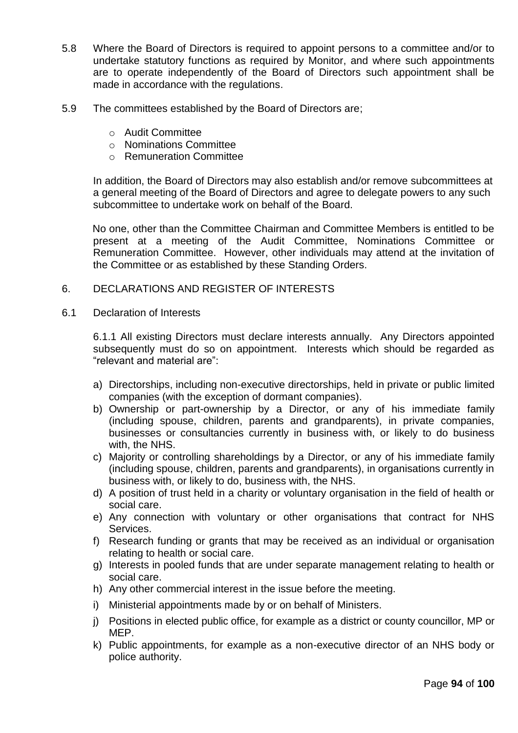- 5.8 Where the Board of Directors is required to appoint persons to a committee and/or to undertake statutory functions as required by Monitor, and where such appointments are to operate independently of the Board of Directors such appointment shall be made in accordance with the regulations.
- 5.9 The committees established by the Board of Directors are;
	- o Audit Committee
	- o Nominations Committee
	- o Remuneration Committee

In addition, the Board of Directors may also establish and/or remove subcommittees at a general meeting of the Board of Directors and agree to delegate powers to any such subcommittee to undertake work on behalf of the Board.

No one, other than the Committee Chairman and Committee Members is entitled to be present at a meeting of the Audit Committee, Nominations Committee or Remuneration Committee. However, other individuals may attend at the invitation of the Committee or as established by these Standing Orders.

### 6. DECLARATIONS AND REGISTER OF INTERESTS

6.1 Declaration of Interests

6.1.1 All existing Directors must declare interests annually. Any Directors appointed subsequently must do so on appointment. Interests which should be regarded as "relevant and material are":

- a) Directorships, including non-executive directorships, held in private or public limited companies (with the exception of dormant companies).
- b) Ownership or part-ownership by a Director, or any of his immediate family (including spouse, children, parents and grandparents), in private companies, businesses or consultancies currently in business with, or likely to do business with, the NHS.
- c) Majority or controlling shareholdings by a Director, or any of his immediate family (including spouse, children, parents and grandparents), in organisations currently in business with, or likely to do, business with, the NHS.
- d) A position of trust held in a charity or voluntary organisation in the field of health or social care.
- e) Any connection with voluntary or other organisations that contract for NHS Services.
- f) Research funding or grants that may be received as an individual or organisation relating to health or social care.
- g) Interests in pooled funds that are under separate management relating to health or social care.
- h) Any other commercial interest in the issue before the meeting.
- i) Ministerial appointments made by or on behalf of Ministers.
- j) Positions in elected public office, for example as a district or county councillor, MP or MEP.
- k) Public appointments, for example as a non-executive director of an NHS body or police authority.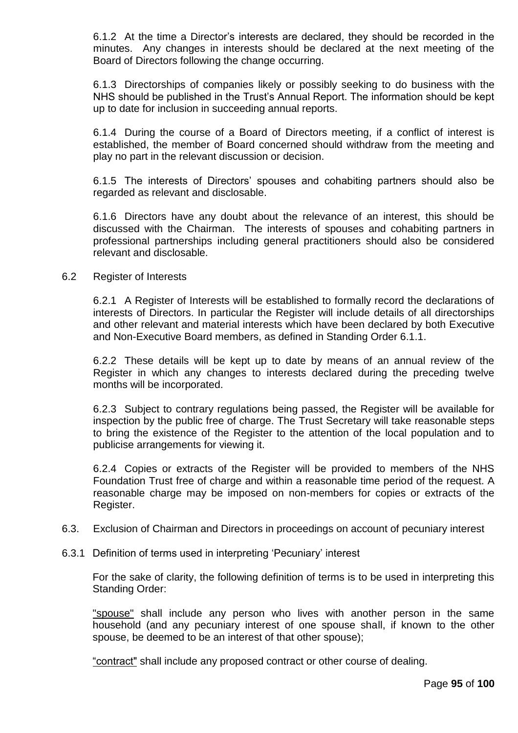6.1.2 At the time a Director's interests are declared, they should be recorded in the minutes. Any changes in interests should be declared at the next meeting of the Board of Directors following the change occurring.

6.1.3 Directorships of companies likely or possibly seeking to do business with the NHS should be published in the Trust's Annual Report. The information should be kept up to date for inclusion in succeeding annual reports.

6.1.4 During the course of a Board of Directors meeting, if a conflict of interest is established, the member of Board concerned should withdraw from the meeting and play no part in the relevant discussion or decision.

6.1.5 The interests of Directors' spouses and cohabiting partners should also be regarded as relevant and disclosable.

6.1.6 Directors have any doubt about the relevance of an interest, this should be discussed with the Chairman. The interests of spouses and cohabiting partners in professional partnerships including general practitioners should also be considered relevant and disclosable.

### 6.2 Register of Interests

6.2.1 A Register of Interests will be established to formally record the declarations of interests of Directors. In particular the Register will include details of all directorships and other relevant and material interests which have been declared by both Executive and Non-Executive Board members, as defined in Standing Order 6.1.1.

6.2.2 These details will be kept up to date by means of an annual review of the Register in which any changes to interests declared during the preceding twelve months will be incorporated.

6.2.3 Subject to contrary regulations being passed, the Register will be available for inspection by the public free of charge. The Trust Secretary will take reasonable steps to bring the existence of the Register to the attention of the local population and to publicise arrangements for viewing it.

6.2.4 Copies or extracts of the Register will be provided to members of the NHS Foundation Trust free of charge and within a reasonable time period of the request. A reasonable charge may be imposed on non-members for copies or extracts of the Register.

- 6.3. Exclusion of Chairman and Directors in proceedings on account of pecuniary interest
- 6.3.1 Definition of terms used in interpreting 'Pecuniary' interest

For the sake of clarity, the following definition of terms is to be used in interpreting this Standing Order:

"spouse" shall include any person who lives with another person in the same household (and any pecuniary interest of one spouse shall, if known to the other spouse, be deemed to be an interest of that other spouse);

"contract" shall include any proposed contract or other course of dealing.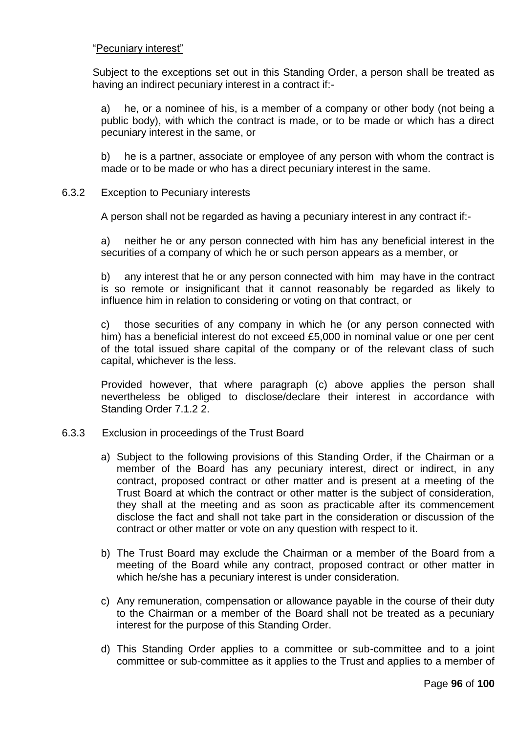## "Pecuniary interest"

Subject to the exceptions set out in this Standing Order, a person shall be treated as having an indirect pecuniary interest in a contract if:-

a) he, or a nominee of his, is a member of a company or other body (not being a public body), with which the contract is made, or to be made or which has a direct pecuniary interest in the same, or

b) he is a partner, associate or employee of any person with whom the contract is made or to be made or who has a direct pecuniary interest in the same.

6.3.2 Exception to Pecuniary interests

A person shall not be regarded as having a pecuniary interest in any contract if:-

a) neither he or any person connected with him has any beneficial interest in the securities of a company of which he or such person appears as a member, or

b) any interest that he or any person connected with him may have in the contract is so remote or insignificant that it cannot reasonably be regarded as likely to influence him in relation to considering or voting on that contract, or

c) those securities of any company in which he (or any person connected with him) has a beneficial interest do not exceed £5,000 in nominal value or one per cent of the total issued share capital of the company or of the relevant class of such capital, whichever is the less.

Provided however, that where paragraph (c) above applies the person shall nevertheless be obliged to disclose/declare their interest in accordance with Standing Order 7.1.2 2.

- 6.3.3 Exclusion in proceedings of the Trust Board
	- a) Subject to the following provisions of this Standing Order, if the Chairman or a member of the Board has any pecuniary interest, direct or indirect, in any contract, proposed contract or other matter and is present at a meeting of the Trust Board at which the contract or other matter is the subject of consideration, they shall at the meeting and as soon as practicable after its commencement disclose the fact and shall not take part in the consideration or discussion of the contract or other matter or vote on any question with respect to it.
	- b) The Trust Board may exclude the Chairman or a member of the Board from a meeting of the Board while any contract, proposed contract or other matter in which he/she has a pecuniary interest is under consideration.
	- c) Any remuneration, compensation or allowance payable in the course of their duty to the Chairman or a member of the Board shall not be treated as a pecuniary interest for the purpose of this Standing Order.
	- d) This Standing Order applies to a committee or sub-committee and to a joint committee or sub-committee as it applies to the Trust and applies to a member of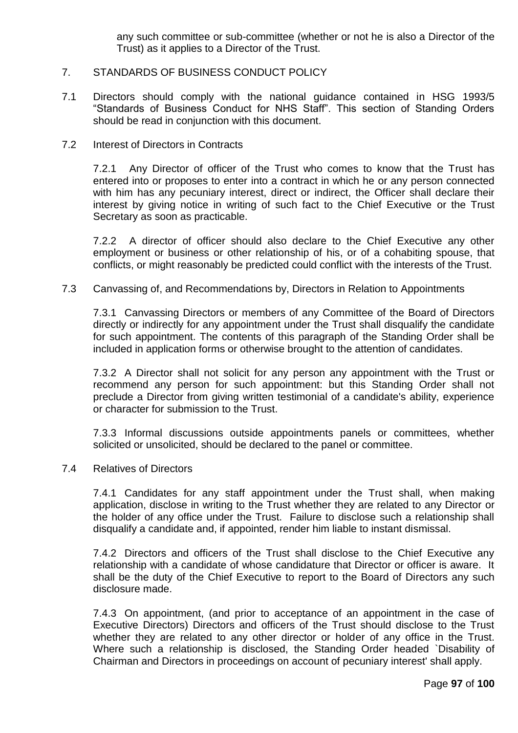any such committee or sub-committee (whether or not he is also a Director of the Trust) as it applies to a Director of the Trust.

### 7. STANDARDS OF BUSINESS CONDUCT POLICY

- 7.1 Directors should comply with the national guidance contained in HSG 1993/5 "Standards of Business Conduct for NHS Staff". This section of Standing Orders should be read in conjunction with this document.
- 7.2 Interest of Directors in Contracts

7.2.1 Any Director of officer of the Trust who comes to know that the Trust has entered into or proposes to enter into a contract in which he or any person connected with him has any pecuniary interest, direct or indirect, the Officer shall declare their interest by giving notice in writing of such fact to the Chief Executive or the Trust Secretary as soon as practicable.

7.2.2 A director of officer should also declare to the Chief Executive any other employment or business or other relationship of his, or of a cohabiting spouse, that conflicts, or might reasonably be predicted could conflict with the interests of the Trust.

7.3 Canvassing of, and Recommendations by, Directors in Relation to Appointments

7.3.1 Canvassing Directors or members of any Committee of the Board of Directors directly or indirectly for any appointment under the Trust shall disqualify the candidate for such appointment. The contents of this paragraph of the Standing Order shall be included in application forms or otherwise brought to the attention of candidates.

7.3.2 A Director shall not solicit for any person any appointment with the Trust or recommend any person for such appointment: but this Standing Order shall not preclude a Director from giving written testimonial of a candidate's ability, experience or character for submission to the Trust.

7.3.3 Informal discussions outside appointments panels or committees, whether solicited or unsolicited, should be declared to the panel or committee.

7.4 Relatives of Directors

7.4.1 Candidates for any staff appointment under the Trust shall, when making application, disclose in writing to the Trust whether they are related to any Director or the holder of any office under the Trust. Failure to disclose such a relationship shall disqualify a candidate and, if appointed, render him liable to instant dismissal.

7.4.2 Directors and officers of the Trust shall disclose to the Chief Executive any relationship with a candidate of whose candidature that Director or officer is aware. It shall be the duty of the Chief Executive to report to the Board of Directors any such disclosure made.

7.4.3 On appointment, (and prior to acceptance of an appointment in the case of Executive Directors) Directors and officers of the Trust should disclose to the Trust whether they are related to any other director or holder of any office in the Trust. Where such a relationship is disclosed, the Standing Order headed `Disability of Chairman and Directors in proceedings on account of pecuniary interest' shall apply.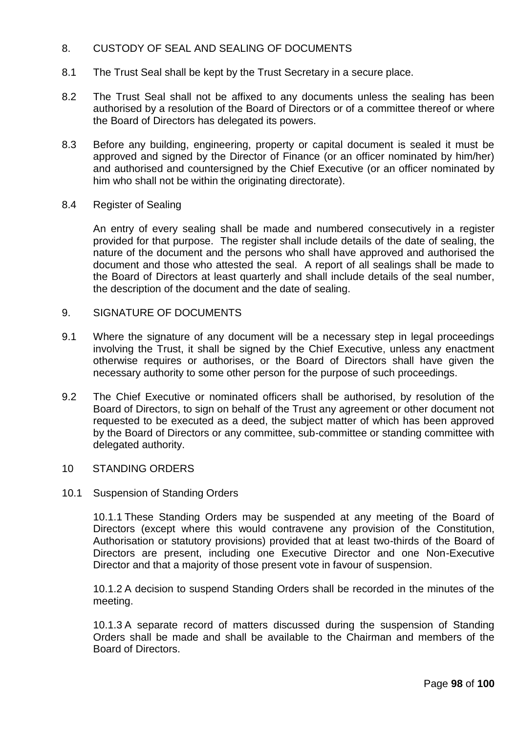# 8. CUSTODY OF SEAL AND SEALING OF DOCUMENTS

- 8.1 The Trust Seal shall be kept by the Trust Secretary in a secure place.
- 8.2 The Trust Seal shall not be affixed to any documents unless the sealing has been authorised by a resolution of the Board of Directors or of a committee thereof or where the Board of Directors has delegated its powers.
- 8.3 Before any building, engineering, property or capital document is sealed it must be approved and signed by the Director of Finance (or an officer nominated by him/her) and authorised and countersigned by the Chief Executive (or an officer nominated by him who shall not be within the originating directorate).
- 8.4 Register of Sealing

An entry of every sealing shall be made and numbered consecutively in a register provided for that purpose. The register shall include details of the date of sealing, the nature of the document and the persons who shall have approved and authorised the document and those who attested the seal. A report of all sealings shall be made to the Board of Directors at least quarterly and shall include details of the seal number, the description of the document and the date of sealing.

- 9. SIGNATURE OF DOCUMENTS
- 9.1 Where the signature of any document will be a necessary step in legal proceedings involving the Trust, it shall be signed by the Chief Executive, unless any enactment otherwise requires or authorises, or the Board of Directors shall have given the necessary authority to some other person for the purpose of such proceedings.
- 9.2 The Chief Executive or nominated officers shall be authorised, by resolution of the Board of Directors, to sign on behalf of the Trust any agreement or other document not requested to be executed as a deed, the subject matter of which has been approved by the Board of Directors or any committee, sub-committee or standing committee with delegated authority.
- 10 STANDING ORDERS
- 10.1 Suspension of Standing Orders

10.1.1 These Standing Orders may be suspended at any meeting of the Board of Directors (except where this would contravene any provision of the Constitution, Authorisation or statutory provisions) provided that at least two-thirds of the Board of Directors are present, including one Executive Director and one Non-Executive Director and that a majority of those present vote in favour of suspension.

10.1.2 A decision to suspend Standing Orders shall be recorded in the minutes of the meeting.

10.1.3 A separate record of matters discussed during the suspension of Standing Orders shall be made and shall be available to the Chairman and members of the Board of Directors.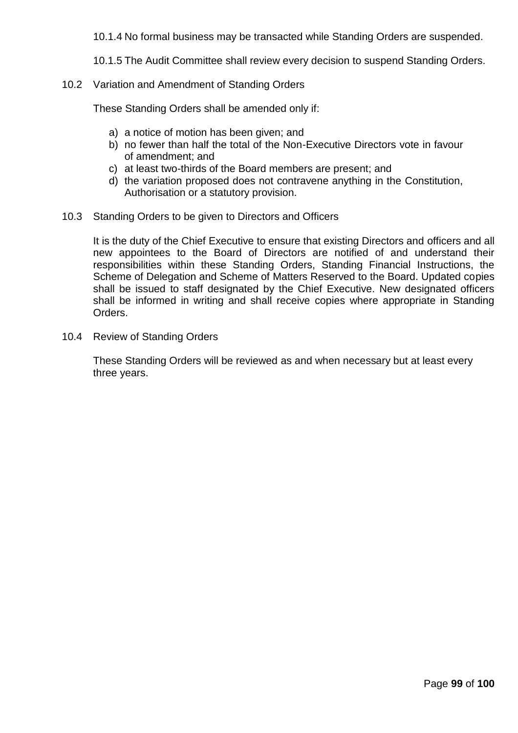10.1.4 No formal business may be transacted while Standing Orders are suspended.

10.1.5 The Audit Committee shall review every decision to suspend Standing Orders.

10.2 Variation and Amendment of Standing Orders

These Standing Orders shall be amended only if:

- a) a notice of motion has been given; and
- b) no fewer than half the total of the Non-Executive Directors vote in favour of amendment; and
- c) at least two-thirds of the Board members are present; and
- d) the variation proposed does not contravene anything in the Constitution, Authorisation or a statutory provision.
- 10.3 Standing Orders to be given to Directors and Officers

It is the duty of the Chief Executive to ensure that existing Directors and officers and all new appointees to the Board of Directors are notified of and understand their responsibilities within these Standing Orders, Standing Financial Instructions, the Scheme of Delegation and Scheme of Matters Reserved to the Board. Updated copies shall be issued to staff designated by the Chief Executive. New designated officers shall be informed in writing and shall receive copies where appropriate in Standing Orders.

10.4 Review of Standing Orders

These Standing Orders will be reviewed as and when necessary but at least every three years.